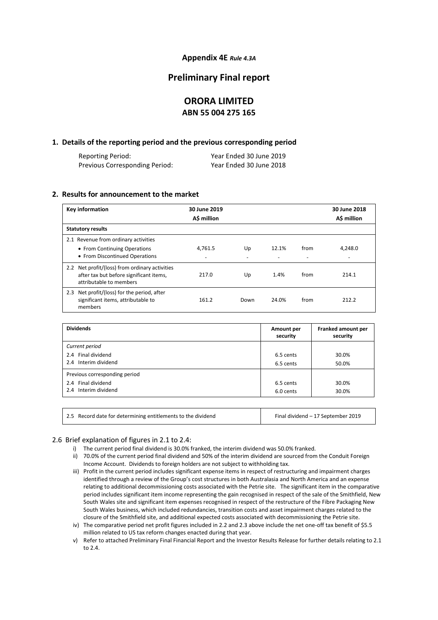### **Appendix 4E** *Rule 4.3A*

# **Preliminary Final report**

# **ORORA LIMITED ABN 55 004 275 165**

### **1. Details of the reporting period and the previous corresponding period**

| Reporting Period:              | Year Ended 30 June 2019 |
|--------------------------------|-------------------------|
| Previous Corresponding Period: | Year Ended 30 June 2018 |

### **2. Results for announcement to the market**

| Key information                                                                                                                   | 30 June 2019<br>A\$ million         |      |       |      | 30 June 2018<br>A\$ million |
|-----------------------------------------------------------------------------------------------------------------------------------|-------------------------------------|------|-------|------|-----------------------------|
| <b>Statutory results</b>                                                                                                          |                                     |      |       |      |                             |
| 2.1 Revenue from ordinary activities<br>• From Continuing Operations<br>• From Discontinued Operations                            | 4,761.5<br>$\overline{\phantom{0}}$ | Up   | 12.1% | from | 4.248.0                     |
| Net profit/(loss) from ordinary activities<br>$2.2^{\circ}$<br>after tax but before significant items,<br>attributable to members | 217.0                               | Up   | 1.4%  | from | 214.1                       |
| Net profit/(loss) for the period, after<br>2.3<br>significant items, attributable to<br>members                                   | 161.2                               | Down | 24.0% | from | 212.2                       |

| <b>Dividends</b>              | Amount per<br>security | Franked amount per<br>security |
|-------------------------------|------------------------|--------------------------------|
| Current period                |                        |                                |
| 2.4 Final dividend            | 6.5 cents              | 30.0%                          |
| 2.4 Interim dividend          | 6.5 cents              | 50.0%                          |
| Previous corresponding period |                        |                                |
| 2.4 Final dividend            | 6.5 cents              | 30.0%                          |
| 2.4 Interim dividend          | 6.0 cents              | 30.0%                          |
|                               |                        |                                |

| 2.5 Record date for determining entitlements to the dividend | Final dividend - 17 September 2019 |
|--------------------------------------------------------------|------------------------------------|
|--------------------------------------------------------------|------------------------------------|

### 2.6 Brief explanation of figures in 2.1 to 2.4:

- i) The current period final dividend is 30.0% franked, the interim dividend was 50.0% franked.
- ii) 70.0% of the current period final dividend and 50% of the interim dividend are sourced from the Conduit Foreign Income Account. Dividends to foreign holders are not subject to withholding tax.
- iii) Profit in the current period includes significant expense items in respect of restructuring and impairment charges identified through a review of the Group's cost structures in both Australasia and North America and an expense relating to additional decommissioning costs associated with the Petrie site. The significant item in the comparative period includes significant item income representing the gain recognised in respect of the sale of the Smithfield, New South Wales site and significant item expenses recognised in respect of the restructure of the Fibre Packaging New South Wales business, which included redundancies, transition costs and asset impairment charges related to the closure of the Smithfield site, and additional expected costs associated with decommissioning the Petrie site.
- iv) The comparative period net profit figures included in 2.2 and 2.3 above include the net one-off tax benefit of \$5.5 million related to US tax reform changes enacted during that year.

v) Refer to attached Preliminary Final Financial Report and the Investor Results Release for further details relating to 2.1 to 2.4.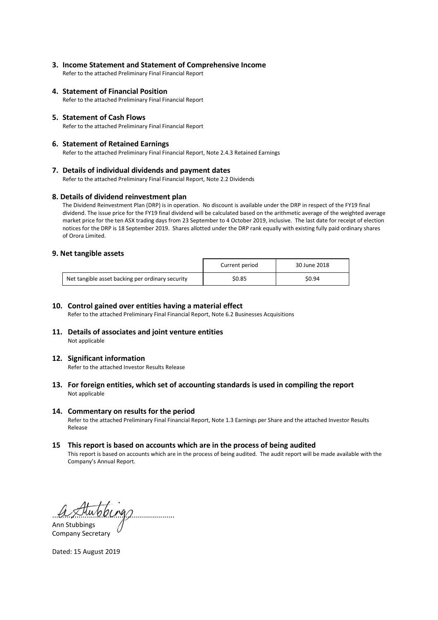**3. Income Statement and Statement of Comprehensive Income** 

Refer to the attached Preliminary Final Financial Report

**4. Statement of Financial Position**

Refer to the attached Preliminary Final Financial Report

**5. Statement of Cash Flows** 

Refer to the attached Preliminary Final Financial Report

### **6. Statement of Retained Earnings**

Refer to the attached Preliminary Final Financial Report, Note 2.4.3 Retained Earnings

### **7. Details of individual dividends and payment dates**

Refer to the attached Preliminary Final Financial Report, Note 2.2 Dividends

### **8. Details of dividend reinvestment plan**

The Dividend Reinvestment Plan (DRP) is in operation. No discount is available under the DRP in respect of the FY19 final dividend. The issue price for the FY19 final dividend will be calculated based on the arithmetic average of the weighted average market price for the ten ASX trading days from 23 September to 4 October 2019, inclusive. The last date for receipt of election notices for the DRP is 18 September 2019. Shares allotted under the DRP rank equally with existing fully paid ordinary shares of Orora Limited.

### **9. Net tangible assets**

|                                                  | Current period | 30 June 2018 |
|--------------------------------------------------|----------------|--------------|
| Net tangible asset backing per ordinary security | \$0.85         | \$0.94       |

### **10. Control gained over entities having a material effect**

Refer to the attached Preliminary Final Financial Report, Note 6.2 Businesses Acquisitions

**11. Details of associates and joint venture entities**  Not applicable

### **12. Significant information**

Refer to the attached Investor Results Release

### **13. For foreign entities, which set of accounting standards is used in compiling the report** Not applicable

### **14. Commentary on results for the period**

Refer to the attached Preliminary Final Financial Report, Note 1.3 Earnings per Share and the attached Investor Results Release

### **15 This report is based on accounts which are in the process of being audited**

This report is based on accounts which are in the process of being audited. The audit report will be made available with the Company's Annual Report.

............................................................ Ann Stubbings

Company Secretary

Dated: 15 August 2019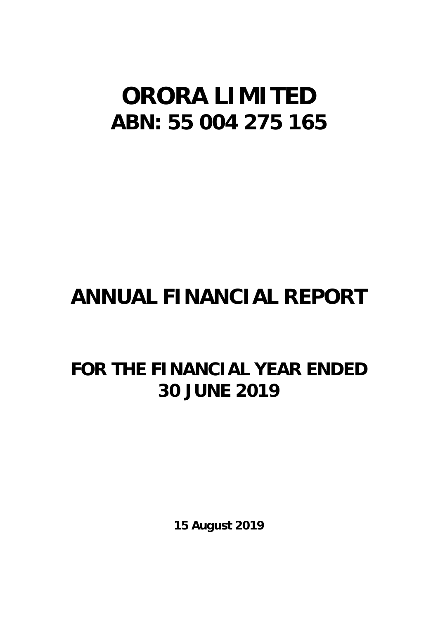# **ORORA LIMITED ABN: 55 004 275 165**

# **ANNUAL FINANCIAL REPORT**

# **FOR THE FINANCIAL YEAR ENDED 30 JUNE 2019**

**15 August 2019**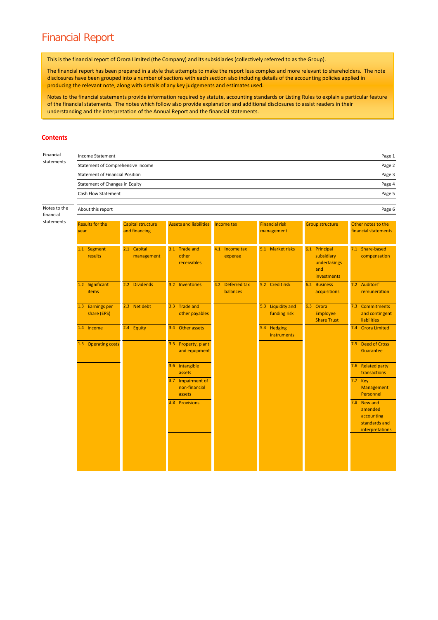# Financial Report

This is the financial report of Orora Limited (the Company) and its subsidiaries (collectively referred to as the Group).

The financial report has been prepared in a style that attempts to make the report less complex and more relevant to shareholders. The note disclosures have been grouped into a number of sections with each section also including details of the accounting policies applied in producing the relevant note, along with details of any key judgements and estimates used.

Notes to the financial statements provide information required by statute, accounting standards or Listing Rules to explain a particular feature of the financial statements. The notes which follow also provide explanation and additional disclosures to assist readers in their understanding and the interpretation of the Annual Report and the financial statements.

### **Contents**

| Financial                              | <b>Income Statement</b>         |                                             |                                              |                              |                                     |                                                                   | Page 1                                                                   |  |  |  |
|----------------------------------------|---------------------------------|---------------------------------------------|----------------------------------------------|------------------------------|-------------------------------------|-------------------------------------------------------------------|--------------------------------------------------------------------------|--|--|--|
| statements                             |                                 | Statement of Comprehensive Income<br>Page 2 |                                              |                              |                                     |                                                                   |                                                                          |  |  |  |
| <b>Statement of Financial Position</b> |                                 | Page 3                                      |                                              |                              |                                     |                                                                   |                                                                          |  |  |  |
|                                        | Statement of Changes in Equity  |                                             |                                              |                              |                                     |                                                                   | Page 4                                                                   |  |  |  |
|                                        | Cash Flow Statement             |                                             |                                              |                              |                                     |                                                                   | Page 5                                                                   |  |  |  |
| Notes to the<br>financial              | About this report               |                                             |                                              |                              |                                     |                                                                   | Page 6                                                                   |  |  |  |
| statements                             | <b>Results for the</b><br>year  | Capital structure<br>and financing          | <b>Assets and liabilities</b>                | Income tax                   | <b>Financial risk</b><br>management | <b>Group structure</b>                                            | Other notes to the<br>financial statements                               |  |  |  |
|                                        | 1.1 Segment<br>results          | 2.1 Capital<br>management                   | 3.1 Trade and<br>other<br>receivables        | 4.1 Income tax<br>expense    | 5.1 Market risks                    | 6.1 Principal<br>subsidiary<br>undertakings<br>and<br>investments | 7.1 Share-based<br>compensation                                          |  |  |  |
|                                        | 1.2 Significant<br><b>items</b> | 2.2 Dividends                               | 3.2 Inventories                              | 4.2 Deferred tax<br>balances | 5.2 Credit risk                     | 6.2<br><b>Business</b><br>acquisitions                            | 7.2 Auditors'<br>remuneration                                            |  |  |  |
|                                        | 1.3 Earnings per<br>share (EPS) | 2.3 Net debt                                | 3.3 Trade and<br>other payables              |                              | 5.3 Liquidity and<br>funding risk   | 6.3 Orora<br><b>Employee</b><br><b>Share Trust</b>                | 7.3 Commitments<br>and contingent<br><b>liabilities</b>                  |  |  |  |
|                                        | 1.4 Income                      | 2.4 Equity                                  | 3.4 Other assets                             |                              | 5.4 Hedging<br><b>instruments</b>   |                                                                   | 7.4 Orora Limited                                                        |  |  |  |
|                                        | 1.5 Operating costs             |                                             | 3.5 Property, plant<br>and equipment         |                              |                                     |                                                                   | 7.5 Deed of Cross<br>Guarantee                                           |  |  |  |
|                                        |                                 |                                             | 3.6 Intangible<br>assets                     |                              |                                     |                                                                   | 7.6 Related party<br>transactions                                        |  |  |  |
|                                        |                                 |                                             | 3.7 Impairment of<br>non-financial<br>assets |                              |                                     |                                                                   | 7.7 Key<br>Management<br>Personnel                                       |  |  |  |
|                                        |                                 |                                             | 3.8 Provisions                               |                              |                                     |                                                                   | 7.8 New and<br>amended<br>accounting<br>standards and<br>interpretations |  |  |  |
|                                        |                                 |                                             |                                              |                              |                                     |                                                                   |                                                                          |  |  |  |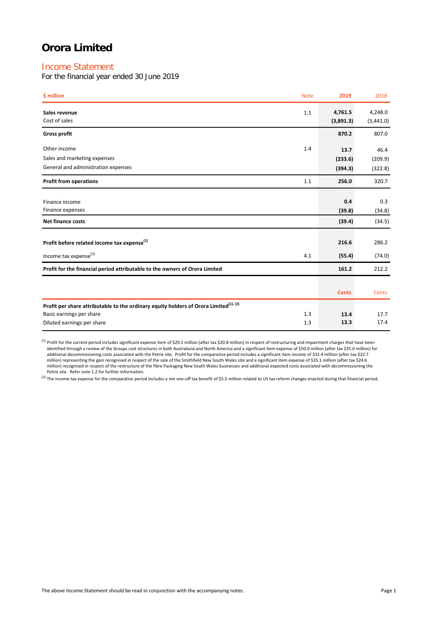# Income Statement

For the financial year ended 30 June 2019

| \$ million                                                                                        | <b>Note</b> | 2019                 | 2018                 |
|---------------------------------------------------------------------------------------------------|-------------|----------------------|----------------------|
| Sales revenue<br>Cost of sales                                                                    | 1.1         | 4,761.5<br>(3,891.3) | 4,248.0<br>(3,441.0) |
| <b>Gross profit</b>                                                                               |             | 870.2                | 807.0                |
| Other income                                                                                      | 1.4         | 13.7                 | 46.4                 |
| Sales and marketing expenses                                                                      |             | (233.6)              | (209.9)              |
| General and administration expenses                                                               |             | (394.3)              | (322.8)              |
| <b>Profit from operations</b>                                                                     | 1.1         | 256.0                | 320.7                |
|                                                                                                   |             |                      |                      |
| Finance income                                                                                    |             | 0.4                  | 0.3                  |
| Finance expenses                                                                                  |             | (39.8)               | (34.8)               |
| <b>Net finance costs</b>                                                                          |             | (39.4)               | (34.5)               |
|                                                                                                   |             |                      |                      |
| Profit before related income tax expense <sup>(1)</sup>                                           |             | 216.6                | 286.2                |
| Income tax expense <sup>(2)</sup>                                                                 | 4.1         | (55.4)               | (74.0)               |
| Profit for the financial period attributable to the owners of Orora Limited                       |             | 161.2                | 212.2                |
|                                                                                                   |             |                      |                      |
|                                                                                                   |             | <b>Cents</b>         | Cents                |
| Profit per share attributable to the ordinary equity holders of Orora Limited <sup>(1), (2)</sup> |             |                      |                      |
| Basic earnings per share                                                                          | 1.3         | 13.4                 | 17.7                 |
| Diluted earnings per share                                                                        | 1.3         | 13.3                 | 17.4                 |

(1) Profit for the current period includes significant expense item of \$29.2 million (after tax \$20.8 million) in respect of restructuring and impairment charges that have been identified through a review of the Groups cost structures in both Australasia and North America and a significant item expense of \$50.0 million (after tax \$35.0 million) for additional decommissioning costs associated with the Petrie site. Profit for the comparative period includes a significant item income of \$32.4 million (after tax \$22.7<br>million) representing the gain recognised in respect million) recognised in respect of the restructure of the fibre Packaging New South Wales businesses and additional expected costs associated with decommissioning the Petrie site. Refer note 1.2 for further information.

<sup>(2)</sup> The income tax expense for the comparative period includes a net one-off tax benefit of \$5.5 million related to US tax reform changes enacted during that financial period.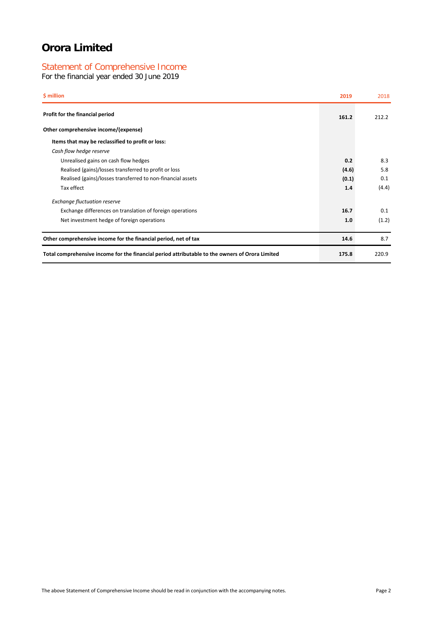# Statement of Comprehensive Income

For the financial year ended 30 June 2019

| \$ million                                                                                      | 2019  | 2018  |
|-------------------------------------------------------------------------------------------------|-------|-------|
| Profit for the financial period                                                                 | 161.2 | 212.2 |
| Other comprehensive income/(expense)                                                            |       |       |
| Items that may be reclassified to profit or loss:                                               |       |       |
| Cash flow hedge reserve                                                                         |       |       |
| Unrealised gains on cash flow hedges                                                            | 0.2   | 8.3   |
| Realised (gains)/losses transferred to profit or loss                                           | (4.6) | 5.8   |
| Realised (gains)/losses transferred to non-financial assets                                     | (0.1) | 0.1   |
| Tax effect                                                                                      | 1.4   | (4.4) |
| <b>Exchange fluctuation reserve</b>                                                             |       |       |
| Exchange differences on translation of foreign operations                                       | 16.7  | 0.1   |
| Net investment hedge of foreign operations                                                      | 1.0   | (1.2) |
| Other comprehensive income for the financial period, net of tax                                 | 14.6  | 8.7   |
| Total comprehensive income for the financial period attributable to the owners of Orora Limited | 175.8 | 220.9 |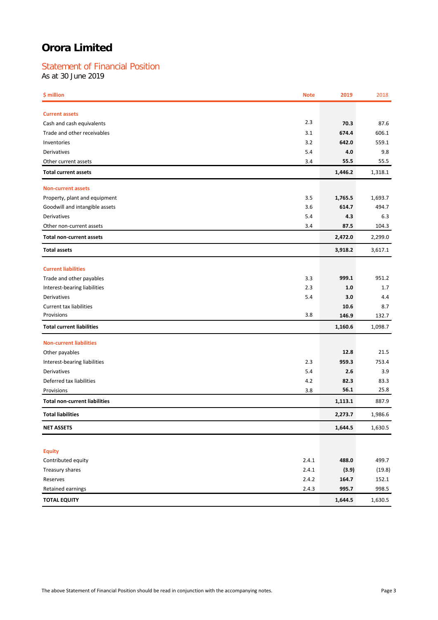# Statement of Financial Position

As at 30 June 2019

| \$ million                           | <b>Note</b> | 2019    | 2018    |
|--------------------------------------|-------------|---------|---------|
| <b>Current assets</b>                |             |         |         |
| Cash and cash equivalents            | 2.3         | 70.3    | 87.6    |
| Trade and other receivables          | 3.1         | 674.4   | 606.1   |
| Inventories                          | 3.2         | 642.0   | 559.1   |
| Derivatives                          | 5.4         | 4.0     | 9.8     |
| Other current assets                 | 3.4         | 55.5    | 55.5    |
| <b>Total current assets</b>          |             | 1,446.2 | 1,318.1 |
| <b>Non-current assets</b>            |             |         |         |
| Property, plant and equipment        | 3.5         | 1,765.5 | 1,693.7 |
| Goodwill and intangible assets       | 3.6         | 614.7   | 494.7   |
| Derivatives                          | 5.4         | 4.3     | 6.3     |
| Other non-current assets             | 3.4         | 87.5    | 104.3   |
| <b>Total non-current assets</b>      |             | 2,472.0 | 2,299.0 |
| <b>Total assets</b>                  |             | 3,918.2 | 3,617.1 |
| <b>Current liabilities</b>           |             |         |         |
| Trade and other payables             | 3.3         | 999.1   | 951.2   |
| Interest-bearing liabilities         | 2.3         | 1.0     | 1.7     |
| Derivatives                          | 5.4         | 3.0     | 4.4     |
| <b>Current tax liabilities</b>       |             | 10.6    | 8.7     |
| Provisions                           | 3.8         | 146.9   | 132.7   |
| <b>Total current liabilities</b>     |             | 1,160.6 | 1,098.7 |
| <b>Non-current liabilities</b>       |             |         |         |
| Other payables                       |             | 12.8    | 21.5    |
| Interest-bearing liabilities         | 2.3         | 959.3   | 753.4   |
| Derivatives                          | 5.4         | 2.6     | 3.9     |
| Deferred tax liabilities             | 4.2         | 82.3    | 83.3    |
| Provisions                           | 3.8         | 56.1    | 25.8    |
| <b>Total non-current liabilities</b> |             | 1,113.1 | 887.9   |
| <b>Total liabilities</b>             |             | 2,273.7 | 1,986.6 |
| <b>NET ASSETS</b>                    |             | 1,644.5 | 1,630.5 |
|                                      |             |         |         |
| <b>Equity</b>                        |             |         |         |
| Contributed equity                   | 2.4.1       | 488.0   | 499.7   |
| Treasury shares                      | 2.4.1       | (3.9)   | (19.8)  |
| Reserves                             | 2.4.2       | 164.7   | 152.1   |
| Retained earnings                    | 2.4.3       | 995.7   | 998.5   |
| <b>TOTAL EQUITY</b>                  |             | 1,644.5 | 1,630.5 |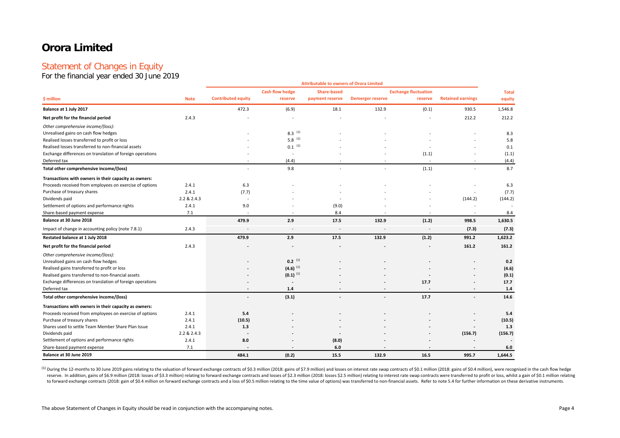# Statement of Changes in Equity

For the financial year ended 30 June 2019

|                                                           |             |                           |                        | <b>Attributable to owners of Orora Limited</b> |                          |                             |                          |              |
|-----------------------------------------------------------|-------------|---------------------------|------------------------|------------------------------------------------|--------------------------|-----------------------------|--------------------------|--------------|
|                                                           |             |                           | <b>Cash flow hedge</b> | <b>Share-based</b>                             |                          | <b>Exchange fluctuation</b> |                          | <b>Total</b> |
| \$ million                                                | <b>Note</b> | <b>Contributed equity</b> | reserve                | payment reserve                                | <b>Demerger reserve</b>  | reserve                     | <b>Retained earnings</b> | equity       |
| Balance at 1 July 2017                                    |             | 472.3                     | (6.9)                  | 18.1                                           | 132.9                    | (0.1)                       | 930.5                    | 1,546.8      |
| Net profit for the financial period                       | 2.4.3       |                           |                        |                                                |                          |                             | 212.2                    | 212.2        |
| Other comprehensive income/(loss):                        |             |                           |                        |                                                |                          |                             |                          |              |
| Unrealised gains on cash flow hedges                      |             |                           | $8.3$ (1)              |                                                |                          |                             |                          | 8.3          |
| Realised losses transferred to profit or loss             |             |                           | $5.8^{(1)}$            |                                                |                          |                             |                          | 5.8          |
| Realised losses transferred to non-financial assets       |             |                           | $0.1$ <sup>(1)</sup>   |                                                |                          |                             |                          | 0.1          |
| Exchange differences on translation of foreign operations |             |                           |                        |                                                |                          | (1.1)                       |                          | (1.1)        |
| Deferred tax                                              |             |                           | (4.4)                  |                                                |                          |                             |                          | (4.4)        |
| Total other comprehensive income/(loss)                   |             | $\sim$                    | 9.8                    |                                                | $\overline{\phantom{a}}$ | (1.1)                       |                          | 8.7          |
| Transactions with owners in their capacity as owners:     |             |                           |                        |                                                |                          |                             |                          |              |
| Proceeds received from employees on exercise of options   | 2.4.1       | 6.3                       |                        |                                                |                          |                             |                          | 6.3          |
| Purchase of treasury shares                               | 2.4.1       | (7.7)                     |                        |                                                |                          |                             |                          | (7.7)        |
| Dividends paid                                            | 2.2 & 2.4.3 |                           |                        |                                                |                          |                             | (144.2)                  | (144.2)      |
| Settlement of options and performance rights              | 2.4.1       | 9.0                       |                        | (9.0)                                          |                          |                             |                          |              |
| Share-based payment expense                               | 7.1         |                           |                        | 8.4                                            |                          |                             |                          | 8.4          |
| Balance at 30 June 2018                                   |             | 479.9                     | 2.9                    | 17.5                                           | 132.9                    | (1.2)                       | 998.5                    | 1,630.5      |
| Impact of change in accounting policy (note 7.8.1)        | 2.4.3       |                           |                        |                                                |                          |                             | (7.3)                    | (7.3)        |
| Restated balance at 1 July 2018                           |             | 479.9                     | 2.9                    | 17.5                                           | 132.9                    | (1.2)                       | 991.2                    | 1,623.2      |
| Net profit for the financial period                       | 2.4.3       |                           |                        |                                                |                          |                             | 161.2                    | 161.2        |
| Other comprehensive income/(loss):                        |             |                           |                        |                                                |                          |                             |                          |              |
| Unrealised gains on cash flow hedges                      |             |                           | $0.2^{(1)}$            |                                                |                          |                             |                          | 0.2          |
| Realised gains transferred to profit or loss              |             |                           | $(4.6)$ <sup>(1)</sup> |                                                |                          |                             |                          | (4.6)        |
| Realised gains transferred to non-financial assets        |             |                           | $(0.1)^{(1)}$          |                                                |                          |                             |                          | (0.1)        |
| Exchange differences on translation of foreign operations |             |                           | $\overline{a}$         |                                                |                          | 17.7                        |                          | 17.7         |
| Deferred tax                                              |             | $\overline{\phantom{a}}$  | 1.4                    |                                                |                          |                             |                          | 1.4          |
| Total other comprehensive income/(loss)                   |             | $\overline{a}$            | (3.1)                  |                                                | ٠                        | 17.7                        |                          | 14.6         |
| Transactions with owners in their capacity as owners:     |             |                           |                        |                                                |                          |                             |                          |              |
| Proceeds received from employees on exercise of options   | 2.4.1       | 5.4                       |                        |                                                |                          |                             |                          | 5.4          |
| Purchase of treasury shares                               | 2.4.1       | (10.5)                    |                        |                                                |                          |                             |                          | (10.5)       |
| Shares used to settle Team Member Share Plan Issue        | 2.4.1       | 1.3                       |                        |                                                |                          |                             |                          | 1.3          |
| Dividends paid                                            | 2.2 & 2.4.3 |                           |                        |                                                |                          |                             | (156.7)                  | (156.7)      |
| Settlement of options and performance rights              | 2.4.1       | 8.0                       |                        | (8.0)                                          |                          |                             |                          |              |
| Share-based payment expense                               | 7.1         |                           |                        | 6.0                                            |                          |                             |                          | 6.0          |
| Balance at 30 June 2019                                   |             | 484.1                     | (0.2)                  | 15.5                                           | 132.9                    | 16.5                        | 995.7                    | 1,644.5      |

(1) During the 12-months to 30 June 2019 gains relating to the valuation of forward exchange contracts of \$0.3 million (2018: gains of \$7.9 million) and losses on interest rate swap contracts of \$0.1 million (2018: gains o reserve. In addition, gains of \$6.9 million (2018: losses of \$3.3 million) relating to forward exchange contracts and losses of \$2.3 million (2018: losses \$2.5 million relating to interest rate swap contracts were transfer to forward exchange contracts (2018: gain of \$0.4 million on forward exchange contracts and a loss of \$0.5 million relating to the time value of options) was transferred to non-financial assets. Refer to note 5.4 for furth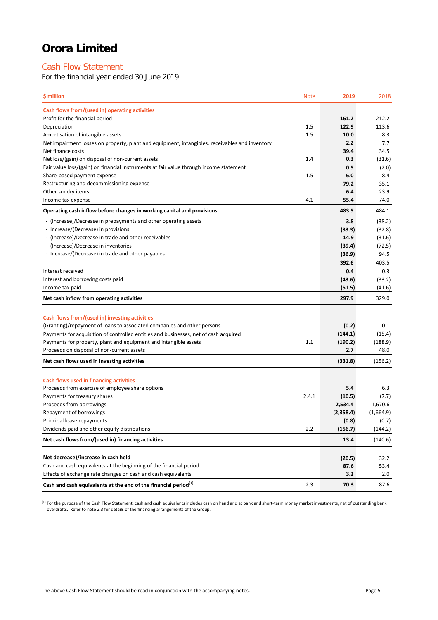# Cash Flow Statement

For the financial year ended 30 June 2019

| \$ million                                                                                     | <b>Note</b> | 2019           | 2018      |
|------------------------------------------------------------------------------------------------|-------------|----------------|-----------|
| Cash flows from/(used in) operating activities                                                 |             |                |           |
| Profit for the financial period                                                                |             | 161.2          | 212.2     |
| Depreciation                                                                                   | 1.5         | 122.9          | 113.6     |
| Amortisation of intangible assets                                                              | 1.5         | 10.0           | 8.3       |
| Net impairment losses on property, plant and equipment, intangibles, receivables and inventory |             | 2.2            | 7.7       |
| Net finance costs                                                                              |             | 39.4           | 34.5      |
| Net loss/(gain) on disposal of non-current assets                                              | 1.4         | 0.3            | (31.6)    |
| Fair value loss/(gain) on financial instruments at fair value through income statement         |             | 0.5            | (2.0)     |
| Share-based payment expense                                                                    | 1.5         | 6.0            | 8.4       |
| Restructuring and decommissioning expense                                                      |             | 79.2           | 35.1      |
| Other sundry items                                                                             |             | 6.4            | 23.9      |
| Income tax expense                                                                             | 4.1         | 55.4           | 74.0      |
| Operating cash inflow before changes in working capital and provisions                         |             | 483.5          | 484.1     |
| - (Increase)/Decrease in prepayments and other operating assets                                |             | 3.8            | (38.2)    |
| - Increase/(Decrease) in provisions                                                            |             | (33.3)         | (32.8)    |
| - (Increase)/Decrease in trade and other receivables                                           |             | 14.9           | (31.6)    |
| - (Increase)/Decrease in inventories                                                           |             | (39.4)         | (72.5)    |
| - Increase/(Decrease) in trade and other payables                                              |             | (36.9)         | 94.5      |
|                                                                                                |             | 392.6          | 403.5     |
| Interest received                                                                              |             | 0.4            | 0.3       |
| Interest and borrowing costs paid                                                              |             | (43.6)         | (33.2)    |
| Income tax paid                                                                                |             | (51.5)         | (41.6)    |
| Net cash inflow from operating activities                                                      |             | 297.9          | 329.0     |
|                                                                                                |             |                |           |
| Cash flows from/(used in) investing activities                                                 |             |                |           |
| (Granting)/repayment of loans to associated companies and other persons                        |             | (0.2)          | 0.1       |
| Payments for acquisition of controlled entities and businesses, net of cash acquired           | 1.1         | (144.1)        | (15.4)    |
| Payments for property, plant and equipment and intangible assets                               |             | (190.2)<br>2.7 | (188.9)   |
| Proceeds on disposal of non-current assets                                                     |             |                | 48.0      |
| Net cash flows used in investing activities                                                    |             | (331.8)        | (156.2)   |
| Cash flows used in financing activities                                                        |             |                |           |
| Proceeds from exercise of employee share options                                               |             | 5.4            | 6.3       |
| Payments for treasury shares                                                                   | 2.4.1       | (10.5)         | (7.7)     |
| Proceeds from borrowings                                                                       |             | 2,534.4        | 1,670.6   |
| Repayment of borrowings                                                                        |             | (2,358.4)      | (1,664.9) |
| Principal lease repayments                                                                     |             | (0.8)          | (0.7)     |
| Dividends paid and other equity distributions                                                  | 2.2         | (156.7)        | (144.2)   |
| Net cash flows from/(used in) financing activities                                             |             | 13.4           | (140.6)   |
|                                                                                                |             |                |           |
| Net decrease)/increase in cash held                                                            |             | (20.5)         | 32.2      |
| Cash and cash equivalents at the beginning of the financial period                             |             | 87.6           | 53.4      |
| Effects of exchange rate changes on cash and cash equivalents                                  |             | 3.2            | 2.0       |
| Cash and cash equivalents at the end of the financial period <sup>(1)</sup>                    | 2.3         | 70.3           | 87.6      |

 $^{(1)}$  For the purpose of the Cash Flow Statement, cash and cash equivalents includes cash on hand and at bank and short-term money market investments, net of outstanding bank overdrafts. Refer to note 2.3 for details of the financing arrangements of the Group.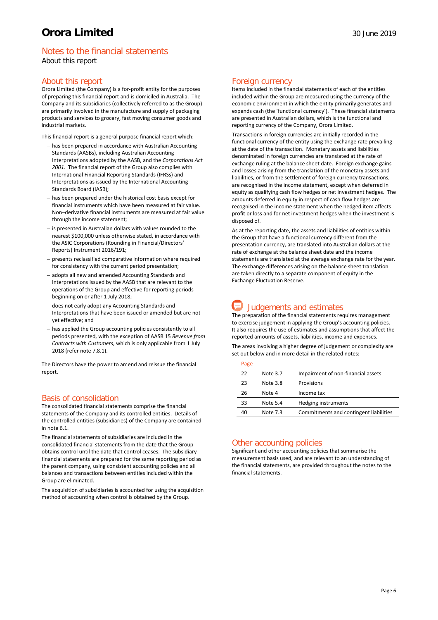# Notes to the financial statements About this report

### About this report

Orora Limited (the Company) is a for-profit entity for the purposes of preparing this financial report and is domiciled in Australia. The Company and its subsidiaries (collectively referred to as the Group) are primarily involved in the manufacture and supply of packaging products and services to grocery, fast moving consumer goods and industrial markets.

This financial report is a general purpose financial report which:

- − has been prepared in accordance with Australian Accounting Standards (AASBs), including Australian Accounting Interpretations adopted by the AASB, and the *Corporations Act 2001*. The financial report of the Group also complies with International Financial Reporting Standards (IFRSs) and Interpretations as issued by the International Accounting Standards Board (IASB);
- has been prepared under the historical cost basis except for financial instruments which have been measured at fair value. Non–derivative financial instruments are measured at fair value through the income statement;
- − is presented in Australian dollars with values rounded to the nearest \$100,000 unless otherwise stated, in accordance with the ASIC Corporations (Rounding in Financial/Directors' Reports) Instrument 2016/191;
- − presents reclassified comparative information where required for consistency with the current period presentation;
- − adopts all new and amended Accounting Standards and Interpretations issued by the AASB that are relevant to the operations of the Group and effective for reporting periods beginning on or after 1 July 2018;
- − does not early adopt any Accounting Standards and Interpretations that have been issued or amended but are not yet effective; and
- − has applied the Group accounting policies consistently to all periods presented, with the exception of AASB 15 *Revenue from Contracts with Customers*, which is only applicable from 1 July 2018 (refer note 7.8.1).

The Directors have the power to amend and reissue the financial report.

# Basis of consolidation

The consolidated financial statements comprise the financial statements of the Company and its controlled entities. Details of the controlled entities (subsidiaries) of the Company are contained in note 6.1.

The financial statements of subsidiaries are included in the consolidated financial statements from the date that the Group obtains control until the date that control ceases. The subsidiary financial statements are prepared for the same reporting period as the parent company, using consistent accounting policies and all balances and transactions between entities included within the Group are eliminated.

The acquisition of subsidiaries is accounted for using the acquisition method of accounting when control is obtained by the Group.

### Foreign currency

Items included in the financial statements of each of the entities included within the Group are measured using the currency of the economic environment in which the entity primarily generates and expends cash (the 'functional currency'). These financial statements are presented in Australian dollars, which is the functional and reporting currency of the Company, Orora Limited.

Transactions in foreign currencies are initially recorded in the functional currency of the entity using the exchange rate prevailing at the date of the transaction. Monetary assets and liabilities denominated in foreign currencies are translated at the rate of exchange ruling at the balance sheet date. Foreign exchange gains and losses arising from the translation of the monetary assets and liabilities, or from the settlement of foreign currency transactions, are recognised in the income statement, except when deferred in equity as qualifying cash flow hedges or net investment hedges. The amounts deferred in equity in respect of cash flow hedges are recognised in the income statement when the hedged item affects profit or loss and for net investment hedges when the investment is disposed of.

As at the reporting date, the assets and liabilities of entities within the Group that have a functional currency different from the presentation currency, are translated into Australian dollars at the rate of exchange at the balance sheet date and the income statements are translated at the average exchange rate for the year. The exchange differences arising on the balance sheet translation are taken directly to a separate component of equity in the Exchange Fluctuation Reserve.

# Judgements and estimates

The preparation of the financial statements requires management to exercise judgement in applying the Group's accounting policies. It also requires the use of estimates and assumptions that affect the reported amounts of assets, liabilities, income and expenses.

The areas involving a higher degree of judgement or complexity are set out below and in more detail in the related notes:

| Page |          |                                        |
|------|----------|----------------------------------------|
| 22   | Note 3.7 | Impairment of non-financial assets     |
| 23   | Note 3.8 | Provisions                             |
| 26   | Note 4   | Income tax                             |
| 33   | Note 5.4 | Hedging instruments                    |
| 40   | Note 7.3 | Commitments and contingent liabilities |
|      |          |                                        |

### Other accounting policies

Significant and other accounting policies that summarise the measurement basis used, and are relevant to an understanding of the financial statements, are provided throughout the notes to the financial statements.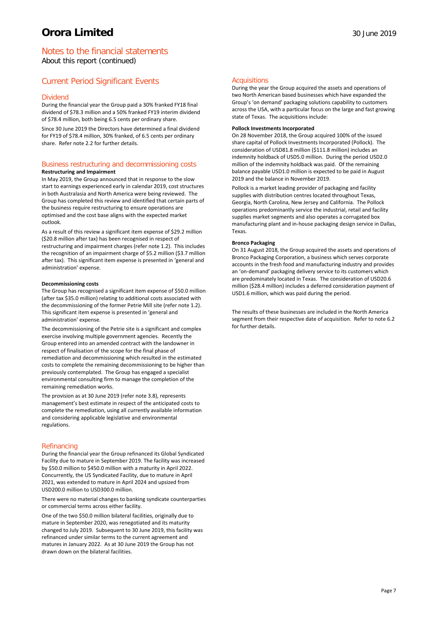# Notes to the financial statements About this report (continued)

# Current Period Significant Events

### Dividend

During the financial year the Group paid a 30% franked FY18 final dividend of \$78.3 million and a 50% franked FY19 interim dividend of \$78.4 million, both being 6.5 cents per ordinary share.

Since 30 June 2019 the Directors have determined a final dividend for FY19 of \$78.4 million, 30% franked, of 6.5 cents per ordinary share. Refer note 2.2 for further details.

# Business restructuring and decommissioning costs

### **Restructuring and Impairment**

In May 2019, the Group announced that in response to the slow start to earnings experienced early in calendar 2019, cost structures in both Australasia and North America were being reviewed. The Group has completed this review and identified that certain parts of the business require restructuring to ensure operations are optimised and the cost base aligns with the expected market outlook.

As a result of this review a significant item expense of \$29.2 million (\$20.8 million after tax) has been recognised in respect of restructuring and impairment charges (refer note 1.2). This includes the recognition of an impairment charge of \$5.2 million (\$3.7 million after tax). This significant item expense is presented in 'general and administration' expense.

### **Decommissioning costs**

The Group has recognised a significant item expense of \$50.0 million (after tax \$35.0 million) relating to additional costs associated with the decommissioning of the former Petrie Mill site (refer note 1.2). This significant item expense is presented in 'general and administration' expense.

The decommissioning of the Petrie site is a significant and complex exercise involving multiple government agencies. Recently the Group entered into an amended contract with the landowner in respect of finalisation of the scope for the final phase of remediation and decommissioning which resulted in the estimated costs to complete the remaining decommissioning to be higher than previously contemplated. The Group has engaged a specialist environmental consulting firm to manage the completion of the remaining remediation works.

The provision as at 30 June 2019 (refer note 3.8), represents management's best estimate in respect of the anticipated costs to complete the remediation, using all currently available information and considering applicable legislative and environmental regulations.

### Refinancing

During the financial year the Group refinanced its Global Syndicated Facility due to mature in September 2019. The facility was increased by \$50.0 million to \$450.0 million with a maturity in April 2022. Concurrently, the US Syndicated Facility, due to mature in April 2021, was extended to mature in April 2024 and upsized from USD200.0 million to USD300.0 million.

There were no material changes to banking syndicate counterparties or commercial terms across either facility.

One of the two \$50.0 million bilateral facilities, originally due to mature in September 2020, was renegotiated and its maturity changed to July 2019. Subsequent to 30 June 2019, this facility was refinanced under similar terms to the current agreement and matures in January 2022. As at 30 June 2019 the Group has not drawn down on the bilateral facilities.

### **Acquisitions**

During the year the Group acquired the assets and operations of two North American based businesses which have expanded the Group's 'on demand' packaging solutions capability to customers across the USA, with a particular focus on the large and fast growing state of Texas. The acquisitions include:

### **Pollock Investments Incorporated**

On 28 November 2018, the Group acquired 100% of the issued share capital of Pollock Investments Incorporated (Pollock). The consideration of USD81.8 million (\$111.8 million) includes an indemnity holdback of USD5.0 million. During the period USD2.0 million of the indemnity holdback was paid. Of the remaining balance payable USD1.0 million is expected to be paid in August 2019 and the balance in November 2019.

Pollock is a market leading provider of packaging and facility supplies with distribution centres located throughout Texas, Georgia, North Carolina, New Jersey and California. The Pollock operations predominantly service the industrial, retail and facility supplies market segments and also operates a corrugated box manufacturing plant and in-house packaging design service in Dallas, Texas.

### **Bronco Packaging**

On 31 August 2018, the Group acquired the assets and operations of Bronco Packaging Corporation, a business which serves corporate accounts in the fresh food and manufacturing industry and provides an 'on-demand' packaging delivery service to its customers which are predominately located in Texas. The consideration of USD20.6 million (\$28.4 million) includes a deferred consideration payment of USD1.6 million, which was paid during the period.

The results of these businesses are included in the North America segment from their respective date of acquisition. Refer to note 6.2 for further details.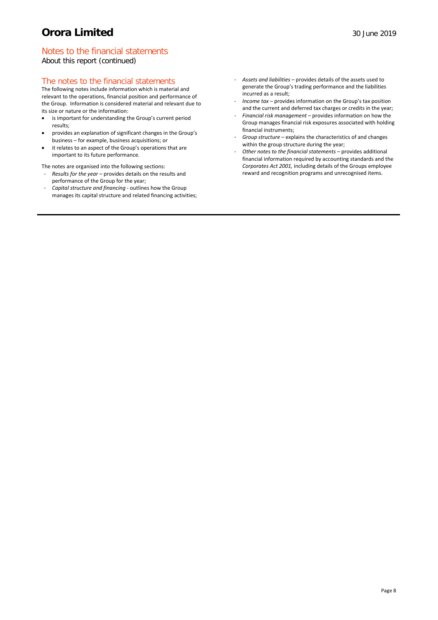# Notes to the financial statements

About this report (continued)

# The notes to the financial statements

The following notes include information which is material and relevant to the operations, financial position and performance of the Group. Information is considered material and relevant due to its size or nature or the information:

- is important for understanding the Group's current period results;
- provides an explanation of significant changes in the Group's business – for example, business acquisitions; or
- it relates to an aspect of the Group's operations that are important to its future performance.
- The notes are organised into the following sections: - *Results for the year* – provides details on the results and performance of the Group for the year;
- *Capital structure and financing -* outlines how the Group manages its capital structure and related financing activities;
- *Assets and liabilities* provides details of the assets used to generate the Group's trading performance and the liabilities incurred as a result;
- *Income tax* provides information on the Group's tax position and the current and deferred tax charges or credits in the year;
- *Financial risk management* provides information on how the Group manages financial risk exposures associated with holding financial instruments;
- *Group structure* explains the characteristics of and changes within the group structure during the year;
- *Other notes to the financial statements –* provides additional financial information required by accounting standards and the *Corporates Act 2001,* including details of the Groups employee reward and recognition programs and unrecognised items.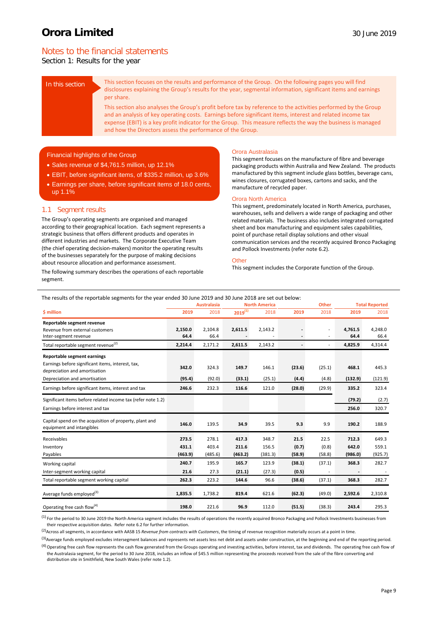# Notes to the financial statements

Section 1: Results for the year

In this section This section focuses on the results and performance of the Group. On the following pages you will find disclosures explaining the Group's results for the year, segmental information, significant items and earnings per share.

> This section also analyses the Group's profit before tax by reference to the activities performed by the Group and an analysis of key operating costs. Earnings before significant items, interest and related income tax expense (EBIT) is a key profit indicator for the Group. This measure reflects the way the business is managed and how the Directors assess the performance of the Group.

### Financial highlights of the Group

- Sales revenue of \$4,761.5 million, up 12.1%
- EBIT, before significant items, of \$335.2 million, up 3.6%
- Earnings per share, before significant items of 18.0 cents, up 1.1%

### 1.1 Segment results

The Group's operating segments are organised and managed according to their geographical location. Each segment represents a strategic business that offers different products and operates in different industries and markets. The Corporate Executive Team (the chief operating decision-makers) monitor the operating results of the businesses separately for the purpose of making decisions about resource allocation and performance assessment.

The following summary describes the operations of each reportable segment.

#### Orora Australasia

This segment focuses on the manufacture of fibre and beverage packaging products within Australia and New Zealand. The products manufactured by this segment include glass bottles, beverage cans, wines closures, corrugated boxes, cartons and sacks, and the manufacture of recycled paper.

### Orora North America

This segment, predominately located in North America, purchases, warehouses, sells and delivers a wide range of packaging and other related materials. The business also includes integrated corrugated sheet and box manufacturing and equipment sales capabilities, point of purchase retail display solutions and other visual communication services and the recently acquired Bronco Packaging and Pollock Investments (refer note 6.2).

#### **Other**

This segment includes the Corporate function of the Group.

| The results of the reportable segments for the year ended 30 June 2019 and 30 June 2018 are set out below: |  |  |
|------------------------------------------------------------------------------------------------------------|--|--|
|                                                                                                            |  |  |

|                                                                                                                   |                 | <b>Australasia</b> | <b>North America</b><br><b>Other</b> |         | <b>Total Reported</b>    |                                  |                 |                 |
|-------------------------------------------------------------------------------------------------------------------|-----------------|--------------------|--------------------------------------|---------|--------------------------|----------------------------------|-----------------|-----------------|
| \$ million                                                                                                        | 2019            | 2018               | $2019^{(1)}$                         | 2018    | 2019                     | 2018                             | 2019            | 2018            |
| Reportable segment revenue<br>Revenue from external customers<br>Inter-segment revenue                            | 2,150.0<br>64.4 | 2,104.8<br>66.4    | 2,611.5                              | 2,143.2 | $\overline{\phantom{a}}$ | $\overline{a}$<br>$\overline{a}$ | 4,761.5<br>64.4 | 4,248.0<br>66.4 |
| Total reportable segment revenue <sup>(2)</sup>                                                                   | 2,214.4         | 2,171.2            | 2,611.5                              | 2,143.2 | $\overline{\phantom{a}}$ | $\overline{a}$                   | 4,825.9         | 4,314.4         |
| Reportable segment earnings<br>Earnings before significant items, interest, tax,<br>depreciation and amortisation | 342.0           | 324.3              | 149.7                                | 146.1   | (23.6)                   | (25.1)                           | 468.1           | 445.3           |
| Depreciation and amortisation                                                                                     | (95.4)          | (92.0)             | (33.1)                               | (25.1)  | (4.4)                    | (4.8)                            | (132.9)         | (121.9)         |
| Earnings before significant items, interest and tax                                                               | 246.6           | 232.3              | 116.6                                | 121.0   | (28.0)                   | (29.9)                           | 335.2           | 323.4           |
| Significant items before related income tax (refer note 1.2)                                                      |                 |                    |                                      |         |                          |                                  | (79.2)          | (2.7)           |
| Earnings before interest and tax                                                                                  |                 |                    |                                      |         |                          |                                  | 256.0           | 320.7           |
| Capital spend on the acquisition of property, plant and<br>equipment and intangibles                              | 146.0           | 139.5              | 34.9                                 | 39.5    | 9.3                      | 9.9                              | 190.2           | 188.9           |
| Receivables                                                                                                       | 273.5           | 278.1              | 417.3                                | 348.7   | 21.5                     | 22.5                             | 712.3           | 649.3           |
| Inventory                                                                                                         | 431.1           | 403.4              | 211.6                                | 156.5   | (0.7)                    | (0.8)                            | 642.0           | 559.1           |
| Payables                                                                                                          | (463.9)         | (485.6)            | (463.2)                              | (381.3) | (58.9)                   | (58.8)                           | (986.0)         | (925.7)         |
| Working capital                                                                                                   | 240.7           | 195.9              | 165.7                                | 123.9   | (38.1)                   | (37.1)                           | 368.3           | 282.7           |
| Inter-segment working capital                                                                                     | 21.6            | 27.3               | (21.1)                               | (27.3)  | (0.5)                    |                                  |                 |                 |
| Total reportable segment working capital                                                                          | 262.3           | 223.2              | 144.6                                | 96.6    | (38.6)                   | (37.1)                           | 368.3           | 282.7           |
| Average funds employed <sup>(3)</sup>                                                                             | 1,835.5         | 1,738.2            | 819.4                                | 621.6   | (62.3)                   | (49.0)                           | 2,592.6         | 2,310.8         |
| Operating free cash flow <sup>(4)</sup>                                                                           | 198.0           | 221.6              | 96.9                                 | 112.0   | (51.5)                   | (38.3)                           | 243.4           | 295.3           |

<sup>(1)</sup> For the period to 30 June 2019 the North America segment includes the results of operations the recently acquired Bronco Packaging and Pollock Investments businesses from their respective acquisition dates. Refer note 6.2 for further information.

(2)Across all segments, in accordance with AASB 15 *Revenue from contracts with Customers*, the timing of revenue recognition materially occurs at a point in time.

<sup>(3)</sup>Average funds employed excludes intersegment balances and represents net assets less net debt and assets under construction, at the beginning and end of the reporting period. <sup>(4)</sup> Operating free cash flow represents the cash flow generated from the Groups operating and investing activities, before interest, tax and dividends. The operating free cash flow of

the Australasia segment, for the period to 30 June 2018, includes an inflow of \$45.5 million representing the proceeds received from the sale of the fibre converting and distribution site in Smithfield, New South Wales (refer note 1.2).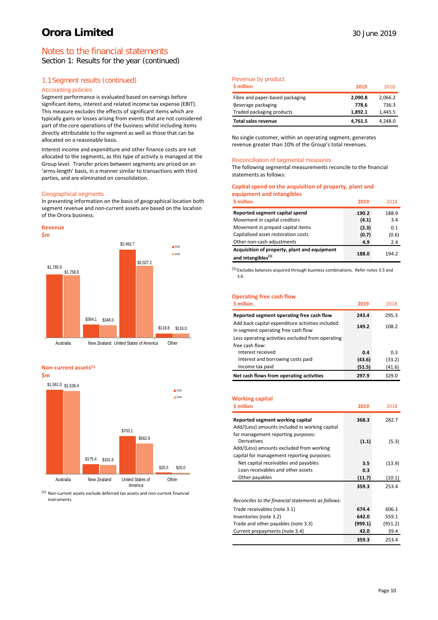# Notes to the financial statements

Section 1: Results for the year (continued)

# 1.1Segment results (continued)

### Accounting policies

Segment performance is evaluated based on earnings before significant items, interest and related income tax expense (EBIT). This measure excludes the effects of significant items which are typically gains or losses arising from events that are not considered part of the core operations of the business whilst including items directly attributable to the segment as well as those that can be allocated on a reasonable basis.

Interest income and expenditure and other finance costs are not allocated to the segments, as this type of activity is managed at the Group level. Transfer prices between segments are priced on an 'arms-length' basis, in a manner similar to transactions with third parties, and are eliminated on consolidation.

#### Geographical segments

In presenting information on the basis of geographical location both segment revenue and non-current assets are based on the location of the Orora business.





#### **Non-current assets(1)**

**\$m**



 $(1)$  Non-current assets exclude deferred tax assets and non-current financial instruments.

### Revenue by product

| <b>S</b> million                | 2019    | 2018    |
|---------------------------------|---------|---------|
| Fibre and paper-based packaging | 2.090.8 | 2,066.2 |
| Beverage packaging              | 778.6   | 736.3   |
| Traded packaging products       | 1.892.1 | 1,445.5 |
| Total sales revenue             | 4,761.5 | 4,248.0 |

No single customer, within an operating segment, generates revenue greater than 10% of the Group's total revenues.

#### Reconciliation of segmental measures

The following segmental measurements reconcile to the financial statements as follows:

### **Capital spend on the acquisition of property, plant and equipment and intangibles**

| <b>S</b> million                                                               | 2019  | 2018  |
|--------------------------------------------------------------------------------|-------|-------|
| Reported segment capital spend                                                 | 190.2 | 188.9 |
| Movement in capital creditors                                                  | (4.1) | 3.4   |
| Movement in prepaid capital items                                              | (2.3) | 0.1   |
| Capitalised asset restoration costs                                            | (0.7) | (0.6) |
| Other non-cash adjustments                                                     | 4.9   | 2.4   |
| Acquisition of property, plant and equipment<br>and intangibles <sup>(1)</sup> | 188.0 | 194.2 |

 $<sup>(1)</sup>$  Excludes balances acquired through business combinations. Refer notes 3.5 and</sup> 3.6.

### **Operating free cash flow**

| \$ million                                                                                                                                   | 2019   | 2018   |
|----------------------------------------------------------------------------------------------------------------------------------------------|--------|--------|
| Reported segment operating free cash flow                                                                                                    | 243.4  | 295.3  |
| Add back capital expenditure activities included<br>in segment operating free cash flow<br>Less operating activities excluded from operating | 149.2  | 108.2  |
| free cash flow:<br>Interest received                                                                                                         | 0.4    | 0.3    |
| Interest and borrowing costs paid                                                                                                            | (43.6) | (33.2) |
| Income tax paid                                                                                                                              | (51.5) | (41.6) |
| Net cash flows from operating activities                                                                                                     | 297.9  | 329.0  |

### **Working capital**

| <b>S</b> million                                         | 2019    | 2018    |
|----------------------------------------------------------|---------|---------|
| Reported segment working capital                         | 368.3   | 282.7   |
| Add/(Less) amounts included in working capital           |         |         |
| for management reporting purposes:<br><b>Derivatives</b> | (1.1)   | (5.3)   |
| Add/(Less) amounts excluded from working                 |         |         |
| capital for management reporting purposes:               |         |         |
| Net capital receivables and payables                     | 3.5     | (13.9)  |
| Loan receivables and other assets                        | 0.3     |         |
| Other payables                                           | (11.7)  | (10.1)  |
|                                                          | 359.3   | 253.4   |
|                                                          |         |         |
| Reconciles to the financial statements as follows:       |         |         |
| Trade receivables (note 3.1)                             | 674.4   | 606.1   |
| Inventories (note 3.2)                                   | 642.0   | 559.1   |
| Trade and other payables (note 3.3)                      | (999.1) | (951.2) |
| Current prepayments (note 3.4)                           | 42.0    | 39.4    |
|                                                          | 359.3   | 253.4   |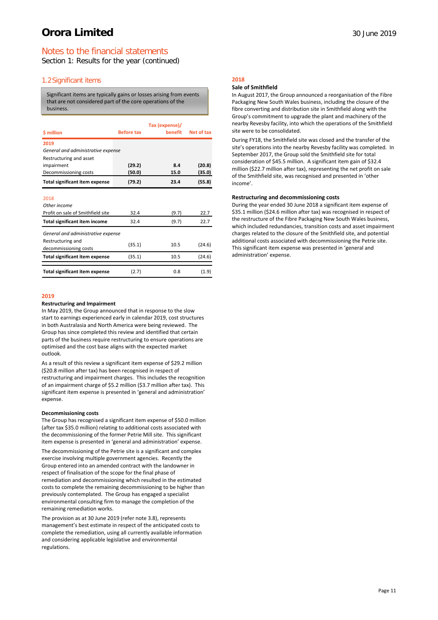# Notes to the financial statements

Section 1: Results for the year (continued)

### 1.2Significant items

Significant items are typically gains or losses arising from events that are not considered part of the core operations of the business.

| \$ million                                 | <b>Before tax</b> | Tax (expense)/<br>benefit | Net of tax |
|--------------------------------------------|-------------------|---------------------------|------------|
| 2019<br>General and administrative expense |                   |                           |            |
| Restructuring and asset                    |                   |                           |            |
| impairment                                 | (29.2)            | 8.4                       | (20.8)     |
| Decommissioning costs                      | (50.0)            | 15.0                      | (35.0)     |
| <b>Total significant item expense</b>      | (79.2)            | 23.4                      | (55.8)     |

2018

| Other income                               |        |       |        |
|--------------------------------------------|--------|-------|--------|
| Profit on sale of Smithfield site          | 32.4   | (9.7) | 22.7   |
| Total significant item income              | 32.4   | (9.7) | 22.7   |
| General and administrative expense         |        |       |        |
| Restructuring and<br>decommissioning costs | (35.1) | 10.5  | (24.6) |
| <b>Total significant item expense</b>      | (35.1) | 10.5  | (24.6) |
| <b>Total significant item expense</b>      | (2.7)  | 0.8   | (1.9)  |

### **2019**

#### **Restructuring and Impairment**

In May 2019, the Group announced that in response to the slow start to earnings experienced early in calendar 2019, cost structures in both Australasia and North America were being reviewed. The Group has since completed this review and identified that certain parts of the business require restructuring to ensure operations are optimised and the cost base aligns with the expected market outlook.

As a result of this review a significant item expense of \$29.2 million (\$20.8 million after tax) has been recognised in respect of restructuring and impairment charges. This includes the recognition of an impairment charge of \$5.2 million (\$3.7 million after tax). This significant item expense is presented in 'general and administration' expense.

### **Decommissioning costs**

The Group has recognised a significant item expense of \$50.0 million (after tax \$35.0 million) relating to additional costs associated with the decommissioning of the former Petrie Mill site. This significant item expense is presented in 'general and administration' expense.

The decommissioning of the Petrie site is a significant and complex exercise involving multiple government agencies. Recently the Group entered into an amended contract with the landowner in respect of finalisation of the scope for the final phase of remediation and decommissioning which resulted in the estimated costs to complete the remaining decommissioning to be higher than previously contemplated. The Group has engaged a specialist environmental consulting firm to manage the completion of the remaining remediation works.

The provision as at 30 June 2019 (refer note 3.8), represents management's best estimate in respect of the anticipated costs to complete the remediation, using all currently available information and considering applicable legislative and environmental regulations.

# **2018**

### **Sale of Smithfield**

In August 2017, the Group announced a reorganisation of the Fibre Packaging New South Wales business, including the closure of the fibre converting and distribution site in Smithfield along with the Group's commitment to upgrade the plant and machinery of the nearby Revesby facility, into which the operations of the Smithfield site were to be consolidated.

During FY18, the Smithfield site was closed and the transfer of the site's operations into the nearby Revesby facility was completed. In September 2017, the Group sold the Smithfield site for total consideration of \$45.5 million. A significant item gain of \$32.4 million (\$22.7 million after tax), representing the net profit on sale of the Smithfield site, was recognised and presented in 'other income'.

### **Restructuring and decommissioning costs**

During the year ended 30 June 2018 a significant item expense of \$35.1 million (\$24.6 million after tax) was recognised in respect of the restructure of the Fibre Packaging New South Wales business, which included redundancies, transition costs and asset impairment charges related to the closure of the Smithfield site, and potential additional costs associated with decommissioning the Petrie site. This significant item expense was presented in 'general and administration' expense.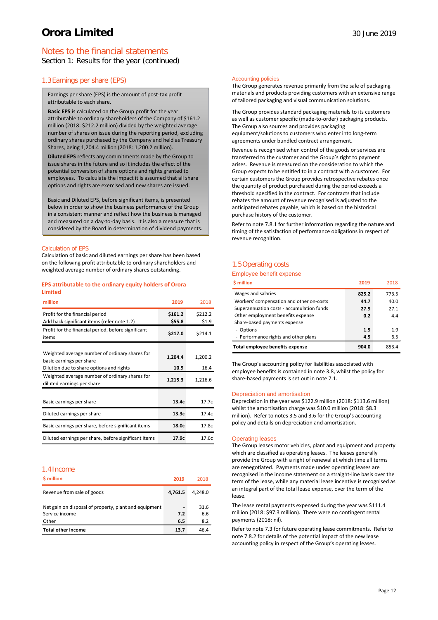# Notes to the financial statements

Section 1: Results for the year (continued)

### 1.3Earnings per share (EPS)

Earnings per share (EPS) is the amount of post-tax profit attributable to each share.

**Basic EPS** is calculated on the Group profit for the year attributable to ordinary shareholders of the Company of \$161.2 million (2018: \$212.2 million) divided by the weighted average number of shares on issue during the reporting period, excluding ordinary shares purchased by the Company and held as Treasury Shares, being 1,204.4 million (2018: 1,200.2 million).

**Diluted EPS** reflects any commitments made by the Group to issue shares in the future and so it includes the effect of the potential conversion of share options and rights granted to employees. To calculate the impact it is assumed that all share options and rights are exercised and new shares are issued.

Basic and Diluted EPS, before significant items, is presented below in order to show the business performance of the Group in a consistent manner and reflect how the business is managed and measured on a day-to-day basis. It is also a measure that is considered by the Board in determination of dividend payments.

### Calculation of EPS

Calculation of basic and diluted earnings per share has been based on the following profit attributable to ordinary shareholders and weighted average number of ordinary shares outstanding.

### **EPS attributable to the ordinary equity holders of Orora Limited**

| million                                                                                                                | 2019              | 2018             |
|------------------------------------------------------------------------------------------------------------------------|-------------------|------------------|
| Profit for the financial period<br>Add back significant items (refer note 1.2)                                         | \$161.2<br>\$55.8 | \$212.2<br>\$1.9 |
| Profit for the financial period, before significant<br>items                                                           | \$217.0           | \$214.1          |
| Weighted average number of ordinary shares for<br>basic earnings per share<br>Dilution due to share options and rights | 1,204.4<br>10.9   | 1,200.2<br>16.4  |
| Weighted average number of ordinary shares for<br>diluted earnings per share                                           | 1,215.3           | 1,216.6          |
| Basic earnings per share                                                                                               | 13.4c             | 17.7c            |
| Diluted earnings per share                                                                                             | 13.3c             | 17.4c            |
| Basic earnings per share, before significant items                                                                     | 18.0c             | 17.8c            |
| Diluted earnings per share, before significant items                                                                   | 17.9c             | 17.6c            |

#### 1.4Income

| \$ million                                                                       | 2019                                   | 2018               |
|----------------------------------------------------------------------------------|----------------------------------------|--------------------|
| Revenue from sale of goods                                                       | 4.761.5                                | 4.248.0            |
| Net gain on disposal of property, plant and equipment<br>Service income<br>Other | $\overline{\phantom{a}}$<br>7.2<br>6.5 | 31.6<br>6.6<br>8.2 |
| <b>Total other income</b>                                                        | 13.7                                   | 46.4               |

#### Accounting policies

The Group generates revenue primarily from the sale of packaging materials and products providing customers with an extensive range of tailored packaging and visual communication solutions.

The Group provides standard packaging materials to its customers as well as customer specific (made-to-order) packaging products. The Group also sources and provides packaging equipment/solutions to customers who enter into long-term agreements under bundled contract arrangement.

Revenue is recognised when control of the goods or services are transferred to the customer and the Group's right to payment arises. Revenue is measured on the consideration to which the Group expects to be entitled to in a contract with a customer. For certain customers the Group provides retrospective rebates once the quantity of product purchased during the period exceeds a threshold specified in the contract. For contracts that include rebates the amount of revenue recognised is adjusted to the anticipated rebates payable, which is based on the historical purchase history of the customer.

Refer to note 7.8.1 for further information regarding the nature and timing of the satisfaction of performance obligations in respect of revenue recognition.

### 1.5Operating costs

#### Employee benefit expense

| \$ million                                | 2019  | 2018  |
|-------------------------------------------|-------|-------|
| Wages and salaries                        | 825.2 | 773.5 |
| Workers' compensation and other on-costs  | 44.7  | 40.0  |
| Superannuation costs - accumulation funds | 27.9  | 27.1  |
| Other employment benefits expense         | 0.2   | 4.4   |
| Share-based payments expense              |       |       |
| - Options                                 | 1.5   | 1.9   |
| - Performance rights and other plans      | 4.5   | 6.5   |
| Total employee benefits expense           | 904.0 | 853.4 |

The Group's accounting policy for liabilities associated with employee benefits is contained in note 3.8, whilst the policy for share-based payments is set out in note 7.1.

#### Depreciation and amortisation

Depreciation in the year was \$122.9 million (2018: \$113.6 million) whilst the amortisation charge was \$10.0 million (2018: \$8.3 million). Refer to notes 3.5 and 3.6 for the Group's accounting policy and details on depreciation and amortisation.

### Operating leases

The Group leases motor vehicles, plant and equipment and property which are classified as operating leases. The leases generally provide the Group with a right of renewal at which time all terms are renegotiated. Payments made under operating leases are recognised in the income statement on a straight-line basis over the term of the lease, while any material lease incentive is recognised as an integral part of the total lease expense, over the term of the lease.

The lease rental payments expensed during the year was \$111.4 million (2018: \$97.3 million). There were no contingent rental payments (2018: nil).

Refer to note 7.3 for future operating lease commitments. Refer to note 7.8.2 for details of the potential impact of the new lease accounting policy in respect of the Group's operating leases.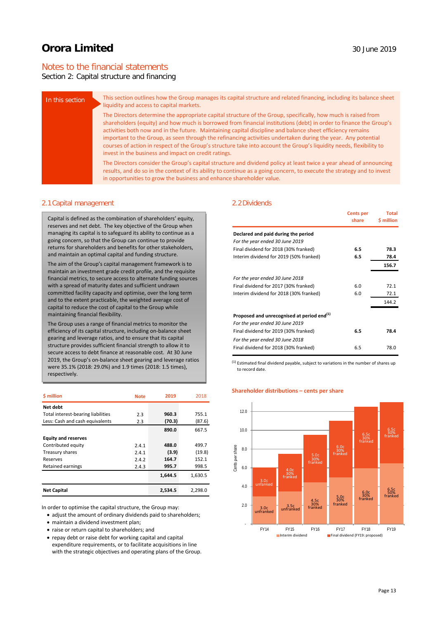# Notes to the financial statements

## Section 2: Capital structure and financing

| In this section | This section outlines how the Group manages its capital structure and related financing, including its balance sheet<br>liquidity and access to capital markets.                                                                                                                                                                                                                                                                                                                                                                                                                                                                                |
|-----------------|-------------------------------------------------------------------------------------------------------------------------------------------------------------------------------------------------------------------------------------------------------------------------------------------------------------------------------------------------------------------------------------------------------------------------------------------------------------------------------------------------------------------------------------------------------------------------------------------------------------------------------------------------|
|                 | The Directors determine the appropriate capital structure of the Group, specifically, how much is raised from<br>shareholders (equity) and how much is borrowed from financial institutions (debt) in order to finance the Group's<br>activities both now and in the future. Maintaining capital discipline and balance sheet efficiency remains<br>important to the Group, as seen through the refinancing activities undertaken during the year. Any potential<br>courses of action in respect of the Group's structure take into account the Group's liquidity needs, flexibility to<br>invest in the business and impact on credit ratings. |
|                 | The Directors consider the Group's capital structure and dividend policy at least twice a year ahead of announcing<br>results, and do so in the context of its ability to continue as a going concern, to execute the strategy and to invest<br>in opportunities to grow the business and enhance shareholder value.                                                                                                                                                                                                                                                                                                                            |

### 2.1Capital management

Capital is defined as the combination of shareholders' equity, reserves and net debt. The key objective of the Group when managing its capital is to safeguard its ability to continue as a going concern, so that the Group can continue to provide returns for shareholders and benefits for other stakeholders, and maintain an optimal capital and funding structure.

The aim of the Group's capital management framework is to maintain an investment grade credit profile, and the requisite financial metrics, to secure access to alternate funding sources with a spread of maturity dates and sufficient undrawn committed facility capacity and optimise, over the long term and to the extent practicable, the weighted average cost of capital to reduce the cost of capital to the Group while maintaining financial flexibility.

The Group uses a range of financial metrics to monitor the efficiency of its capital structure, including on-balance sheet gearing and leverage ratios, and to ensure that its capital structure provides sufficient financial strength to allow it to secure access to debt finance at reasonable cost. At 30 June 2019, the Group's on-balance sheet gearing and leverage ratios were 35.1% (2018: 29.0%) and 1.9 times (2018: 1.5 times), respectively.

| <b>S</b> million                   | <b>Note</b> | 2019    | 2018    |
|------------------------------------|-------------|---------|---------|
| Net debt                           |             |         |         |
| Total interest-bearing liabilities | 2.3         | 960.3   | 755.1   |
| Less: Cash and cash equivalents    | 2.3         | (70.3)  | (87.6)  |
|                                    |             | 890.0   | 667.5   |
| <b>Equity and reserves</b>         |             |         |         |
| Contributed equity                 | 2.4.1       | 488.0   | 499.7   |
| Treasury shares                    | 2.4.1       | (3.9)   | (19.8)  |
| Reserves                           | 2.4.2       | 164.7   | 152.1   |
| <b>Retained earnings</b>           | 2.4.3       | 995.7   | 998.5   |
|                                    |             | 1,644.5 | 1,630.5 |
| <b>Net Capital</b>                 |             | 2,534.5 | 2,298.0 |

In order to optimise the capital structure, the Group may:

- adjust the amount of ordinary dividends paid to shareholders;
- maintain a dividend investment plan;
- raise or return capital to shareholders; and
- repay debt or raise debt for working capital and capital expenditure requirements, or to facilitate acquisitions in line with the strategic objectives and operating plans of the Group.

### 2.2Dividends

|                                                                                           | <b>Cents per</b><br>share | Total<br><b>S</b> million |
|-------------------------------------------------------------------------------------------|---------------------------|---------------------------|
| Declared and paid during the period                                                       |                           |                           |
| For the year ended 30 June 2019                                                           |                           |                           |
| Final dividend for 2018 (30% franked)                                                     | 6.5                       | 78.3                      |
| Interim dividend for 2019 (50% franked)                                                   | 6.5                       | 78.4                      |
|                                                                                           |                           | 156.7                     |
| For the year ended 30 June 2018                                                           |                           |                           |
| Final dividend for 2017 (30% franked)                                                     | 6.0                       | 72.1                      |
| Interim dividend for 2018 (30% franked)                                                   | 6.0                       | 72.1                      |
|                                                                                           |                           | 144.2                     |
| Proposed and unrecognised at period end <sup>(1)</sup><br>For the year ended 30 June 2019 |                           |                           |
| Final dividend for 2019 (30% franked)                                                     | 6.5                       | 78.4                      |
| For the year ended 30 June 2018                                                           |                           |                           |
| Final dividend for 2018 (30% franked)                                                     | 6.5                       | 78.0                      |

 $<sup>(1)</sup>$  Estimated final dividend payable, subject to variations in the number of shares up</sup> to record date.

### **Shareholder distributions – cents per share**

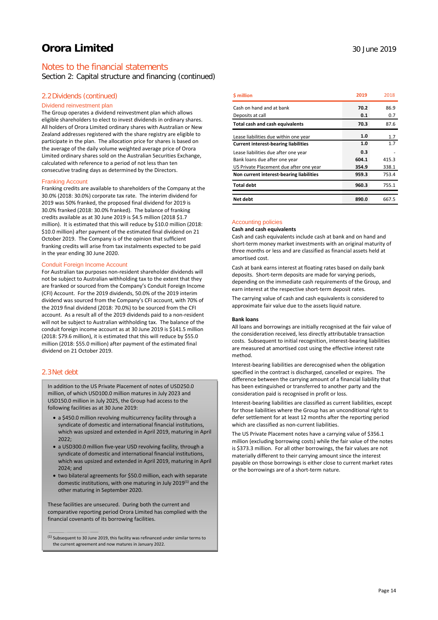# Notes to the financial statements

Section 2: Capital structure and financing (continued)

### 2.2Dividends (continued)

### Dividend reinvestment plan

The Group operates a dividend reinvestment plan which allows eligible shareholders to elect to invest dividends in ordinary shares. All holders of Orora Limited ordinary shares with Australian or New Zealand addresses registered with the share registry are eligible to participate in the plan. The allocation price for shares is based on the average of the daily volume weighted average price of Orora Limited ordinary shares sold on the Australian Securities Exchange, calculated with reference to a period of not less than ten consecutive trading days as determined by the Directors.

#### Franking Account

Franking credits are available to shareholders of the Company at the 30.0% (2018: 30.0%) corporate tax rate. The interim dividend for 2019 was 50% franked, the proposed final dividend for 2019 is 30.0% franked (2018: 30.0% franked). The balance of franking credits available as at 30 June 2019 is \$4.5 million (2018 \$1.7 million). It is estimated that this will reduce by \$10.0 million (2018: \$10.0 million) after payment of the estimated final dividend on 21 October 2019. The Company is of the opinion that sufficient franking credits will arise from tax instalments expected to be paid in the year ending 30 June 2020.

#### Conduit Foreign Income Account

For Australian tax purposes non-resident shareholder dividends will not be subject to Australian withholding tax to the extent that they are franked or sourced from the Company's Conduit Foreign Income (CFI) Account. For the 2019 dividends, 50.0% of the 2019 interim dividend was sourced from the Company's CFI account, with 70% of the 2019 final dividend (2018: 70.0%) to be sourced from the CFI account. As a result all of the 2019 dividends paid to a non-resident will not be subject to Australian withholding tax. The balance of the conduit foreign income account as at 30 June 2019 is \$141.5 million (2018: \$79.6 million), it is estimated that this will reduce by \$55.0 million (2018: \$55.0 million) after payment of the estimated final dividend on 21 October 2019.

### 2.3Net debt

In addition to the US Private Placement of notes of USD250.0 million, of which USD100.0 million matures in July 2023 and USD150.0 million in July 2025, the Group had access to the following facilities as at 30 June 2019:

- a \$450.0 million revolving multicurrency facility through a syndicate of domestic and international financial institutions, which was upsized and extended in April 2019, maturing in April 2022;
- a USD300.0 million five-year USD revolving facility, through a syndicate of domestic and international financial institutions, which was upsized and extended in April 2019, maturing in April 2024; and
- two bilateral agreements for \$50.0 million, each with separate domestic institutions, with one maturing in July 2019<sup>(1)</sup> and the other maturing in September 2020.

These facilities are unsecured. During both the current and comparative reporting period Orora Limited has complied with the financial covenants of its borrowing facilities.

| <b>S</b> million                            | 2019  | 2018  |
|---------------------------------------------|-------|-------|
| Cash on hand and at bank                    | 70.2  | 86.9  |
| Deposits at call                            | 0.1   | 0.7   |
| <b>Total cash and cash equivalents</b>      | 70.3  | 87.6  |
| Lease liabilities due within one year       | 1.0   | 1.7   |
| <b>Current interest-bearing liabilities</b> | 1.0   | 1.7   |
| Lease liabilities due after one year        | 0.3   |       |
| Bank loans due after one year               | 604.1 | 415.3 |
| US Private Placement due after one year     | 354.9 | 338.1 |
| Non current interest-bearing liabilities    | 959.3 | 753.4 |
| <b>Total debt</b>                           | 960.3 | 755.1 |
| Net debt                                    | 890.0 | 667.5 |

### Accounting policies

#### **Cash and cash equivalents**

Cash and cash equivalents include cash at bank and on hand and short-term money market investments with an original maturity of three months or less and are classified as financial assets held at amortised cost.

Cash at bank earns interest at floating rates based on daily bank deposits. Short-term deposits are made for varying periods, depending on the immediate cash requirements of the Group, and earn interest at the respective short-term deposit rates.

The carrying value of cash and cash equivalents is considered to approximate fair value due to the assets liquid nature.

#### **Bank loans**

All loans and borrowings are initially recognised at the fair value of the consideration received, less directly attributable transaction costs. Subsequent to initial recognition, interest-bearing liabilities are measured at amortised cost using the effective interest rate method.

Interest-bearing liabilities are derecognised when the obligation specified in the contract is discharged, cancelled or expires. The difference between the carrying amount of a financial liability that has been extinguished or transferred to another party and the consideration paid is recognised in profit or loss.

Interest-bearing liabilities are classified as current liabilities, except for those liabilities where the Group has an unconditional right to defer settlement for at least 12 months after the reporting period which are classified as non-current liabilities.

The US Private Placement notes have a carrying value of \$356.1 million (excluding borrowing costs) while the fair value of the notes is \$373.3 million. For all other borrowings, the fair values are not materially different to their carrying amount since the interest payable on those borrowings is either close to current market rates or the borrowings are of a short-term nature.

 $<sup>(1)</sup>$  Subsequent to 30 June 2019, this facility was refinanced under similar terms to</sup> the current agreement and now matures in January 2022.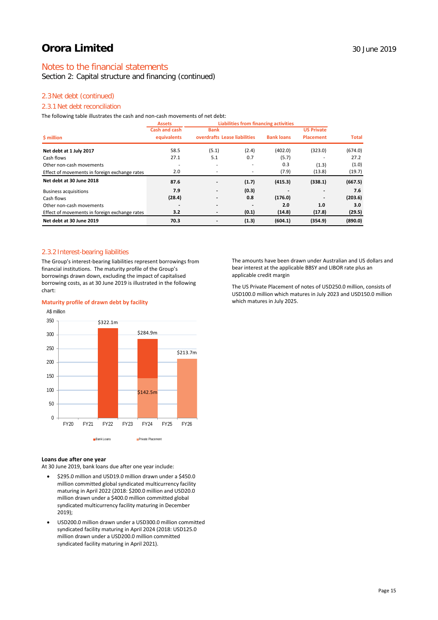# Notes to the financial statements

Section 2: Capital structure and financing (continued)

### 2.3Net debt (continued)

# 2.3.1 Net debt reconciliation

The following table illustrates the cash and non-cash movements of net debt:

|                                               | <b>Assets</b>        | <b>Liabilities from financing activities</b> |       |                   |                   |              |
|-----------------------------------------------|----------------------|----------------------------------------------|-------|-------------------|-------------------|--------------|
|                                               | <b>Cash and cash</b> | <b>Bank</b>                                  |       |                   | <b>US Private</b> |              |
| \$ million                                    | equivalents          | overdrafts Lease liabilities                 |       | <b>Bank loans</b> | <b>Placement</b>  | <b>Total</b> |
| Net debt at 1 July 2017                       | 58.5                 | (5.1)                                        | (2.4) | (402.0)           | (323.0)           | (674.0)      |
| Cash flows                                    | 27.1                 | 5.1                                          | 0.7   | (5.7)             |                   | 27.2         |
| Other non-cash movements                      |                      | ۰                                            |       | 0.3               | (1.3)             | (1.0)        |
| Effect of movements in foreign exchange rates | 2.0                  | ٠                                            |       | (7.9)             | (13.8)            | (19.7)       |
| Net debt at 30 June 2018                      | 87.6                 | $\overline{\phantom{a}}$                     | (1.7) | (415.3)           | (338.1)           | (667.5)      |
| <b>Business acquisitions</b>                  | 7.9                  |                                              | (0.3) |                   |                   | 7.6          |
| Cash flows                                    | (28.4)               | $\overline{\phantom{a}}$                     | 0.8   | (176.0)           |                   | (203.6)      |
| Other non-cash movements                      |                      | $\overline{\phantom{a}}$                     |       | 2.0               | 1.0               | 3.0          |
| Effect of movements in foreign exchange rates | 3.2                  |                                              | (0.1) | (14.8)            | (17.8)            | (29.5)       |
| Net debt at 30 June 2019                      | 70.3                 | -                                            | (1.3) | (604.1)           | (354.9)           | (890.0)      |

### 2.3.2 Interest-bearing liabilities

The Group's interest-bearing liabilities represent borrowings from financial institutions. The maturity profile of the Group's borrowings drawn down, excluding the impact of capitalised borrowing costs, as at 30 June 2019 is illustrated in the following chart:

## \$322.1m \$284.9m \$142.5m \$213.7m 100 150 200  $250$ 300 350 A\$ million

### **Maturity profile of drawn debt by facility**

**Loans due after one year**

 $\mathfrak{g}$ 50

At 30 June 2019, bank loans due after one year include:

• \$295.0 million and USD19.0 million drawn under a \$450.0 million committed global syndicated multicurrency facility maturing in April 2022 (2018: \$200.0 million and USD20.0 million drawn under a \$400.0 million committed global syndicated multicurrency facility maturing in December 2019);

FY20 FY21 FY22 FY23 FY24 FY25 FY26

**Bank Loans Private Placement** 

• USD200.0 million drawn under a USD300.0 million committed syndicated facility maturing in April 2024 (2018: USD125.0 million drawn under a USD200.0 million committed syndicated facility maturing in April 2021).

The amounts have been drawn under Australian and US dollars and bear interest at the applicable BBSY and LIBOR rate plus an applicable credit margin

The US Private Placement of notes of USD250.0 million, consists of USD100.0 million which matures in July 2023 and USD150.0 million which matures in July 2025.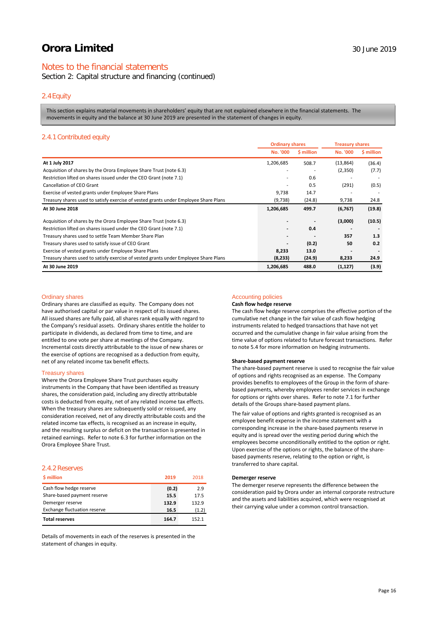# Notes to the financial statements

Section 2: Capital structure and financing (continued)

### 2.4Equity

This section explains material movements in shareholders' equity that are not explained elsewhere in the financial statements. The movements in equity and the balance at 30 June 2019 are presented in the statement of changes in equity.

### 2.4.1 Contributed equity

|                                                                                      | <b>Ordinary shares</b> |            | <b>Treasury shares</b> |            |
|--------------------------------------------------------------------------------------|------------------------|------------|------------------------|------------|
|                                                                                      | No. '000               | \$ million | <b>No. '000</b>        | \$ million |
| At 1 July 2017                                                                       | 1,206,685              | 508.7      | (13, 864)              | (36.4)     |
| Acquisition of shares by the Orora Employee Share Trust (note 6.3)                   |                        |            | (2,350)                | (7.7)      |
| Restriction lifted on shares issued under the CEO Grant (note 7.1)                   |                        | 0.6        |                        |            |
| Cancellation of CEO Grant                                                            |                        | 0.5        | (291)                  | (0.5)      |
| Exercise of vested grants under Employee Share Plans                                 | 9,738                  | 14.7       |                        |            |
| Treasury shares used to satisfy exercise of vested grants under Employee Share Plans | (9,738)                | (24.8)     | 9,738                  | 24.8       |
| At 30 June 2018                                                                      | 1,206,685              | 499.7      | (6, 767)               | (19.8)     |
| Acquisition of shares by the Orora Employee Share Trust (note 6.3)                   |                        |            | (3,000)                | (10.5)     |
| Restriction lifted on shares issued under the CEO Grant (note 7.1)                   |                        | 0.4        |                        |            |
| Treasury shares used to settle Team Member Share Plan                                |                        |            | 357                    | 1.3        |
| Treasury shares used to satisfy issue of CEO Grant                                   |                        | (0.2)      | 50                     | 0.2        |
| Exercise of vested grants under Employee Share Plans                                 | 8,233                  | 13.0       |                        |            |
| Treasury shares used to satisfy exercise of vested grants under Employee Share Plans | (8,233)                | (24.9)     | 8,233                  | 24.9       |
| At 30 June 2019                                                                      | 1,206,685              | 488.0      | (1, 127)               | (3.9)      |

#### Ordinary shares

Ordinary shares are classified as equity. The Company does not have authorised capital or par value in respect of its issued shares. All issued shares are fully paid, all shares rank equally with regard to the Company's residual assets. Ordinary shares entitle the holder to participate in dividends, as declared from time to time, and are entitled to one vote per share at meetings of the Company. Incremental costs directly attributable to the issue of new shares or the exercise of options are recognised as a deduction from equity, net of any related income tax benefit effects.

#### Treasury shares

Where the Orora Employee Share Trust purchases equity instruments in the Company that have been identified as treasury shares, the consideration paid, including any directly attributable costs is deducted from equity, net of any related income tax effects. When the treasury shares are subsequently sold or reissued, any consideration received, net of any directly attributable costs and the related income tax effects, is recognised as an increase in equity, and the resulting surplus or deficit on the transaction is presented in retained earnings. Refer to note 6.3 for further information on the Orora Employee Share Trust.

### 2.4.2 Reserves

| \$ million                          | 2019  | 2018  |
|-------------------------------------|-------|-------|
| Cash flow hedge reserve             | (0.2) | 2.9   |
| Share-based payment reserve         | 15.5  | 17.5  |
| Demerger reserve                    | 132.9 | 132.9 |
| <b>Exchange fluctuation reserve</b> | 16.5  | (1.2) |
| <b>Total reserves</b>               | 164.7 | 152.1 |

Details of movements in each of the reserves is presented in the statement of changes in equity.

### Accounting policies

### **Cash flow hedge reserve**

The cash flow hedge reserve comprises the effective portion of the cumulative net change in the fair value of cash flow hedging instruments related to hedged transactions that have not yet occurred and the cumulative change in fair value arising from the time value of options related to future forecast transactions. Refer to note 5.4 for more information on hedging instruments.

#### **Share-based payment reserve**

The share-based payment reserve is used to recognise the fair value of options and rights recognised as an expense. The Company provides benefits to employees of the Group in the form of sharebased payments, whereby employees render services in exchange for options or rights over shares. Refer to note 7.1 for further details of the Groups share-based payment plans.

The fair value of options and rights granted is recognised as an employee benefit expense in the income statement with a corresponding increase in the share-based payments reserve in equity and is spread over the vesting period during which the employees become unconditionally entitled to the option or right. Upon exercise of the options or rights, the balance of the sharebased payments reserve, relating to the option or right, is transferred to share capital.

### **Demerger reserve**

The demerger reserve represents the difference between the consideration paid by Orora under an internal corporate restructure and the assets and liabilities acquired, which were recognised at their carrying value under a common control transaction.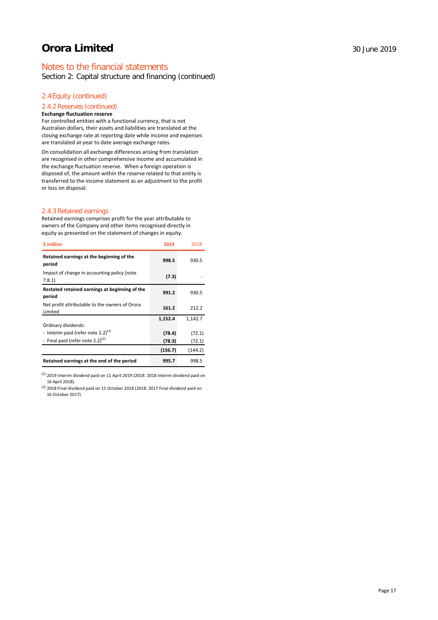# Notes to the financial statements

Section 2: Capital structure and financing (continued)

# 2.4Equity (continued)

### 2.4.2 Reserves (continued)

### **Exchange fluctuation reserve**

For controlled entities with a functional currency, that is not Australian dollars, their assets and liabilities are translated at the closing exchange rate at reporting date while income and expenses are translated at year to date average exchange rates.

On consolidation all exchange differences arising from translation are recognised in other comprehensive income and accumulated in the exchange fluctuation reserve. When a foreign operation is disposed of, the amount within the reserve related to that entity is transferred to the income statement as an adjustment to the profit or loss on disposal.

### 2.4.3 Retained earnings

Retained earnings comprises profit for the year attributable to owners of the Company and other items recognised directly in equity as presented on the statement of changes in equity.

| <b>S</b> million                                          | 2019    | 2018    |
|-----------------------------------------------------------|---------|---------|
| Retained earnings at the beginning of the<br>period       | 998.5   | 930.5   |
| Impact of change in accounting policy (note<br>7.8.1      | (7.3)   |         |
| Restated retained earnings at beginning of the<br>period  | 991.2   | 930.5   |
| Net profit attributable to the owners of Orora<br>Limited | 161.2   | 212.2   |
|                                                           | 1,152.4 | 1,142.7 |
| Ordinary dividends:                                       |         |         |
| - Interim paid (refer note 2.2) $(1)$                     | (78.4)  | (72.1)  |
| - Final paid (refer note 2.2) $(2)$                       | (78.3)  | (72.1)  |
|                                                           | (156.7) | (144.2) |
| Retained earnings at the end of the period                | 995.7   | 998.5   |

 $<sup>(1)</sup>$  2019 Interim dividend paid on 11 April 2019 (2018: 2018 Interim dividend paid on</sup> 16 April 2018).

(2) 2018 Final dividend paid on 15 October 2018 (2018: 2017 Final dividend paid on 16 October 2017).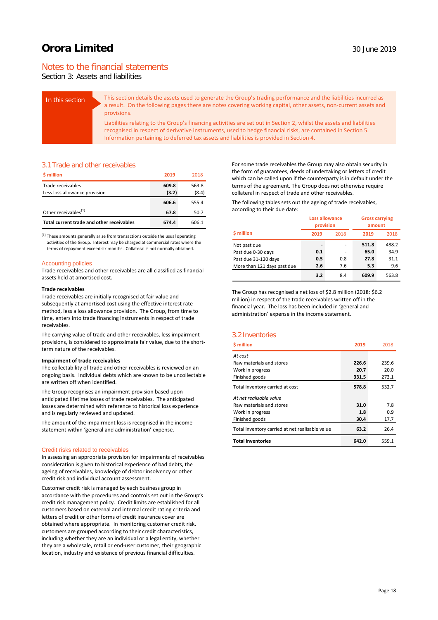# Notes to the financial statements

Section 3: Assets and liabilities

| In this section | This section details the assets used to generate the Group's trading performance and the liabilities incurred as<br>a result. On the following pages there are notes covering working capital, other assets, non-current assets and<br>provisions.                                                                             |
|-----------------|--------------------------------------------------------------------------------------------------------------------------------------------------------------------------------------------------------------------------------------------------------------------------------------------------------------------------------|
|                 | Liabilities relating to the Group's financing activities are set out in Section 2, whilst the assets and liabilities<br>recognised in respect of derivative instruments, used to hedge financial risks, are contained in Section 5.<br>Information pertaining to deferred tax assets and liabilities is provided in Section 4. |

### 3.1Trade and other receivables

| <b>S</b> million                          | 2019  | 2018  |
|-------------------------------------------|-------|-------|
| Trade receivables                         | 609.8 | 563.8 |
| Less loss allowance provision             | (3.2) | (8.4) |
|                                           | 606.6 | 555.4 |
| Other receivables <sup>(1)</sup>          | 67.8  | 50.7  |
| Total current trade and other receivables | 674.4 | 606.1 |

 $<sup>(1)</sup>$  These amounts generally arise from transactions outside the usual operating</sup> activities of the Group. Interest may be charged at commercial rates where the terms of repayment exceed six months. Collateral is not normally obtained.

### Accounting policies

Trade receivables and other receivables are all classified as financial assets held at amortised cost.

### **Trade receivables**

Trade receivables are initially recognised at fair value and subsequently at amortised cost using the effective interest rate method, less a loss allowance provision. The Group, from time to time, enters into trade financing instruments in respect of trade receivables.

The carrying value of trade and other receivables, less impairment provisions, is considered to approximate fair value, due to the shortterm nature of the receivables.

### **Impairment of trade receivables**

The collectability of trade and other receivables is reviewed on an ongoing basis. Individual debts which are known to be uncollectable are written off when identified.

The Group recognises an impairment provision based upon anticipated lifetime losses of trade receivables. The anticipated losses are determined with reference to historical loss experience and is regularly reviewed and updated.

The amount of the impairment loss is recognised in the income statement within 'general and administration' expense.

#### Credit risks related to receivables

In assessing an appropriate provision for impairments of receivables consideration is given to historical experience of bad debts, the ageing of receivables, knowledge of debtor insolvency or other credit risk and individual account assessment.

Customer credit risk is managed by each business group in accordance with the procedures and controls set out in the Group's credit risk management policy. Credit limits are established for all customers based on external and internal credit rating criteria and letters of credit or other forms of credit insurance cover are obtained where appropriate. In monitoring customer credit risk, customers are grouped according to their credit characteristics, including whether they are an individual or a legal entity, whether they are a wholesale, retail or end-user customer, their geographic location, industry and existence of previous financial difficulties.

For some trade receivables the Group may also obtain security in the form of guarantees, deeds of undertaking or letters of credit which can be called upon if the counterparty is in default under the terms of the agreement. The Group does not otherwise require collateral in respect of trade and other receivables.

The following tables sets out the ageing of trade receivables, according to their due date:

|                             | provision | <b>Loss allowance</b> | amount | <b>Gross carrying</b> |
|-----------------------------|-----------|-----------------------|--------|-----------------------|
| \$ million                  | 2019      | 2018                  | 2019   | 2018                  |
| Not past due                |           | ٠                     | 511.8  | 488.2                 |
| Past due 0-30 days          | 0.1       | ۰                     | 65.0   | 34.9                  |
| Past due 31-120 days        | 0.5       | 0.8                   | 27.8   | 31.1                  |
| More than 121 days past due | 2.6       | 7.6                   | 5.3    | 9.6                   |
|                             | 3.2       | 8.4                   | 609.9  | 563.8                 |

The Group has recognised a net loss of \$2.8 million (2018: \$6.2 million) in respect of the trade receivables written off in the financial year. The loss has been included in 'general and administration' expense in the income statement.

### 3.2Inventories

| <b>S</b> million                                | 2019  | 2018  |
|-------------------------------------------------|-------|-------|
| At cost                                         |       |       |
| Raw materials and stores                        | 226.6 | 239.6 |
| Work in progress                                | 20.7  | 20.0  |
| Finished goods                                  | 331.5 | 273.1 |
| Total inventory carried at cost                 | 578.8 | 532.7 |
| At net realisable value                         |       |       |
| Raw materials and stores                        | 31.0  | 7.8   |
| Work in progress                                | 1.8   | 0.9   |
| Finished goods                                  | 30.4  | 17.7  |
| Total inventory carried at net realisable value | 63.2  | 26.4  |
| <b>Total inventories</b>                        | 642.0 | 559.1 |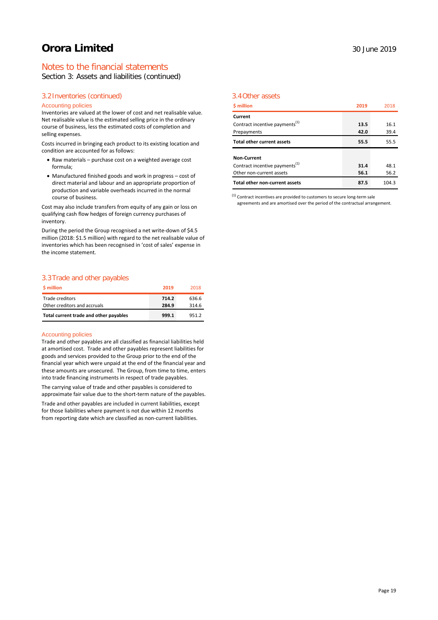# Notes to the financial statements

Section 3: Assets and liabilities (continued)

# 3.2Inventories (continued)

### Accounting policies

Inventories are valued at the lower of cost and net realisable value. Net realisable value is the estimated selling price in the ordinary course of business, less the estimated costs of completion and selling expenses.

Costs incurred in bringing each product to its existing location and condition are accounted for as follows:

- Raw materials purchase cost on a weighted average cost formula;
- Manufactured finished goods and work in progress cost of direct material and labour and an appropriate proportion of production and variable overheads incurred in the normal course of business.

Cost may also include transfers from equity of any gain or loss on qualifying cash flow hedges of foreign currency purchases of inventory.

During the period the Group recognised a net write-down of \$4.5 million (2018: \$1.5 million) with regard to the net realisable value of inventories which has been recognised in 'cost of sales' expense in the income statement.

### 3.3Trade and other payables

| <b>S</b> million                       | 2019  | 2018  |
|----------------------------------------|-------|-------|
| Trade creditors                        | 714.2 | 636.6 |
| Other creditors and accruals           | 284.9 | 314.6 |
| Total current trade and other payables | 999.1 | 951.2 |

### Accounting policies

Trade and other payables are all classified as financial liabilities held at amortised cost. Trade and other payables represent liabilities for goods and services provided to the Group prior to the end of the financial year which were unpaid at the end of the financial year and these amounts are unsecured. The Group, from time to time, enters into trade financing instruments in respect of trade payables.

The carrying value of trade and other payables is considered to approximate fair value due to the short-term nature of the payables.

Trade and other payables are included in current liabilities, except for those liabilities where payment is not due within 12 months from reporting date which are classified as non-current liabilities.

### 3.4Other assets

| <b>S</b> million                           | 2019 | 2018  |
|--------------------------------------------|------|-------|
| Current                                    |      |       |
| Contract incentive payments <sup>(1)</sup> | 13.5 | 16.1  |
| Prepayments                                | 42.0 | 39.4  |
| <b>Total other current assets</b>          | 55.5 | 55.5  |
| Non-Current                                |      |       |
| Contract incentive payments <sup>(1)</sup> | 31.4 | 48.1  |
| Other non-current assets                   | 56.1 | 56.2  |
| Total other non-current assets             | 87.5 | 104.3 |

 $<sup>(1)</sup>$  Contract incentives are provided to customers to secure long-term sale</sup> agreements and are amortised over the period of the contractual arrangement.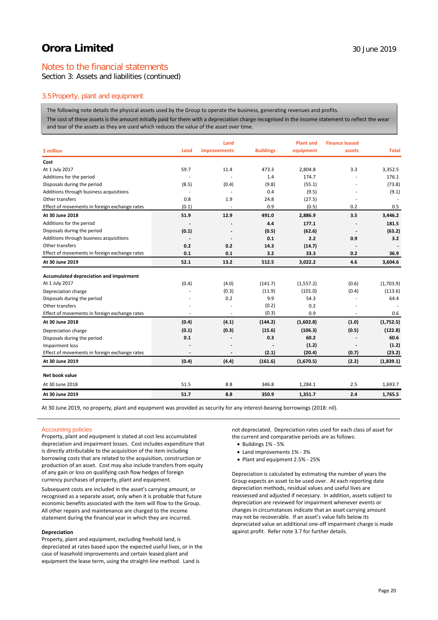# Notes to the financial statements

Section 3: Assets and liabilities (continued)

## 3.5Property, plant and equipment

The following note details the physical assets used by the Group to operate the business, generating revenues and profits.

The cost of these assets is the amount initially paid for them with a depreciation charge recognised in the income statement to reflect the wear and tear of the assets as they are used which reduces the value of the asset over time.

|                                               |       | Land         |                  | <b>Plant and</b> | <b>Finance leased</b> |              |
|-----------------------------------------------|-------|--------------|------------------|------------------|-----------------------|--------------|
| \$ million                                    | Land  | improvements | <b>Buildings</b> | equipment        | assets                | <b>Total</b> |
| Cost                                          |       |              |                  |                  |                       |              |
| At 1 July 2017                                | 59.7  | 11.4         | 473.3            | 2,804.8          | 3.3                   | 3,352.5      |
| Additions for the period                      |       |              | 1.4              | 174.7            |                       | 176.1        |
| Disposals during the period                   | (8.5) | (0.4)        | (9.8)            | (55.1)           |                       | (73.8)       |
| Additions through business acquisitions       |       |              | 0.4              | (9.5)            |                       | (9.1)        |
| Other transfers                               | 0.8   | 1.9          | 24.8             | (27.5)           |                       |              |
| Effect of movements in foreign exchange rates | (0.1) |              | 0.9              | (0.5)            | 0.2                   | 0.5          |
| At 30 June 2018                               | 51.9  | 12.9         | 491.0            | 2,886.9          | 3.5                   | 3,446.2      |
| Additions for the period                      |       |              | 4.4              | 177.1            |                       | 181.5        |
| Disposals during the period                   | (0.1) |              | (0.5)            | (62.6)           |                       | (63.2)       |
| Additions through business acquisitions       |       |              | 0.1              | 2.2              | 0.9                   | 3.2          |
| Other transfers                               | 0.2   | 0.2          | 14.3             | (14.7)           |                       |              |
| Effect of movements in foreign exchange rates | 0.1   | 0.1          | 3.2              | 33.3             | 0.2                   | 36.9         |
| At 30 June 2019                               | 52.1  | 13.2         | 512.5            | 3,022.2          | 4.6                   | 3,604.6      |
| Accumulated depreciation and impairment       |       |              |                  |                  |                       |              |
| At 1 July 2017                                | (0.4) | (4.0)        | (141.7)          | (1, 557.2)       | (0.6)                 | (1,703.9)    |
| Depreciation charge                           |       | (0.3)        | (11.9)           | (101.0)          | (0.4)                 | (113.6)      |
| Disposals during the period                   |       | 0.2          | 9.9              | 54.3             |                       | 64.4         |
| Other transfers                               |       |              | (0.2)            | 0.2              |                       |              |
| Effect of movements in foreign exchange rates | ٠     | $\sim$       | (0.3)            | 0.9              | ٠                     | 0.6          |
| At 30 June 2018                               | (0.4) | (4.1)        | (144.2)          | (1,602.8)        | (1.0)                 | (1,752.5)    |
| Depreciation charge                           | (0.1) | (0.3)        | (15.6)           | (106.3)          | (0.5)                 | (122.8)      |
| Disposals during the period                   | 0.1   | ٠            | 0.3              | 60.2             | $\overline{a}$        | 60.6         |
| Impairment loss                               |       |              |                  | (1.2)            |                       | (1.2)        |
| Effect of movements in foreign exchange rates |       |              | (2.1)            | (20.4)           | (0.7)                 | (23.2)       |
| At 30 June 2019                               | (0.4) | (4.4)        | (161.6)          | (1,670.5)        | (2.2)                 | (1,839.1)    |
| Net book value                                |       |              |                  |                  |                       |              |
| At 30 June 2018                               | 51.5  | 8.8          | 346.8            | 1,284.1          | 2.5                   | 1.693.7      |
| At 30 June 2019                               | 51.7  | 8.8          | 350.9            | 1,351.7          | 2.4                   | 1,765.5      |

At 30 June 2019, no property, plant and equipment was provided as security for any interest-bearing borrowings (2018: nil).

### Accounting policies

Property, plant and equipment is stated at cost less accumulated depreciation and impairment losses. Cost includes expenditure that is directly attributable to the acquisition of the item including borrowing costs that are related to the acquisition, construction or production of an asset. Cost may also include transfers from equity of any gain or loss on qualifying cash flow hedges of foreign currency purchases of property, plant and equipment.

Subsequent costs are included in the asset's carrying amount, or recognised as a separate asset, only when it is probable that future economic benefits associated with the item will flow to the Group. All other repairs and maintenance are charged to the income statement during the financial year in which they are incurred.

#### **Depreciation**

Property, plant and equipment, excluding freehold land, is depreciated at rates based upon the expected useful lives, or in the case of leasehold improvements and certain leased plant and equipment the lease term, using the straight-line method. Land is

not depreciated. Depreciation rates used for each class of asset for the current and comparative periods are as follows:

- Buildings 1% 5%
- Land improvements 1% 3%
- Plant and equipment 2.5% 25%

Depreciation is calculated by estimating the number of years the Group expects an asset to be used over. At each reporting date depreciation methods, residual values and useful lives are reassessed and adjusted if necessary. In addition, assets subject to depreciation are reviewed for impairment whenever events or changes in circumstances indicate that an asset carrying amount may not be recoverable. If an asset's value falls below its depreciated value an additional one-off impairment charge is made against profit. Refer note 3.7 for further details.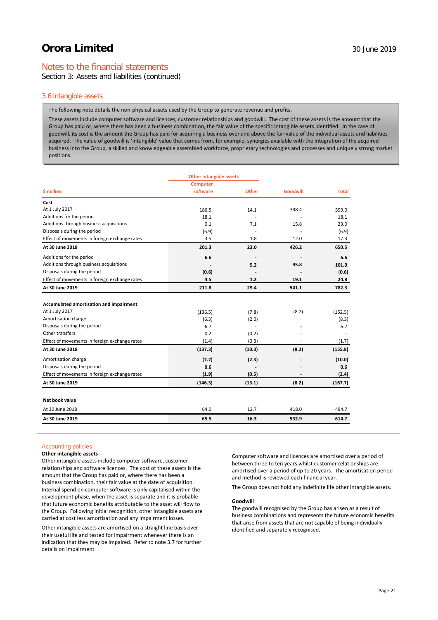# Notes to the financial statements

Section 3: Assets and liabilities (continued)

### 3.6Intangible assets

The following note details the non-physical assets used by the Group to generate revenue and profits.

These assets include computer software and licences, customer relationships and goodwill. The cost of these assets is the amount that the Group has paid or, where there has been a business combination, the fair value of the specific intangible assets identified. In the case of goodwill, its cost is the amount the Group has paid for acquiring a business over and above the fair value of the individual assets and liabilities acquired. The value of goodwill is 'intangible' value that comes from, for example, synergies available with the integration of the acquired business into the Group, a skilled and knowledgeable assembled workforce, proprietary technologies and processes and uniquely strong market positions.

|                                               | <b>Other intangible assets</b> |              |                 |              |
|-----------------------------------------------|--------------------------------|--------------|-----------------|--------------|
|                                               | <b>Computer</b>                |              |                 |              |
| \$ million                                    | software                       | <b>Other</b> | <b>Goodwill</b> | <b>Total</b> |
| Cost                                          |                                |              |                 |              |
| At 1 July 2017                                | 186.5                          | 14.1         | 398.4           | 599.0        |
| Additions for the period                      | 18.1                           |              |                 | 18.1         |
| Additions through business acquisitions       | 0.1                            | 7.1          | 15.8            | 23.0         |
| Disposals during the period                   | (6.9)                          |              |                 | (6.9)        |
| Effect of movements in foreign exchange rates | 3.5                            | 1.8          | 12.0            | 17.3         |
| At 30 June 2018                               | 201.3                          | 23.0         | 426.2           | 650.5        |
| Additions for the period                      | 6.6                            |              |                 | 6.6          |
| Additions through business acquisitions       |                                | 5.2          | 95.8            | 101.0        |
| Disposals during the period                   | (0.6)                          |              |                 | (0.6)        |
| Effect of movements in foreign exchange rates | 4.5                            | 1.2          | 19.1            | 24.8         |
| At 30 June 2019                               | 211.8                          | 29.4         | 541.1           | 782.3        |
| Accumulated amortisation and impairment       |                                |              |                 |              |
| At 1 July 2017                                | (136.5)                        | (7.8)        | (8.2)           | (152.5)      |
| Amortisation charge                           | (6.3)                          | (2.0)        |                 | (8.3)        |
| Disposals during the period                   | 6.7                            | ÷,           |                 | 6.7          |
| Other transfers                               | 0.2                            | (0.2)        |                 |              |
| Effect of movements in foreign exchange rates | (1.4)                          | (0.3)        |                 | (1.7)        |
| At 30 June 2018                               | (137.3)                        | (10.3)       | (8.2)           | (155.8)      |
| Amortisation charge                           | (7.7)                          | (2.3)        |                 | (10.0)       |
| Disposals during the period                   | 0.6                            |              |                 | 0.6          |
| Effect of movements in foreign exchange rates | (1.9)                          | (0.5)        |                 | (2.4)        |
| At 30 June 2019                               | (146.3)                        | (13.1)       | (8.2)           | (167.7)      |
| Net book value                                |                                |              |                 |              |
| At 30 June 2018                               | 64.0                           | 12.7         | 418.0           | 494.7        |
| At 30 June 2019                               | 65.5                           | 16.3         | 532.9           | 614.7        |

### Accounting policies

### **Other intangible assets**

Other intangible assets include computer software, customer relationships and software licences. The cost of these assets is the amount that the Group has paid or, where there has been a business combination, their fair value at the date of acquisition. Internal spend on computer software is only capitalised within the development phase, when the asset is separate and it is probable that future economic benefits attributable to the asset will flow to the Group. Following initial recognition, other intangible assets are carried at cost less amortisation and any impairment losses.

Other intangible assets are amortised on a straight line basis over their useful life and tested for impairment whenever there is an indication that they may be impaired. Refer to note 3.7 for further details on impairment.

Computer software and licences are amortised over a period of between three to ten years whilst customer relationships are amortised over a period of up to 20 years. The amortisation period and method is reviewed each financial year.

The Group does not hold any indefinite life other intangible assets.

#### **Goodwill**

The goodwill recognised by the Group has arisen as a result of business combinations and represents the future economic benefits that arise from assets that are not capable of being individually identified and separately recognised.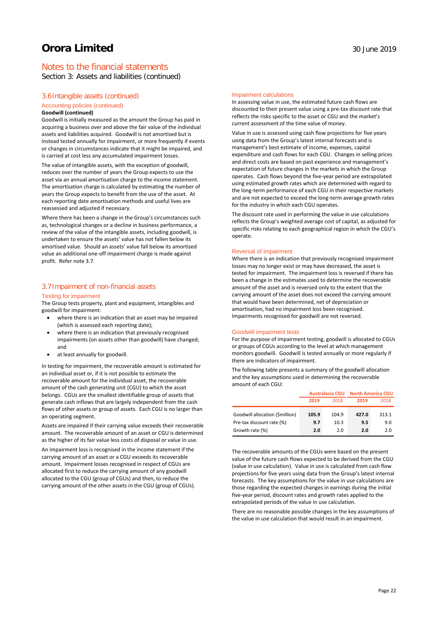Section 3: Assets and liabilities (continued)

### 3.6Intangible assets (continued)

### Accounting policies (continued)

#### **Goodwill (continued)**

Goodwill is initially measured as the amount the Group has paid in acquiring a business over and above the fair value of the individual assets and liabilities acquired. Goodwill is not amortised but is instead tested annually for impairment, or more frequently if events or changes in circumstances indicate that it might be impaired, and is carried at cost less any accumulated impairment losses.

The value of intangible assets, with the exception of goodwill, reduces over the number of years the Group expects to use the asset via an annual amortisation charge to the income statement. The amortisation charge is calculated by estimating the number of years the Group expects to benefit from the use of the asset. At each reporting date amortisation methods and useful lives are reassessed and adjusted if necessary.

Where there has been a change in the Group's circumstances such as, technological changes or a decline in business performance, a review of the value of the intangible assets, including goodwill, is undertaken to ensure the assets' value has not fallen below its amortised value. Should an assets' value fall below its amortised value an additional one-off impairment charge is made against profit. Refer note 3.7.

# 3.7Impairment of non-financial assets

### Testing for impairment

The Group tests property, plant and equipment, intangibles and goodwill for impairment:

- where there is an indication that an asset may be impaired (which is assessed each reporting date);
- where there is an indication that previously recognised impairments (on assets other than goodwill) have changed; and
- at least annually for goodwill.

In testing for impairment, the recoverable amount is estimated for an individual asset or, if it is not possible to estimate the recoverable amount for the individual asset, the recoverable amount of the cash generating unit (CGU) to which the asset belongs. CGUs are the smallest identifiable group of assets that generate cash inflows that are largely independent from the cash flows of other assets or group of assets. Each CGU is no larger than an operating segment.

Assets are impaired if their carrying value exceeds their recoverable amount. The recoverable amount of an asset or CGU is determined as the higher of its fair value less costs of disposal or value in use.

An impairment loss is recognised in the income statement if the carrying amount of an asset or a CGU exceeds its recoverable amount. Impairment losses recognised in respect of CGUs are allocated first to reduce the carrying amount of any goodwill allocated to the CGU (group of CGUs) and then, to reduce the carrying amount of the other assets in the CGU (group of CGUs). In assessing value in use, the estimated future cash flows are discounted to their present value using a pre-tax discount rate that reflects the risks specific to the asset or CGU and the market's current assessment of the time value of money.

Value in use is assessed using cash flow projections for five years using data from the Group's latest internal forecasts and is management's best estimate of income, expenses, capital expenditure and cash flows for each CGU. Changes in selling prices and direct costs are based on past experience and management's expectation of future changes in the markets in which the Group operates. Cash flows beyond the five-year period are extrapolated using estimated growth rates which are determined with regard to the long-term performance of each CGU in their respective markets and are not expected to exceed the long-term average growth rates for the industry in which each CGU operates.

The discount rate used in performing the value in use calculations reflects the Group's weighted average cost of capital, as adjusted for specific risks relating to each geographical region in which the CGU's operate.

#### Reversal of impairment

Where there is an indication that previously recognised impairment losses may no longer exist or may have decreased, the asset is tested for impairment. The impairment loss is reversed if there has been a change in the estimates used to determine the recoverable amount of the asset and is reversed only to the extent that the carrying amount of the asset does not exceed the carrying amount that would have been determined, net of depreciation or amortisation, had no impairment loss been recognised. Impairments recognised for goodwill are not reversed.

#### Goodwill impairment tests

For the purpose of impairment testing, goodwill is allocated to CGUs or groups of CGUs according to the level at which management monitors goodwill. Goodwill is tested annually or more regularly if there are indicators of impairment.

The following table presents a summary of the goodwill allocation and the key assumptions used in determining the recoverable amount of each CGU:

|                                 |       |       | Australasia CGU North America CGU |       |
|---------------------------------|-------|-------|-----------------------------------|-------|
|                                 | 2019  | 2018  | 2019                              | 2018  |
| Goodwill allocation (\$million) | 105.9 | 104.9 | 427.0                             | 313.1 |
| Pre-tax discount rate (%)       | 9.7   | 10.3  | 9.5                               | 9.0   |
| Growth rate (%)                 | 2.0   | 2.0   | 2.0                               | 2.0   |

The recoverable amounts of the CGUs were based on the present value of the future cash flows expected to be derived from the CGU (value in use calculation). Value in use is calculated from cash flow projections for five years using data from the Group's latest internal forecasts. The key assumptions for the value in use calculations are those regarding the expected changes in earnings during the initial five-year period, discount rates and growth rates applied to the extrapolated periods of the value in use calculation.

There are no reasonable possible changes in the key assumptions of the value in use calculation that would result in an impairment.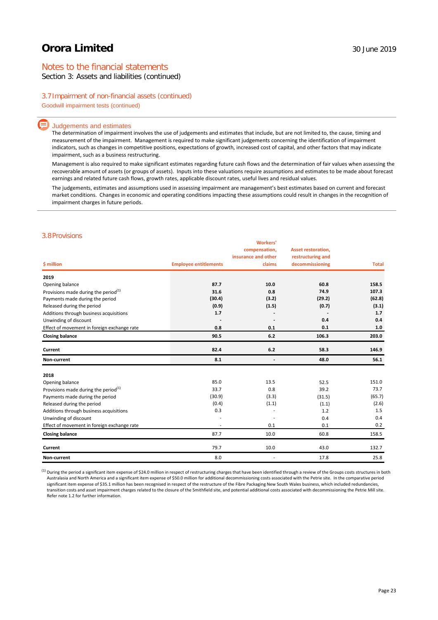# Notes to the financial statements

Section 3: Assets and liabilities (continued)

### 3.7Impairment of non-financial assets (continued)

Goodwill impairment tests (continued)

### Judgements and estimates

The determination of impairment involves the use of judgements and estimates that include, but are not limited to, the cause, timing and measurement of the impairment. Management is required to make significant judgements concerning the identification of impairment indicators, such as changes in competitive positions, expectations of growth, increased cost of capital, and other factors that may indicate impairment, such as a business restructuring.

Management is also required to make significant estimates regarding future cash flows and the determination of fair values when assessing the recoverable amount of assets (or groups of assets). Inputs into these valuations require assumptions and estimates to be made about forecast earnings and related future cash flows, growth rates, applicable discount rates, useful lives and residual values.

The judgements, estimates and assumptions used in assessing impairment are management's best estimates based on current and forecast market conditions. Changes in economic and operating conditions impacting these assumptions could result in changes in the recognition of impairment charges in future periods.

### 3.8Provisions

| \$ million                                  | <b>Employee entitlements</b> | <b>Workers'</b><br>compensation,<br>insurance and other<br>claims | <b>Asset restoration,</b><br>restructuring and<br>decommissioning | <b>Total</b> |
|---------------------------------------------|------------------------------|-------------------------------------------------------------------|-------------------------------------------------------------------|--------------|
| 2019                                        |                              |                                                                   |                                                                   |              |
| Opening balance                             | 87.7                         | 10.0                                                              | 60.8                                                              | 158.5        |
| Provisions made during the period $(1)$     | 31.6                         | 0.8                                                               | 74.9                                                              | 107.3        |
| Payments made during the period             | (30.4)                       | (3.2)                                                             | (29.2)                                                            | (62.8)       |
| Released during the period                  | (0.9)                        | (1.5)                                                             | (0.7)                                                             | (3.1)        |
| Additions through business acquisitions     | 1.7                          |                                                                   |                                                                   | 1.7          |
| Unwinding of discount                       |                              |                                                                   | 0.4                                                               | 0.4          |
| Effect of movement in foreign exchange rate | 0.8                          | 0.1                                                               | 0.1                                                               | 1.0          |
| <b>Closing balance</b>                      | 90.5                         | 6.2                                                               | 106.3                                                             | 203.0        |
| Current                                     | 82.4                         | 6.2                                                               | 58.3                                                              | 146.9        |
| Non-current                                 | 8.1                          | $\overline{\phantom{a}}$                                          | 48.0                                                              | 56.1         |
| 2018                                        |                              |                                                                   |                                                                   |              |
| Opening balance                             | 85.0                         | 13.5                                                              | 52.5                                                              | 151.0        |
| Provisions made during the period $(1)$     | 33.7                         | 0.8                                                               | 39.2                                                              | 73.7         |
| Payments made during the period             | (30.9)                       | (3.3)                                                             | (31.5)                                                            | (65.7)       |
| Released during the period                  | (0.4)                        | (1.1)                                                             | (1.1)                                                             | (2.6)        |
| Additions through business acquisitions     | 0.3                          |                                                                   | 1.2                                                               | 1.5          |
| Unwinding of discount                       |                              |                                                                   | 0.4                                                               | 0.4          |
| Effect of movement in foreign exchange rate | ٠                            | 0.1                                                               | 0.1                                                               | 0.2          |
| <b>Closing balance</b>                      | 87.7                         | 10.0                                                              | 60.8                                                              | 158.5        |
| Current                                     | 79.7                         | 10.0                                                              | 43.0                                                              | 132.7        |
| Non-current                                 | 8.0                          |                                                                   | 17.8                                                              | 25.8         |

<sup>(1)</sup> During the period a significant item expense of \$24.0 million in respect of restructuring charges that have been identified through a review of the Groups costs structures in both Australasia and North America and a significant item expense of \$50.0 million for additional decommissioning costs associated with the Petrie site. In the comparative period significant item expense of \$35.1 million has been recognised in respect of the restructure of the Fibre Packaging New South Wales business, which included redundancies, transition costs and asset impairment charges related to the closure of the Smithfield site, and potential additional costs associated with decommissioning the Petrie Mill site. Refer note 1.2 for further information.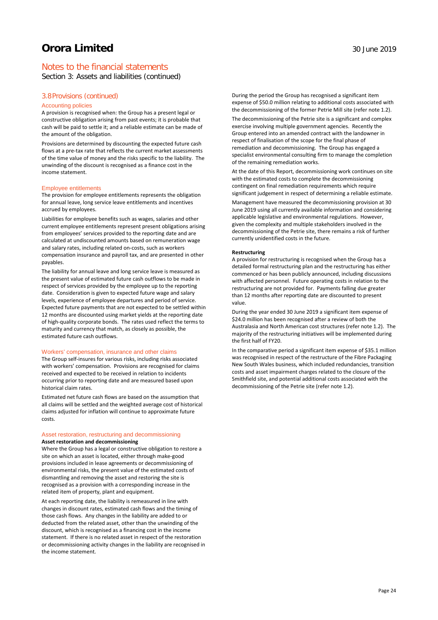Section 3: Assets and liabilities (continued)

### 3.8Provisions (continued)

### Accounting policies

A provision is recognised when: the Group has a present legal or constructive obligation arising from past events; it is probable that cash will be paid to settle it; and a reliable estimate can be made of the amount of the obligation.

Provisions are determined by discounting the expected future cash flows at a pre-tax rate that reflects the current market assessments of the time value of money and the risks specific to the liability. The unwinding of the discount is recognised as a finance cost in the income statement.

### Employee entitlements

The provision for employee entitlements represents the obligation for annual leave, long service leave entitlements and incentives accrued by employees.

Liabilities for employee benefits such as wages, salaries and other current employee entitlements represent present obligations arising from employees' services provided to the reporting date and are calculated at undiscounted amounts based on remuneration wage and salary rates, including related on-costs, such as workers compensation insurance and payroll tax, and are presented in other payables.

The liability for annual leave and long service leave is measured as the present value of estimated future cash outflows to be made in respect of services provided by the employee up to the reporting date. Consideration is given to expected future wage and salary levels, experience of employee departures and period of service. Expected future payments that are not expected to be settled within 12 months are discounted using market yields at the reporting date of high-quality corporate bonds. The rates used reflect the terms to maturity and currency that match, as closely as possible, the estimated future cash outflows.

#### Workers' compensation, insurance and other claims

The Group self-insures for various risks, including risks associated with workers' compensation. Provisions are recognised for claims received and expected to be received in relation to incidents occurring prior to reporting date and are measured based upon historical claim rates.

Estimated net future cash flows are based on the assumption that all claims will be settled and the weighted average cost of historical claims adjusted for inflation will continue to approximate future costs.

### Asset restoration, restructuring and decommissioning **Asset restoration and decommissioning**

Where the Group has a legal or constructive obligation to restore a site on which an asset is located, either through make-good provisions included in lease agreements or decommissioning of environmental risks, the present value of the estimated costs of dismantling and removing the asset and restoring the site is recognised as a provision with a corresponding increase in the related item of property, plant and equipment.

At each reporting date, the liability is remeasured in line with changes in discount rates, estimated cash flows and the timing of those cash flows. Any changes in the liability are added to or deducted from the related asset, other than the unwinding of the discount, which is recognised as a financing cost in the income statement. If there is no related asset in respect of the restoration or decommissioning activity changes in the liability are recognised in the income statement.

During the period the Group has recognised a significant item expense of \$50.0 million relating to additional costs associated with the decommissioning of the former Petrie Mill site (refer note 1.2).

The decommissioning of the Petrie site is a significant and complex exercise involving multiple government agencies. Recently the Group entered into an amended contract with the landowner in respect of finalisation of the scope for the final phase of remediation and decommissioning. The Group has engaged a specialist environmental consulting firm to manage the completion of the remaining remediation works.

At the date of this Report, decommissioning work continues on site with the estimated costs to complete the decommissioning contingent on final remediation requirements which require significant judgement in respect of determining a reliable estimate.

Management have measured the decommissioning provision at 30 June 2019 using all currently available information and considering applicable legislative and environmental regulations. However, given the complexity and multiple stakeholders involved in the decommissioning of the Petrie site, there remains a risk of further currently unidentified costs in the future.

### **Restructuring**

A provision for restructuring is recognised when the Group has a detailed formal restructuring plan and the restructuring has either commenced or has been publicly announced, including discussions with affected personnel. Future operating costs in relation to the restructuring are not provided for. Payments falling due greater than 12 months after reporting date are discounted to present value.

During the year ended 30 June 2019 a significant item expense of \$24.0 million has been recognised after a review of both the Australasia and North American cost structures (refer note 1.2). The majority of the restructuring initiatives will be implemented during the first half of FY20.

In the comparative period a significant item expense of \$35.1 million was recognised in respect of the restructure of the Fibre Packaging New South Wales business, which included redundancies, transition costs and asset impairment charges related to the closure of the Smithfield site, and potential additional costs associated with the decommissioning of the Petrie site (refer note 1.2).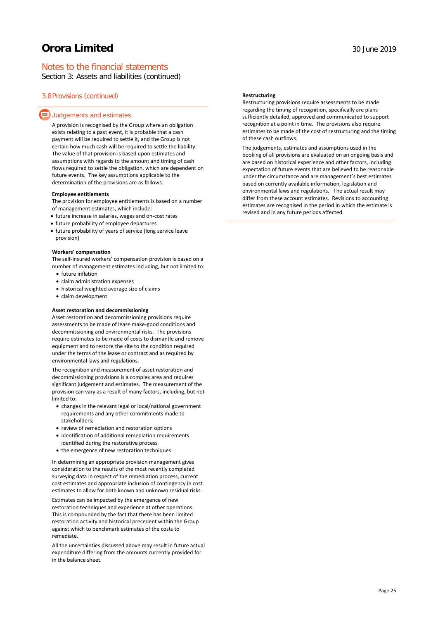# Notes to the financial statements

Section 3: Assets and liabilities (continued)

### 3.8Provisions (continued)

### $\equiv$  Judgements and estimates

A provision is recognised by the Group where an obligation exists relating to a past event, it is probable that a cash payment will be required to settle it, and the Group is not certain how much cash will be required to settle the liability. The value of that provision is based upon estimates and assumptions with regards to the amount and timing of cash flows required to settle the obligation, which are dependent on future events. The key assumptions applicable to the determination of the provisions are as follows:

### **Employee entitlements**

The provision for employee entitlements is based on a number of management estimates, which include:

- future increase in salaries, wages and on-cost rates
- future probability of employee departures
- future probability of years of service (long service leave provision)

### **Workers' compensation**

The self-insured workers' compensation provision is based on a number of management estimates including, but not limited to:

- future inflation
- claim administration expenses
- historical weighted average size of claims
- claim development

### **Asset restoration and decommissioning**

Asset restoration and decommissioning provisions require assessments to be made of lease make-good conditions and decommissioning and environmental risks. The provisions require estimates to be made of costs to dismantle and remove equipment and to restore the site to the condition required under the terms of the lease or contract and as required by environmental laws and regulations.

The recognition and measurement of asset restoration and decommissioning provisions is a complex area and requires significant judgement and estimates. The measurement of the provision can vary as a result of many factors, including, but not limited to:

- changes in the relevant legal or local/national government requirements and any other commitments made to stakeholders;
- review of remediation and restoration options
- identification of additional remediation requirements identified during the restorative process
- the emergence of new restoration techniques

In determining an appropriate provision management gives consideration to the results of the most recently completed surveying data in respect of the remediation process, current cost estimates and appropriate inclusion of contingency in cost estimates to allow for both known and unknown residual risks.

Estimates can be impacted by the emergence of new restoration techniques and experience at other operations. This is compounded by the fact that there has been limited restoration activity and historical precedent within the Group against which to benchmark estimates of the costs to remediate.

All the uncertainties discussed above may result in future actual expenditure differing from the amounts currently provided for in the balance sheet.

### **Restructuring**

Restructuring provisions require assessments to be made regarding the timing of recognition, specifically are plans sufficiently detailed, approved and communicated to support recognition at a point in time. The provisions also require estimates to be made of the cost of restructuring and the timing of these cash outflows.

The judgements, estimates and assumptions used in the booking of all provisions are evaluated on an ongoing basis and are based on historical experience and other factors, including expectation of future events that are believed to be reasonable under the circumstance and are management's best estimates based on currently available information, legislation and environmental laws and regulations. The actual result may differ from these account estimates. Revisions to accounting estimates are recognised in the period in which the estimate is revised and in any future periods affected.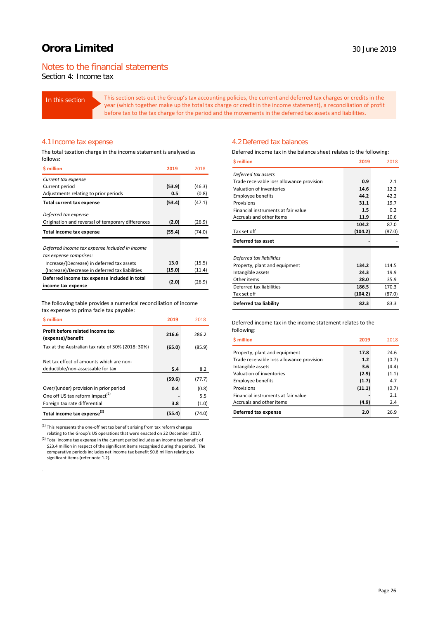# Notes to the financial statements

Section 4: Income tax

In this section This section sets out the Group's tax accounting policies, the current and deferred tax charges or credits in the year (which together make up the total tax charge or credit in the income statement), a reconciliation of profit before tax to the tax charge for the period and the movements in the deferred tax assets and liabilities.

### 4.1Income tax expense

The total taxation charge in the income statement is analysed as follows:

| <b>S</b> million                                                         | 2019   | 2018   |
|--------------------------------------------------------------------------|--------|--------|
| Current tax expense                                                      |        |        |
| Current period                                                           | (53.9) | (46.3) |
| Adjustments relating to prior periods                                    | 0.5    | (0.8)  |
| Total current tax expense                                                | (53.4) | (47.1) |
| Deferred tax expense                                                     |        |        |
| Origination and reversal of temporary differences                        | (2.0)  | (26.9) |
| Total income tax expense                                                 | (55.4) | (74.0) |
| Deferred income tax expense included in income<br>tax expense comprises: |        |        |
| Increase/(Decrease) in deferred tax assets                               | 13.0   | (15.5) |
| (Increase)/Decrease in deferred tax liabilities                          | (15.0) | (11.4) |
| Deferred income tax expense included in total                            | (2.0)  | (26.9) |
| income tax expense                                                       |        |        |

The following table provides a numerical reconciliation of income tax expense to prima facie tax payable:

| \$ million                                                                    | 2019   | 2018   |
|-------------------------------------------------------------------------------|--------|--------|
| Profit before related income tax<br>(expense)/benefit                         | 216.6  | 286.2  |
| Tax at the Australian tax rate of 30% (2018: 30%)                             | (65.0) | (85.9) |
| Net tax effect of amounts which are non-<br>deductible/non-assessable for tax | 5.4    | 8.2    |
|                                                                               | (59.6) | (77.7) |
| Over/(under) provision in prior period                                        | 0.4    | (0.8)  |
| One off US tax reform impact <sup>(1)</sup>                                   |        | 5.5    |
| Foreign tax rate differential                                                 | 3.8    | (1.0)  |
| Total income tax expense <sup>(2)</sup>                                       | (55.4) | (74.0) |

 $<sup>(1)</sup>$  This represents the one-off net tax benefit arising from tax reform changes</sup> relating to the Group's US operations that were enacted on 22 December 2017.

(2) Total income tax expense in the current period includes an income tax benefit of \$23.4 million in respect of the significant items recognised during the period. The comparative periods includes net income tax benefit \$0.8 million relating to significant items (refer note 1.2).

.

### 4.2Deferred tax balances

Deferred income tax in the balance sheet relates to the following:

| \$ million                                | 2019    | 2018   |
|-------------------------------------------|---------|--------|
| Deferred tax assets                       |         |        |
| Trade receivable loss allowance provision | 0.9     | 2.1    |
| Valuation of inventories                  | 14.6    | 12.2   |
| <b>Employee benefits</b>                  | 44.2    | 42.2   |
| Provisions                                | 31.1    | 19.7   |
| Financial instruments at fair value       | 1.5     | 0.2    |
| Accruals and other items                  | 11.9    | 10.6   |
|                                           | 104.2   | 87.0   |
| Tax set off                               | (104.2) | (87.0) |
| Deferred tax asset                        |         |        |
| Deferred tax liabilities                  |         |        |
| Property, plant and equipment             | 134.2   | 114.5  |
| Intangible assets                         | 24.3    | 19.9   |
| Other items                               | 28.0    | 35.9   |
| Deferred tax liabilities                  | 186.5   | 170.3  |
| Tax set off                               | (104.2) | (87.0) |
| <b>Deferred tax liability</b>             | 82.3    | 83.3   |

### Deferred income tax in the income statement relates to the following:

| <b>S</b> million                          | 2019   | 2018  |
|-------------------------------------------|--------|-------|
| Property, plant and equipment             | 17.8   | 24.6  |
| Trade receivable loss allowance provision | 1.2    | (0.7) |
| Intangible assets                         | 3.6    | (4.4) |
| Valuation of inventories                  | (2.9)  | (1.1) |
| <b>Employee benefits</b>                  | (1.7)  | 4.7   |
| Provisions                                | (11.1) | (0.7) |
| Financial instruments at fair value       |        | 2.1   |
| Accruals and other items                  | (4.9)  | 2.4   |
| Deferred tax expense                      | 2.0    | 26.9  |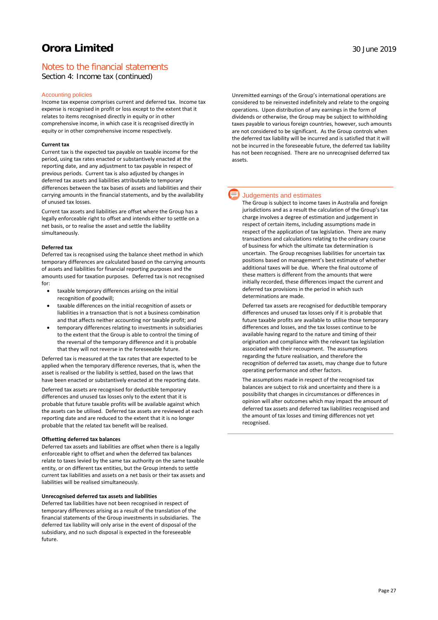# Notes to the financial statements

Section 4: Income tax (continued)

### Accounting policies

Income tax expense comprises current and deferred tax. Income tax expense is recognised in profit or loss except to the extent that it relates to items recognised directly in equity or in other comprehensive income, in which case it is recognised directly in equity or in other comprehensive income respectively.

### **Current tax**

Current tax is the expected tax payable on taxable income for the period, using tax rates enacted or substantively enacted at the reporting date, and any adjustment to tax payable in respect of previous periods. Current tax is also adjusted by changes in deferred tax assets and liabilities attributable to temporary differences between the tax bases of assets and liabilities and their carrying amounts in the financial statements, and by the availability of unused tax losses.

Current tax assets and liabilities are offset where the Group has a legally enforceable right to offset and intends either to settle on a net basis, or to realise the asset and settle the liability simultaneously.

### **Deferred tax**

Deferred tax is recognised using the balance sheet method in which temporary differences are calculated based on the carrying amounts of assets and liabilities for financial reporting purposes and the amounts used for taxation purposes. Deferred tax is not recognised for:

- taxable temporary differences arising on the initial recognition of goodwill;
- taxable differences on the initial recognition of assets or liabilities in a transaction that is not a business combination and that affects neither accounting nor taxable profit; and
- temporary differences relating to investments in subsidiaries to the extent that the Group is able to control the timing of the reversal of the temporary difference and it is probable that they will not reverse in the foreseeable future.

Deferred tax is measured at the tax rates that are expected to be applied when the temporary difference reverses, that is, when the asset is realised or the liability is settled, based on the laws that have been enacted or substantively enacted at the reporting date.

Deferred tax assets are recognised for deductible temporary differences and unused tax losses only to the extent that it is probable that future taxable profits will be available against which the assets can be utilised. Deferred tax assets are reviewed at each reporting date and are reduced to the extent that it is no longer probable that the related tax benefit will be realised.

#### **Offsetting deferred tax balances**

Deferred tax assets and liabilities are offset when there is a legally enforceable right to offset and when the deferred tax balances relate to taxes levied by the same tax authority on the same taxable entity, or on different tax entities, but the Group intends to settle current tax liabilities and assets on a net basis or their tax assets and liabilities will be realised simultaneously.

### **Unrecognised deferred tax assets and liabilities**

Deferred tax liabilities have not been recognised in respect of temporary differences arising as a result of the translation of the financial statements of the Group investments in subsidiaries. The deferred tax liability will only arise in the event of disposal of the subsidiary, and no such disposal is expected in the foreseeable future.

Unremitted earnings of the Group's international operations are considered to be reinvested indefinitely and relate to the ongoing operations. Upon distribution of any earnings in the form of dividends or otherwise, the Group may be subject to withholding taxes payable to various foreign countries, however, such amounts are not considered to be significant. As the Group controls when the deferred tax liability will be incurred and is satisfied that it will not be incurred in the foreseeable future, the deferred tax liability has not been recognised. There are no unrecognised deferred tax assets.

### Judgements and estimates

The Group is subject to income taxes in Australia and foreign jurisdictions and as a result the calculation of the Group's tax charge involves a degree of estimation and judgement in respect of certain items, including assumptions made in respect of the application of tax legislation. There are many transactions and calculations relating to the ordinary course of business for which the ultimate tax determination is uncertain. The Group recognises liabilities for uncertain tax positions based on management's best estimate of whether additional taxes will be due. Where the final outcome of these matters is different from the amounts that were initially recorded, these differences impact the current and deferred tax provisions in the period in which such determinations are made.

Deferred tax assets are recognised for deductible temporary differences and unused tax losses only if it is probable that future taxable profits are available to utilise those temporary differences and losses, and the tax losses continue to be available having regard to the nature and timing of their origination and compliance with the relevant tax legislation associated with their recoupment. The assumptions regarding the future realisation, and therefore the recognition of deferred tax assets, may change due to future operating performance and other factors.

The assumptions made in respect of the recognised tax balances are subject to risk and uncertainty and there is a possibility that changes in circumstances or differences in opinion will alter outcomes which may impact the amount of deferred tax assets and deferred tax liabilities recognised and the amount of tax losses and timing differences not yet recognised.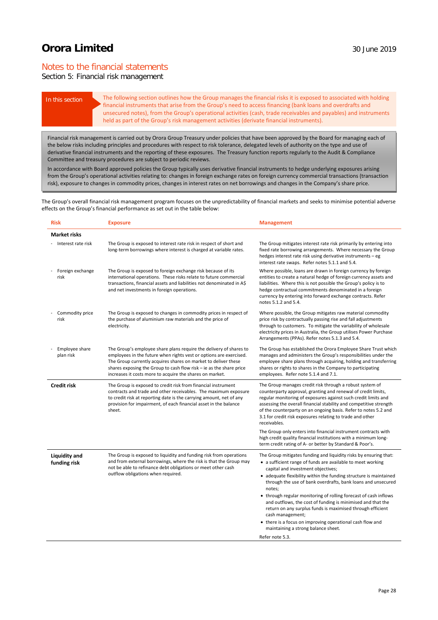# Notes to the financial statements

## Section 5: Financial risk management

In this section The following section outlines how the Group manages the financial risks it is exposed to associated with holding financial instruments that arise from the Group's need to access financing (bank loans and overdrafts and unsecured notes), from the Group's operational activities (cash, trade receivables and payables) and instruments held as part of the Group's risk management activities (derivate financial instruments).

Financial risk management is carried out by Orora Group Treasury under policies that have been approved by the Board for managing each of the below risks including principles and procedures with respect to risk tolerance, delegated levels of authority on the type and use of derivative financial instruments and the reporting of these exposures. The Treasury function reports regularly to the Audit & Compliance Committee and treasury procedures are subject to periodic reviews.

In accordance with Board approved policies the Group typically uses derivative financial instruments to hedge underlying exposures arising from the Group's operational activities relating to: changes in foreign exchange rates on foreign currency commercial transactions (transaction risk), exposure to changes in commodity prices, changes in interest rates on net borrowings and changes in the Company's share price.

The Group's overall financial risk management program focuses on the unpredictability of financial markets and seeks to minimise potential adverse effects on the Group's financial performance as set out in the table below:

| <b>Risk</b>                   | <b>Exposure</b>                                                                                                                                                                                                                                                                                                                               | <b>Management</b>                                                                                                                                                                                                                                                                                                                                                                                                                                                                                                                                                                                                                                                 |
|-------------------------------|-----------------------------------------------------------------------------------------------------------------------------------------------------------------------------------------------------------------------------------------------------------------------------------------------------------------------------------------------|-------------------------------------------------------------------------------------------------------------------------------------------------------------------------------------------------------------------------------------------------------------------------------------------------------------------------------------------------------------------------------------------------------------------------------------------------------------------------------------------------------------------------------------------------------------------------------------------------------------------------------------------------------------------|
| <b>Market risks</b>           |                                                                                                                                                                                                                                                                                                                                               |                                                                                                                                                                                                                                                                                                                                                                                                                                                                                                                                                                                                                                                                   |
| Interest rate risk            | The Group is exposed to interest rate risk in respect of short and<br>long-term borrowings where interest is charged at variable rates.                                                                                                                                                                                                       | The Group mitigates interest rate risk primarily by entering into<br>fixed rate borrowing arrangements. Where necessary the Group<br>hedges interest rate risk using derivative instruments - eg<br>interest rate swaps. Refer notes 5.1.1 and 5.4.                                                                                                                                                                                                                                                                                                                                                                                                               |
| Foreign exchange<br>risk      | The Group is exposed to foreign exchange risk because of its<br>international operations. These risks relate to future commercial<br>transactions, financial assets and liabilities not denominated in A\$<br>and net investments in foreign operations.                                                                                      | Where possible, loans are drawn in foreign currency by foreign<br>entities to create a natural hedge of foreign currency assets and<br>liabilities. Where this is not possible the Group's policy is to<br>hedge contractual commitments denominated in a foreign<br>currency by entering into forward exchange contracts. Refer<br>notes 5.1.2 and 5.4.                                                                                                                                                                                                                                                                                                          |
| Commodity price<br>risk       | The Group is exposed to changes in commodity prices in respect of<br>the purchase of aluminium raw materials and the price of<br>electricity.                                                                                                                                                                                                 | Where possible, the Group mitigates raw material commodity<br>price risk by contractually passing rise and fall adjustments<br>through to customers. To mitigate the variability of wholesale<br>electricity prices in Australia, the Group utilises Power Purchase<br>Arrangements (PPAs). Refer notes 5.1.3 and 5.4.                                                                                                                                                                                                                                                                                                                                            |
| Employee share<br>plan risk   | The Group's employee share plans require the delivery of shares to<br>employees in the future when rights vest or options are exercised.<br>The Group currently acquires shares on market to deliver these<br>shares exposing the Group to cash flow risk - ie as the share price<br>increases it costs more to acquire the shares on market. | The Group has established the Orora Employee Share Trust which<br>manages and administers the Group's responsibilities under the<br>employee share plans through acquiring, holding and transferring<br>shares or rights to shares in the Company to participating<br>employees. Refer note 5.1.4 and 7.1.                                                                                                                                                                                                                                                                                                                                                        |
| Credit risk                   | The Group is exposed to credit risk from financial instrument<br>contracts and trade and other receivables. The maximum exposure<br>to credit risk at reporting date is the carrying amount, net of any<br>provision for impairment, of each financial asset in the balance<br>sheet.                                                         | The Group manages credit risk through a robust system of<br>counterparty approval, granting and renewal of credit limits,<br>regular monitoring of exposures against such credit limits and<br>assessing the overall financial stability and competitive strength<br>of the counterparty on an ongoing basis. Refer to notes 5.2 and<br>3.1 for credit risk exposures relating to trade and other<br>receivables.                                                                                                                                                                                                                                                 |
|                               |                                                                                                                                                                                                                                                                                                                                               | The Group only enters into financial instrument contracts with<br>high credit quality financial institutions with a minimum long-<br>term credit rating of A- or better by Standard & Poor's.                                                                                                                                                                                                                                                                                                                                                                                                                                                                     |
| Liquidity and<br>funding risk | The Group is exposed to liquidity and funding risk from operations<br>and from external borrowings, where the risk is that the Group may<br>not be able to refinance debt obligations or meet other cash<br>outflow obligations when required.                                                                                                | The Group mitigates funding and liquidity risks by ensuring that:<br>• a sufficient range of funds are available to meet working<br>capital and investment objectives;<br>• adequate flexibility within the funding structure is maintained<br>through the use of bank overdrafts, bank loans and unsecured<br>notes;<br>• through regular monitoring of rolling forecast of cash inflows<br>and outflows, the cost of funding is minimised and that the<br>return on any surplus funds is maximised through efficient<br>cash management;<br>• there is a focus on improving operational cash flow and<br>maintaining a strong balance sheet.<br>Refer note 5.3. |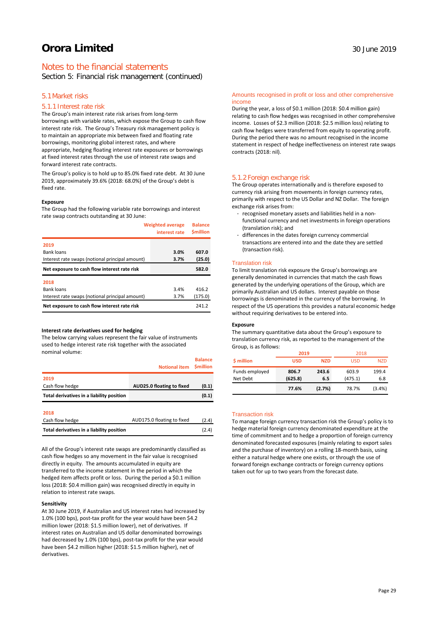# Notes to the financial statements

Section 5: Financial risk management (continued)

### 5.1Market risks

### 5.1.1 Interest rate risk

The Group's main interest rate risk arises from long-term borrowings with variable rates, which expose the Group to cash flow interest rate risk. The Group's Treasury risk management policy is to maintain an appropriate mix between fixed and floating rate borrowings, monitoring global interest rates, and where appropriate, hedging floating interest rate exposures or borrowings at fixed interest rates through the use of interest rate swaps and forward interest rate contracts.

The Group's policy is to hold up to 85.0% fixed rate debt. At 30 June 2019, approximately 39.6% (2018: 68.0%) of the Group's debt is fixed rate.

#### **Exposure**

The Group had the following variable rate borrowings and interest rate swap contracts outstanding at 30 June:

| <b>Weighted average</b><br>interest rate        |      | <b>Balance</b><br><b>Smillion</b> |
|-------------------------------------------------|------|-----------------------------------|
| 2019                                            |      |                                   |
| Bank loans                                      | 3.0% | 607.0                             |
| Interest rate swaps (notional principal amount) | 3.7% | (25.0)                            |
| Net exposure to cash flow interest rate risk    |      | 582.0                             |
| 2018                                            |      |                                   |
| Bank loans                                      | 3.4% | 416.2                             |
| Interest rate swaps (notional principal amount) | 3.7% | (175.0)                           |
| Net exposure to cash flow interest rate risk    |      | 241.2                             |

### **Interest rate derivatives used for hedging**

The below carrying values represent the fair value of instruments used to hedge interest rate risk together with the associated nominal volume:

|                                           | <b>Notional item</b>       | <b>Balance</b><br><b>Smillion</b> |
|-------------------------------------------|----------------------------|-----------------------------------|
| 2019                                      |                            |                                   |
| Cash flow hedge                           | AUD25.0 floating to fixed  | (0.1)                             |
| Total derivatives in a liability position |                            | (0.1)                             |
| 2018                                      |                            |                                   |
| Cash flow hedge                           | AUD175.0 floating to fixed | (2.4)                             |
| Total derivatives in a liability position |                            | (2.4)                             |

All of the Group's interest rate swaps are predominantly classified as cash flow hedges so any movement in the fair value is recognised directly in equity. The amounts accumulated in equity are transferred to the income statement in the period in which the hedged item affects profit or loss. During the period a \$0.1 million loss (2018: \$0.4 million gain) was recognised directly in equity in relation to interest rate swaps.

### **Sensitivity**

At 30 June 2019, if Australian and US interest rates had increased by 1.0% (100 bps), post-tax profit for the year would have been \$4.2 million lower (2018: \$1.5 million lower), net of derivatives. If interest rates on Australian and US dollar denominated borrowings had decreased by 1.0% (100 bps), post-tax profit for the year would have been \$4.2 million higher (2018: \$1.5 million higher), net of derivatives.

### Amounts recognised in profit or loss and other comprehensive income

During the year, a loss of \$0.1 million (2018: \$0.4 million gain) relating to cash flow hedges was recognised in other comprehensive income. Losses of \$2.3 million (2018: \$2.5 million loss) relating to cash flow hedges were transferred from equity to operating profit. During the period there was no amount recognised in the income statement in respect of hedge ineffectiveness on interest rate swaps contracts (2018: nil).

### 5.1.2 Foreign exchange risk

The Group operates internationally and is therefore exposed to currency risk arising from movements in foreign currency rates, primarily with respect to the US Dollar and NZ Dollar. The foreign exchange risk arises from:

- recognised monetary assets and liabilities held in a nonfunctional currency and net investments in foreign operations (translation risk); and
- differences in the dates foreign currency commercial transactions are entered into and the date they are settled (transaction risk).

### Translation risk

To limit translation risk exposure the Group's borrowings are generally denominated in currencies that match the cash flows generated by the underlying operations of the Group, which are primarily Australian and US dollars. Interest payable on those borrowings is denominated in the currency of the borrowing. In respect of the US operations this provides a natural economic hedge without requiring derivatives to be entered into.

### **Exposure**

The summary quantitative data about the Group's exposure to translation currency risk, as reported to the management of the Group, is as follows:

|                            | 2019                             |            | 2018             |              |  |
|----------------------------|----------------------------------|------------|------------------|--------------|--|
| \$ million                 | <b>USD</b>                       | <b>NZD</b> | <b>USD</b>       | <b>NZD</b>   |  |
| Funds employed<br>Net Debt | 243.6<br>806.7<br>(625.8)<br>6.5 |            | 603.9<br>(475.1) | 199.4<br>6.8 |  |
|                            | 77.6%                            | (2.7%)     | 78.7%            | (3.4%)       |  |

#### Transaction risk

To manage foreign currency transaction risk the Group's policy is to hedge material foreign currency denominated expenditure at the time of commitment and to hedge a proportion of foreign currency denominated forecasted exposures (mainly relating to export sales and the purchase of inventory) on a rolling 18-month basis, using either a natural hedge where one exists, or through the use of forward foreign exchange contracts or foreign currency options taken out for up to two years from the forecast date.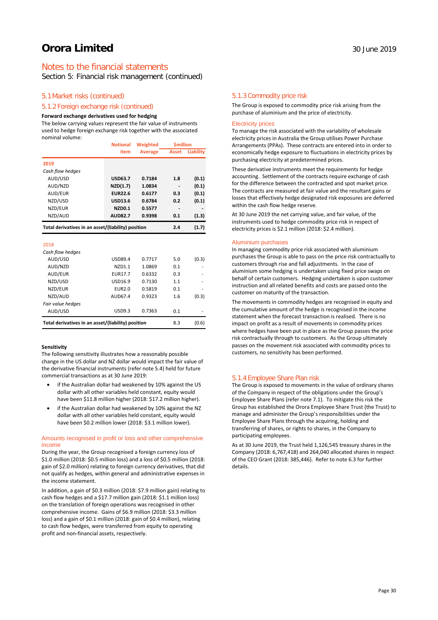# Notes to the financial statements

Section 5: Financial risk management (continued)

### 5.1Market risks (continued)

### 5.1.2 Foreign exchange risk (continued)

### **Forward exchange derivatives used for hedging**

The below carrying values represent the fair value of instruments used to hedge foreign exchange risk together with the associated nominal volume: **Weighted \$million Notional** 

|                                                                    | <b>Notional</b> | Weighted       | Smillion     |                  |  |
|--------------------------------------------------------------------|-----------------|----------------|--------------|------------------|--|
|                                                                    | item            | <b>Average</b> | <b>Asset</b> | <b>Liability</b> |  |
| 2019                                                               |                 |                |              |                  |  |
| Cash flow hedges                                                   |                 |                |              |                  |  |
| AUD/USD                                                            | <b>USD63.7</b>  | 0.7184         | 1.8          | (0.1)            |  |
| AUD/NZD                                                            | NZD(1.7)        | 1.0834         |              | (0.1)            |  |
| AUD/EUR                                                            | <b>EUR22.6</b>  | 0.6177         | 0.3          | (0.1)            |  |
| NZD/USD                                                            | <b>USD13.6</b>  | 0.6784         | 0.2          | (0.1)            |  |
| NZD/EUR                                                            | <b>NZD0.1</b>   | 0.5577         |              |                  |  |
| NZD/AUD                                                            | <b>AUD82.7</b>  | 0.9398         | 0.1          | (1.3)            |  |
| Total derivatives in an asset/(liability) position                 |                 |                | 2.4          | (1.7)            |  |
|                                                                    |                 |                |              |                  |  |
| 2018                                                               |                 |                |              |                  |  |
| Cash flow hedges                                                   |                 |                |              |                  |  |
| AUD/USD                                                            | <b>USD89.4</b>  | 0.7717         | 5.0          | (0.3)            |  |
| AUD/NZD                                                            | NZD1.1          | 1.0869         | 0.1          |                  |  |
| AUD/EUR                                                            | <b>EUR17.7</b>  | 0.6332         | 0.3          |                  |  |
| NZD/USD                                                            | USD16.9         | 0.7130         | 1.1          |                  |  |
| NZD/EUR                                                            | <b>EUR2.0</b>   | 0.5819         | 0.1          |                  |  |
| NZD/AUD                                                            | AUD67.4         | 0.9323         | 1.6          | (0.3)            |  |
| Fair value hedges                                                  |                 |                |              |                  |  |
| AUD/USD                                                            | <b>USD9.3</b>   | 0.7363         | 0.1          |                  |  |
| Total derivatives in an asset/(liability) position<br>(0.6)<br>8.3 |                 |                |              |                  |  |

#### **Sensitivity**

The following sensitivity illustrates how a reasonably possible change in the US dollar and NZ dollar would impact the fair value of the derivative financial instruments (refer note 5.4) held for future commercial transactions as at 30 June 2019:

- if the Australian dollar had weakened by 10% against the US dollar with all other variables held constant, equity would have been \$11.8 million higher (2018: \$17.2 million higher).
- if the Australian dollar had weakened by 10% against the NZ dollar with all other variables held constant, equity would have been \$0.2 million lower (2018: \$3.1 million lower).

### Amounts recognised in profit or loss and other comprehensive income

During the year, the Group recognised a foreign currency loss of \$1.0 million (2018: \$0.5 million loss) and a loss of \$0.5 million (2018: gain of \$2.0 million) relating to foreign currency derivatives, that did not qualify as hedges, within general and administrative expenses in the income statement.

In addition, a gain of \$0.3 million (2018: \$7.9 million gain) relating to cash flow hedges and a \$17.7 million gain (2018: \$1.1 million loss) on the translation of foreign operations was recognised in other comprehensive income. Gains of \$6.9 million (2018: \$3.3 million loss) and a gain of \$0.1 million (2018: gain of \$0.4 million), relating to cash flow hedges, were transferred from equity to operating profit and non-financial assets, respectively.

### 5.1.3 Commodity price risk

The Group is exposed to commodity price risk arising from the purchase of aluminium and the price of electricity.

### Electricity prices

To manage the risk associated with the variability of wholesale electricity prices in Australia the Group utilises Power Purchase Arrangements (PPAs). These contracts are entered into in order to economically hedge exposure to fluctuations in electricity prices by purchasing electricity at predetermined prices.

These derivative instruments meet the requirements for hedge accounting. Settlement of the contracts require exchange of cash for the difference between the contracted and spot market price. The contracts are measured at fair value and the resultant gains or losses that effectively hedge designated risk exposures are deferred within the cash flow hedge reserve.

At 30 June 2019 the net carrying value, and fair value, of the instruments used to hedge commodity price risk in respect of electricity prices is \$2.1 million (2018: \$2.4 million).

#### Aluminium purchases

In managing commodity price risk associated with aluminium purchases the Group is able to pass on the price risk contractually to customers through rise and fall adjustments. In the case of aluminium some hedging is undertaken using fixed price swaps on behalf of certain customers. Hedging undertaken is upon customer instruction and all related benefits and costs are passed onto the customer on maturity of the transaction.

The movements in commodity hedges are recognised in equity and the cumulative amount of the hedge is recognised in the income statement when the forecast transaction is realised. There is no impact on profit as a result of movements in commodity prices where hedges have been put in place as the Group passes the price risk contractually through to customers. As the Group ultimately passes on the movement risk associated with commodity prices to customers, no sensitivity has been performed.

#### 5.1.4 Employee Share Plan risk

The Group is exposed to movements in the value of ordinary shares of the Company in respect of the obligations under the Group's Employee Share Plans (refer note 7.1). To mitigate this risk the Group has established the Orora Employee Share Trust (the Trust) to manage and administer the Group's responsibilities under the Employee Share Plans through the acquiring, holding and transferring of shares, or rights to shares, in the Company to participating employees.

As at 30 June 2019, the Trust held 1,126,545 treasury shares in the Company (2018: 6,767,418) and 264,040 allocated shares in respect of the CEO Grant (2018: 385,446). Refer to note 6.3 for further details.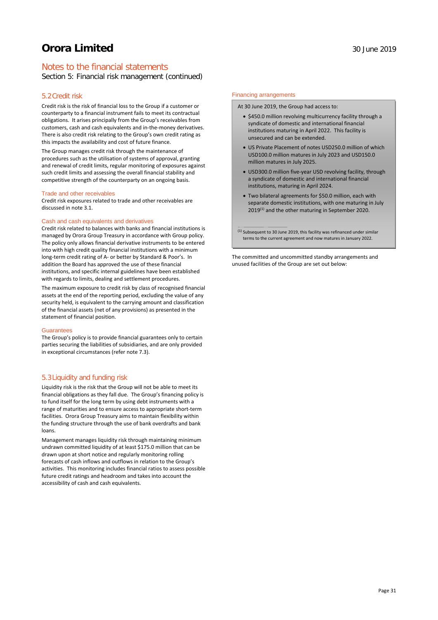# Notes to the financial statements

Section 5: Financial risk management (continued)

### 5.2Credit risk

Credit risk is the risk of financial loss to the Group if a customer or counterparty to a financial instrument fails to meet its contractual obligations. It arises principally from the Group's receivables from customers, cash and cash equivalents and in-the-money derivatives. There is also credit risk relating to the Group's own credit rating as this impacts the availability and cost of future finance.

The Group manages credit risk through the maintenance of procedures such as the utilisation of systems of approval, granting and renewal of credit limits, regular monitoring of exposures against such credit limits and assessing the overall financial stability and competitive strength of the counterparty on an ongoing basis.

#### Trade and other receivables

Credit risk exposures related to trade and other receivables are discussed in note 3.1.

### Cash and cash equivalents and derivatives

Credit risk related to balances with banks and financial institutions is managed by Orora Group Treasury in accordance with Group policy. The policy only allows financial derivative instruments to be entered into with high credit quality financial institutions with a minimum long-term credit rating of A- or better by Standard & Poor's. In addition the Board has approved the use of these financial institutions, and specific internal guidelines have been established with regards to limits, dealing and settlement procedures.

The maximum exposure to credit risk by class of recognised financial assets at the end of the reporting period, excluding the value of any security held, is equivalent to the carrying amount and classification of the financial assets (net of any provisions) as presented in the statement of financial position.

### Guarantees

The Group's policy is to provide financial guarantees only to certain parties securing the liabilities of subsidiaries, and are only provided in exceptional circumstances (refer note 7.3).

### 5.3Liquidity and funding risk

Liquidity risk is the risk that the Group will not be able to meet its financial obligations as they fall due. The Group's financing policy is to fund itself for the long term by using debt instruments with a range of maturities and to ensure access to appropriate short-term facilities. Orora Group Treasury aims to maintain flexibility within the funding structure through the use of bank overdrafts and bank loans.

Management manages liquidity risk through maintaining minimum undrawn committed liquidity of at least \$175.0 million that can be drawn upon at short notice and regularly monitoring rolling forecasts of cash inflows and outflows in relation to the Group's activities. This monitoring includes financial ratios to assess possible future credit ratings and headroom and takes into account the accessibility of cash and cash equivalents.

### Financing arrangements

At 30 June 2019, the Group had access to:

- \$450.0 million revolving multicurrency facility through a syndicate of domestic and international financial institutions maturing in April 2022. This facility is unsecured and can be extended.
- US Private Placement of notes USD250.0 million of which USD100.0 million matures in July 2023 and USD150.0 million matures in July 2025.
- USD300.0 million five-year USD revolving facility, through a syndicate of domestic and international financial institutions, maturing in April 2024.
- Two bilateral agreements for \$50.0 million, each with separate domestic institutions, with one maturing in July 2019<sup>(1)</sup> and the other maturing in September 2020.

 $(1)$  Subsequent to 30 June 2019, this facility was refinanced under similar terms to the current agreement and now matures in January 2022.

The committed and uncommitted standby arrangements and unused facilities of the Group are set out below: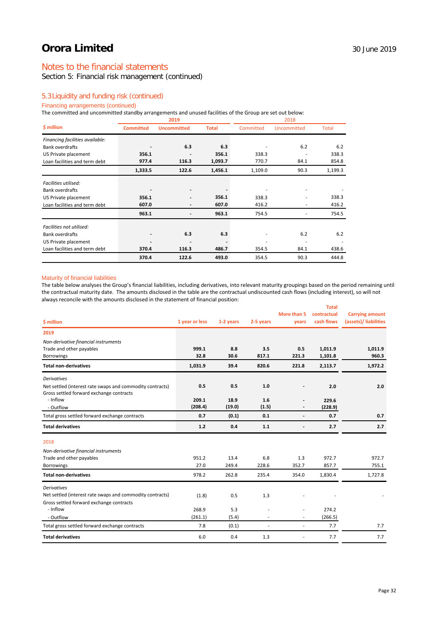# Notes to the financial statements

# Section 5: Financial risk management (continued)

### 5.3Liquidity and funding risk (continued)

### Financing arrangements (continued)

The committed and uncommitted standby arrangements and unused facilities of the Group are set out below:

|                                 |         | 2019               |              | 2018      |             |         |  |
|---------------------------------|---------|--------------------|--------------|-----------|-------------|---------|--|
| \$ million<br><b>Committed</b>  |         | <b>Uncommitted</b> | <b>Total</b> | Committed | Uncommitted | Total   |  |
| Financing facilities available: |         |                    |              |           |             |         |  |
| <b>Bank overdrafts</b>          |         | 6.3                | 6.3          |           | 6.2         | 6.2     |  |
| US Private placement            | 356.1   |                    | 356.1        | 338.3     |             | 338.3   |  |
| Loan facilities and term debt   | 977.4   | 116.3              | 1,093.7      | 770.7     | 84.1        | 854.8   |  |
|                                 | 1,333.5 | 122.6              | 1,456.1      | 1,109.0   | 90.3        | 1,199.3 |  |
| Facilities utilised:            |         |                    |              |           |             |         |  |
| <b>Bank overdrafts</b>          |         |                    |              |           |             |         |  |
| US Private placement            | 356.1   |                    | 356.1        | 338.3     |             | 338.3   |  |
| Loan facilities and term debt   | 607.0   | ٠                  | 607.0        | 416.2     |             | 416.2   |  |
|                                 | 963.1   |                    | 963.1        | 754.5     |             | 754.5   |  |
| Facilities not utilised:        |         |                    |              |           |             |         |  |
| <b>Bank overdrafts</b>          |         | 6.3                | 6.3          |           | 6.2         | 6.2     |  |
| US Private placement            |         |                    |              | ۰         |             |         |  |
| Loan facilities and term debt   | 370.4   | 116.3              | 486.7        | 354.5     | 84.1        | 438.6   |  |
|                                 | 370.4   | 122.6              | 493.0        | 354.5     | 90.3        | 444.8   |  |

### Maturity of financial liabilities

The table below analyses the Group's financial liabilities, including derivatives, into relevant maturity groupings based on the period remaining until the contractual maturity date. The amounts disclosed in the table are the contractual undiscounted cash flows (including interest), so will not always reconcile with the amounts disclosed in the statement of financial position:

|                                                           |                |           |           |                          | <b>Total</b> |                        |
|-----------------------------------------------------------|----------------|-----------|-----------|--------------------------|--------------|------------------------|
|                                                           |                |           |           | More than 5              | contractual  | <b>Carrying amount</b> |
| \$ million                                                | 1 year or less | 1-2 years | 2-5 years | years                    | cash flows   | (assets)/ liabilities  |
| 2019                                                      |                |           |           |                          |              |                        |
| Non-derivative financial instruments                      |                |           |           |                          |              |                        |
| Trade and other payables                                  | 999.1          | 8.8       | 3.5       | 0.5                      | 1,011.9      | 1,011.9                |
| <b>Borrowings</b>                                         | 32.8           | 30.6      | 817.1     | 221.3                    | 1,101.8      | 960.3                  |
| <b>Total non-derivatives</b>                              | 1,031.9        | 39.4      | 820.6     | 221.8                    | 2,113.7      | 1,972.2                |
| <b>Derivatives</b>                                        |                |           |           |                          |              |                        |
| Net settled (interest rate swaps and commodity contracts) | 0.5            | 0.5       | 1.0       |                          | 2.0          | 2.0                    |
| Gross settled forward exchange contracts                  |                |           |           |                          |              |                        |
| - Inflow                                                  | 209.1          | 18.9      | 1.6       |                          | 229.6        |                        |
| - Outflow                                                 | (208.4)        | (19.0)    | (1.5)     |                          | (228.9)      |                        |
| Total gross settled forward exchange contracts            | 0.7            | (0.1)     | 0.1       | $\overline{\phantom{a}}$ | 0.7          | 0.7                    |
| <b>Total derivatives</b>                                  | 1.2            | 0.4       | 1.1       | $\overline{\phantom{a}}$ | 2.7          | 2.7                    |
| 2018                                                      |                |           |           |                          |              |                        |
| Non-derivative financial instruments                      |                |           |           |                          |              |                        |
| Trade and other payables                                  | 951.2          | 13.4      | 6.8       | 1.3                      | 972.7        | 972.7                  |
| <b>Borrowings</b>                                         | 27.0           | 249.4     | 228.6     | 352.7                    | 857.7        | 755.1                  |
| <b>Total non-derivatives</b>                              | 978.2          | 262.8     | 235.4     | 354.0                    | 1,830.4      | 1,727.8                |
| <b>Derivatives</b>                                        |                |           |           |                          |              |                        |
| Net settled (interest rate swaps and commodity contracts) | (1.8)          | 0.5       | 1.3       |                          |              |                        |
| Gross settled forward exchange contracts                  |                |           |           |                          |              |                        |
| - Inflow                                                  | 268.9          | 5.3       |           | $\overline{\phantom{a}}$ | 274.2        |                        |
| - Outflow                                                 | (261.1)        | (5.4)     |           | ×.                       | (266.5)      |                        |
| Total gross settled forward exchange contracts            | 7.8            | (0.1)     |           | ٠                        | 7.7          | 7.7                    |
| <b>Total derivatives</b>                                  | 6.0            | 0.4       | 1.3       | ٠                        | 7.7          | 7.7                    |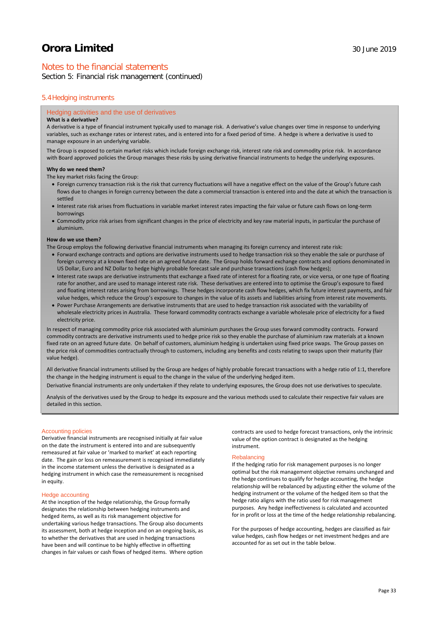# Notes to the financial statements

Section 5: Financial risk management (continued)

### 5.4Hedging instruments

### Hedging activities and the use of derivatives

### **What is a derivative?**

A derivative is a type of financial instrument typically used to manage risk. A derivative's value changes over time in response to underlying variables, such as exchange rates or interest rates, and is entered into for a fixed period of time. A hedge is where a derivative is used to manage exposure in an underlying variable.

The Group is exposed to certain market risks which include foreign exchange risk, interest rate risk and commodity price risk. In accordance with Board approved policies the Group manages these risks by using derivative financial instruments to hedge the underlying exposures.

#### **Why do we need them?**

The key market risks facing the Group:

- Foreign currency transaction risk is the risk that currency fluctuations will have a negative effect on the value of the Group's future cash flows due to changes in foreign currency between the date a commercial transaction is entered into and the date at which the transaction is settled
- Interest rate risk arises from fluctuations in variable market interest rates impacting the fair value or future cash flows on long-term borrowings
- Commodity price risk arises from significant changes in the price of electricity and key raw material inputs, in particular the purchase of aluminium.

#### **How do we use them?**

The Group employs the following derivative financial instruments when managing its foreign currency and interest rate risk:

- Forward exchange contracts and options are derivative instruments used to hedge transaction risk so they enable the sale or purchase of foreign currency at a known fixed rate on an agreed future date. The Group holds forward exchange contracts and options denominated in US Dollar, Euro and NZ Dollar to hedge highly probable forecast sale and purchase transactions (cash flow hedges);
- Interest rate swaps are derivative instruments that exchange a fixed rate of interest for a floating rate, or vice versa, or one type of floating rate for another, and are used to manage interest rate risk. These derivatives are entered into to optimise the Group's exposure to fixed and floating interest rates arising from borrowings. These hedges incorporate cash flow hedges, which fix future interest payments, and fair value hedges, which reduce the Group's exposure to changes in the value of its assets and liabilities arising from interest rate movements.
- Power Purchase Arrangements are derivative instruments that are used to hedge transaction risk associated with the variability of wholesale electricity prices in Australia. These forward commodity contracts exchange a variable wholesale price of electricity for a fixed electricity price.

In respect of managing commodity price risk associated with aluminium purchases the Group uses forward commodity contracts. Forward commodity contracts are derivative instruments used to hedge price risk so they enable the purchase of aluminium raw materials at a known fixed rate on an agreed future date. On behalf of customers, aluminium hedging is undertaken using fixed price swaps. The Group passes on the price risk of commodities contractually through to customers, including any benefits and costs relating to swaps upon their maturity (fair value hedge).

All derivative financial instruments utilised by the Group are hedges of highly probable forecast transactions with a hedge ratio of 1:1, therefore the change in the hedging instrument is equal to the change in the value of the underlying hedged item.

Derivative financial instruments are only undertaken if they relate to underlying exposures, the Group does not use derivatives to speculate.

Analysis of the derivatives used by the Group to hedge its exposure and the various methods used to calculate their respective fair values are detailed in this section.

### Accounting policies

Derivative financial instruments are recognised initially at fair value on the date the instrument is entered into and are subsequently remeasured at fair value or 'marked to market' at each reporting date. The gain or loss on remeasurement is recognised immediately in the income statement unless the derivative is designated as a hedging instrument in which case the remeasurement is recognised in equity.

### Hedge accounting

At the inception of the hedge relationship, the Group formally designates the relationship between hedging instruments and hedged items, as well as its risk management objective for undertaking various hedge transactions. The Group also documents its assessment, both at hedge inception and on an ongoing basis, as to whether the derivatives that are used in hedging transactions have been and will continue to be highly effective in offsetting changes in fair values or cash flows of hedged items. Where option

contracts are used to hedge forecast transactions, only the intrinsic value of the option contract is designated as the hedging instrument.

### **Rebalancing**

If the hedging ratio for risk management purposes is no longer optimal but the risk management objective remains unchanged and the hedge continues to qualify for hedge accounting, the hedge relationship will be rebalanced by adjusting either the volume of the hedging instrument or the volume of the hedged item so that the hedge ratio aligns with the ratio used for risk management purposes. Any hedge ineffectiveness is calculated and accounted for in profit or loss at the time of the hedge relationship rebalancing.

For the purposes of hedge accounting, hedges are classified as fair value hedges, cash flow hedges or net investment hedges and are accounted for as set out in the table below.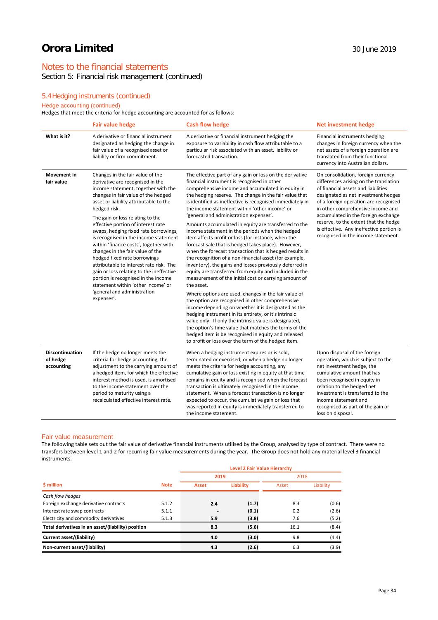# Notes to the financial statements

Section 5: Financial risk management (continued)

# 5.4Hedging instruments (continued)

# Hedge accounting (continued)

Hedges that meet the criteria for hedge accounting are accounted for as follows:

|                                           | <b>Fair value hedge</b>                                                                                                                                                                                                                                                                                                                                                                                                                                                                                                                                                                                                                                                                                | <b>Cash flow hedge</b>                                                                                                                                                                                                                                                                                                                                                                                                                                                                                                                                                                                                                                                                                                                                                                                                                                                                                                                                                                                                                                                                                                                                                                                                                                                                                                                                                                | <b>Net investment hedge</b>                                                                                                                                                                                                                                                                                                                                                                                 |
|-------------------------------------------|--------------------------------------------------------------------------------------------------------------------------------------------------------------------------------------------------------------------------------------------------------------------------------------------------------------------------------------------------------------------------------------------------------------------------------------------------------------------------------------------------------------------------------------------------------------------------------------------------------------------------------------------------------------------------------------------------------|---------------------------------------------------------------------------------------------------------------------------------------------------------------------------------------------------------------------------------------------------------------------------------------------------------------------------------------------------------------------------------------------------------------------------------------------------------------------------------------------------------------------------------------------------------------------------------------------------------------------------------------------------------------------------------------------------------------------------------------------------------------------------------------------------------------------------------------------------------------------------------------------------------------------------------------------------------------------------------------------------------------------------------------------------------------------------------------------------------------------------------------------------------------------------------------------------------------------------------------------------------------------------------------------------------------------------------------------------------------------------------------|-------------------------------------------------------------------------------------------------------------------------------------------------------------------------------------------------------------------------------------------------------------------------------------------------------------------------------------------------------------------------------------------------------------|
| What is it?                               | A derivative or financial instrument<br>designated as hedging the change in<br>fair value of a recognised asset or<br>liability or firm commitment.                                                                                                                                                                                                                                                                                                                                                                                                                                                                                                                                                    | A derivative or financial instrument hedging the<br>exposure to variability in cash flow attributable to a<br>particular risk associated with an asset, liability or<br>forecasted transaction.                                                                                                                                                                                                                                                                                                                                                                                                                                                                                                                                                                                                                                                                                                                                                                                                                                                                                                                                                                                                                                                                                                                                                                                       | Financial instruments hedging<br>changes in foreign currency when the<br>net assets of a foreign operation are<br>translated from their functional<br>currency into Australian dollars.                                                                                                                                                                                                                     |
| <b>Movement</b> in<br>fair value          | Changes in the fair value of the<br>derivative are recognised in the<br>income statement, together with the<br>changes in fair value of the hedged<br>asset or liability attributable to the<br>hedged risk.<br>The gain or loss relating to the<br>effective portion of interest rate<br>swaps, hedging fixed rate borrowings,<br>is recognised in the income statement<br>within 'finance costs', together with<br>changes in the fair value of the<br>hedged fixed rate borrowings<br>attributable to interest rate risk. The<br>gain or loss relating to the ineffective<br>portion is recognised in the income<br>statement within 'other income' or<br>'general and administration<br>expenses'. | The effective part of any gain or loss on the derivative<br>financial instrument is recognised in other<br>comprehensive income and accumulated in equity in<br>the hedging reserve. The change in the fair value that<br>is identified as ineffective is recognised immediately in<br>the income statement within 'other income' or<br>'general and administration expenses'.<br>Amounts accumulated in equity are transferred to the<br>income statement in the periods when the hedged<br>item affects profit or loss (for instance, when the<br>forecast sale that is hedged takes place). However,<br>when the forecast transaction that is hedged results in<br>the recognition of a non-financial asset (for example,<br>inventory), the gains and losses previously deferred in<br>equity are transferred from equity and included in the<br>measurement of the initial cost or carrying amount of<br>the asset.<br>Where options are used, changes in the fair value of<br>the option are recognised in other comprehensive<br>income depending on whether it is designated as the<br>hedging instrument in its entirety, or it's intrinsic<br>value only. If only the intrinsic value is designated,<br>the option's time value that matches the terms of the<br>hedged item is be recognised in equity and released<br>to profit or loss over the term of the hedged item. | On consolidation, foreign currency<br>differences arising on the translation<br>of financial assets and liabilities<br>designated as net investment hedges<br>of a foreign operation are recognised<br>in other comprehensive income and<br>accumulated in the foreign exchange<br>reserve, to the extent that the hedge<br>is effective. Any ineffective portion is<br>recognised in the income statement. |
| Discontinuation<br>of hedge<br>accounting | If the hedge no longer meets the<br>criteria for hedge accounting, the<br>adjustment to the carrying amount of<br>a hedged item, for which the effective<br>interest method is used, is amortised<br>to the income statement over the<br>period to maturity using a<br>recalculated effective interest rate.                                                                                                                                                                                                                                                                                                                                                                                           | When a hedging instrument expires or is sold,<br>terminated or exercised, or when a hedge no longer<br>meets the criteria for hedge accounting, any<br>cumulative gain or loss existing in equity at that time<br>remains in equity and is recognised when the forecast<br>transaction is ultimately recognised in the income<br>statement. When a forecast transaction is no longer<br>expected to occur, the cumulative gain or loss that<br>was reported in equity is immediately transferred to<br>the income statement.                                                                                                                                                                                                                                                                                                                                                                                                                                                                                                                                                                                                                                                                                                                                                                                                                                                          | Upon disposal of the foreign<br>operation, which is subject to the<br>net investment hedge, the<br>cumulative amount that has<br>been recognised in equity in<br>relation to the hedged net<br>investment is transferred to the<br>income statement and<br>recognised as part of the gain or<br>loss on disposal.                                                                                           |

### Fair value measurement

The following table sets out the fair value of derivative financial instruments utilised by the Group, analysed by type of contract. There were no transfers between level 1 and 2 for recurring fair value measurements during the year. The Group does not hold any material level 3 financial instruments.

|                                                    |             | Level 2 Fair Value Hierarchy |                  |       |           |  |  |  |
|----------------------------------------------------|-------------|------------------------------|------------------|-------|-----------|--|--|--|
|                                                    |             | 2019                         |                  | 2018  |           |  |  |  |
| \$ million                                         | <b>Note</b> | <b>Asset</b>                 | <b>Liability</b> | Asset | Liability |  |  |  |
| Cash flow hedges                                   |             |                              |                  |       |           |  |  |  |
| Foreign exchange derivative contracts              | 5.1.2       | 2.4                          | (1.7)            | 8.3   | (0.6)     |  |  |  |
| Interest rate swap contracts                       | 5.1.1       |                              | (0.1)            | 0.2   | (2.6)     |  |  |  |
| Electricity and commodity derivatives              | 5.1.3       | 5.9                          | (3.8)            | 7.6   | (5.2)     |  |  |  |
| Total derivatives in an asset/(liability) position |             | 8.3                          | (5.6)            | 16.1  | (8.4)     |  |  |  |
| Current asset/(liability)                          |             | 4.0                          | (3.0)            | 9.8   | (4.4)     |  |  |  |
| Non-current asset/(liability)                      |             | 4.3                          | (2.6)            | 6.3   | (3.9)     |  |  |  |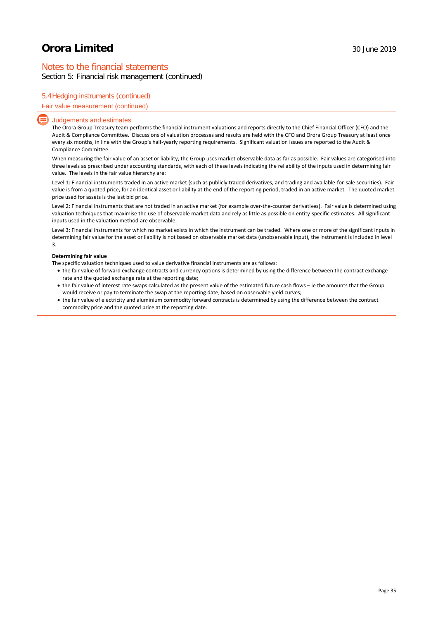# Notes to the financial statements

Section 5: Financial risk management (continued)

### 5.4Hedging instruments (continued)

### Fair value measurement (continued)

### Judgements and estimates

The Orora Group Treasury team performs the financial instrument valuations and reports directly to the Chief Financial Officer (CFO) and the Audit & Compliance Committee. Discussions of valuation processes and results are held with the CFO and Orora Group Treasury at least once every six months, in line with the Group's half-yearly reporting requirements. Significant valuation issues are reported to the Audit & Compliance Committee.

When measuring the fair value of an asset or liability, the Group uses market observable data as far as possible. Fair values are categorised into three levels as prescribed under accounting standards, with each of these levels indicating the reliability of the inputs used in determining fair value. The levels in the fair value hierarchy are:

Level 1: Financial instruments traded in an active market (such as publicly traded derivatives, and trading and available-for-sale securities). Fair value is from a quoted price, for an identical asset or liability at the end of the reporting period, traded in an active market. The quoted market price used for assets is the last bid price.

Level 2: Financial instruments that are not traded in an active market (for example over-the-counter derivatives). Fair value is determined using valuation techniques that maximise the use of observable market data and rely as little as possible on entity-specific estimates. All significant inputs used in the valuation method are observable.

Level 3: Financial instruments for which no market exists in which the instrument can be traded. Where one or more of the significant inputs in determining fair value for the asset or liability is not based on observable market data (unobservable input), the instrument is included in level 3.

### **Determining fair value**

The specific valuation techniques used to value derivative financial instruments are as follows:

- the fair value of forward exchange contracts and currency options is determined by using the difference between the contract exchange rate and the quoted exchange rate at the reporting date;
- the fair value of interest rate swaps calculated as the present value of the estimated future cash flows ie the amounts that the Group would receive or pay to terminate the swap at the reporting date, based on observable yield curves;
- the fair value of electricity and aluminium commodity forward contracts is determined by using the difference between the contract commodity price and the quoted price at the reporting date.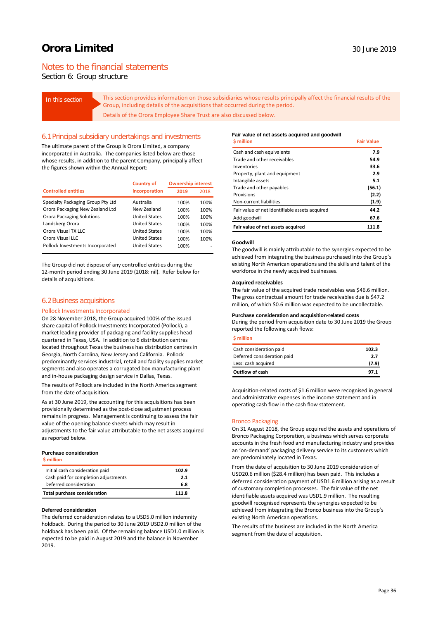# Notes to the financial statements

Section 6: Group structure

In this section **This section provides information on those subsidiaries whose results principally affect the financial results of the** Group, including details of the acquisitions that occurred during the period. Details of the Orora Employee Share Trust are also discussed below.

### 6.1Principal subsidiary undertakings and investments

The ultimate parent of the Group is Orora Limited, a company incorporated in Australia. The companies listed below are those whose results, in addition to the parent Company, principally affect the figures shown within the Annual Report:

|                                   | <b>Country of</b>    | <b>Ownership interest</b> |      |  |
|-----------------------------------|----------------------|---------------------------|------|--|
| <b>Controlled entities</b>        | incorporation        | 2019                      | 2018 |  |
| Specialty Packaging Group Pty Ltd | Australia            | 100%                      | 100% |  |
| Orora Packaging New Zealand Ltd   | New Zealand          | 100%                      | 100% |  |
| <b>Orora Packaging Solutions</b>  | <b>United States</b> | 100%                      | 100% |  |
| Landsberg Orora                   | <b>United States</b> | 100%                      | 100% |  |
| Orora Visual TX LLC               | <b>United States</b> | 100%                      | 100% |  |
| Orora Visual LLC                  | <b>United States</b> | 100%                      | 100% |  |
| Pollock Investments Incorporated  | <b>United States</b> | 100%                      |      |  |

The Group did not dispose of any controlled entities during the 12-month period ending 30 June 2019 (2018: nil). Refer below for details of acquisitions.

### 6.2Business acquisitions

### Pollock Investments Incorporated

On 28 November 2018, the Group acquired 100% of the issued share capital of Pollock Investments Incorporated (Pollock), a market leading provider of packaging and facility supplies head quartered in Texas, USA. In addition to 6 distribution centres located throughout Texas the business has distribution centres in Georgia, North Carolina, New Jersey and California. Pollock predominantly services industrial, retail and facility supplies market segments and also operates a corrugated box manufacturing plant and in-house packaging design service in Dallas, Texas.

The results of Pollock are included in the North America segment from the date of acquisition.

As at 30 June 2019, the accounting for this acquisitions has been provisionally determined as the post-close adjustment process remains in progress. Management is continuing to assess the fair value of the opening balance sheets which may result in adjustments to the fair value attributable to the net assets acquired as reported below.

#### **Purchase consideration**

| Initial cash consideration paid      | 102.9 |
|--------------------------------------|-------|
| Cash paid for completion adjustments | 2.1   |
| Deferred consideration               | 6.8   |
| <b>Total purchase consideration</b>  | 111.8 |

#### **Deferred consideration**

The deferred consideration relates to a USD5.0 million indemnity holdback. During the period to 30 June 2019 USD2.0 million of the holdback has been paid. Of the remaining balance USD1.0 million is expected to be paid in August 2019 and the balance in November 2019.

### **Fair value of net assets acquired and goodwill**

| <b>S</b> million                               | <b>Fair Value</b> |
|------------------------------------------------|-------------------|
| Cash and cash equivalents                      | 7.9               |
| Trade and other receivables                    | 54.9              |
| Inventories                                    | 33.6              |
| Property, plant and equipment                  | 2.9               |
| Intangible assets                              | 5.1               |
| Trade and other payables                       | (56.1)            |
| Provisions                                     | (2.2)             |
| Non-current liabilities                        | (1.9)             |
| Fair value of net identifiable assets acquired | 44.2              |
| Add goodwill                                   | 67.6              |
| Fair value of net assets acquired              | 111.8             |

#### **Goodwill**

The goodwill is mainly attributable to the synergies expected to be achieved from integrating the business purchased into the Group's existing North American operations and the skills and talent of the workforce in the newly acquired businesses.

#### **Acquired receivables**

The fair value of the acquired trade receivables was \$46.6 million. The gross contractual amount for trade receivables due is \$47.2 million, of which \$0.6 million was expected to be uncollectable.

#### **Purchase consideration and acquisition-related costs**

During the period from acquisition date to 30 June 2019 the Group reported the following cash flows:

### **\$ million**

| Outflow of cash             | 97.1  |
|-----------------------------|-------|
| Less: cash acquired         | (7.9) |
| Deferred consideration paid | 2.7   |
| Cash consideration paid     | 102.3 |
|                             |       |

Acquisition-related costs of \$1.6 million were recognised in general and administrative expenses in the income statement and in operating cash flow in the cash flow statement.

#### Bronco Packaging

On 31 August 2018, the Group acquired the assets and operations of Bronco Packaging Corporation, a business which serves corporate accounts in the fresh food and manufacturing industry and provides an 'on-demand' packaging delivery service to its customers which are predominately located in Texas.

From the date of acquisition to 30 June 2019 consideration of USD20.6 million (\$28.4 million) has been paid. This includes a deferred consideration payment of USD1.6 million arising as a result of customary completion processes. The fair value of the net identifiable assets acquired was USD1.9 million. The resulting goodwill recognised represents the synergies expected to be achieved from integrating the Bronco business into the Group's existing North American operations.

The results of the business are included in the North America segment from the date of acquisition.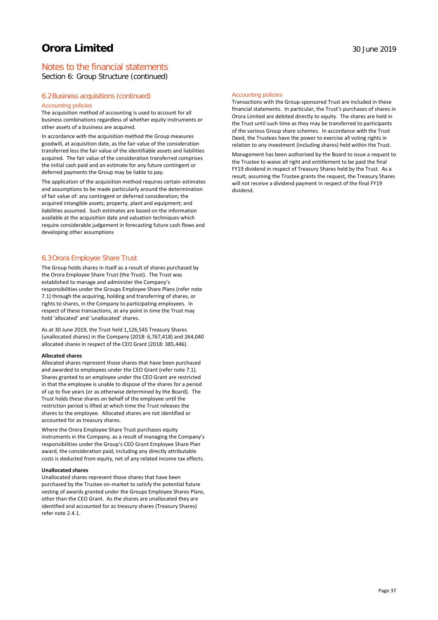# Notes to the financial statements

Section 6: Group Structure (continued)

### 6.2Business acquisitions (continued)

### Accounting policies

The acquisition method of accounting is used to account for all business combinations regardless of whether equity instruments or other assets of a business are acquired.

In accordance with the acquisition method the Group measures goodwill, at acquisition date, as the fair value of the consideration transferred less the fair value of the identifiable assets and liabilities acquired. The fair value of the consideration transferred comprises the initial cash paid and an estimate for any future contingent or deferred payments the Group may be liable to pay.

The application of the acquisition method requires certain estimates and assumptions to be made particularly around the determination of fair value of: any contingent or deferred consideration; the acquired intangible assets; property, plant and equipment; and liabilities assumed. Such estimates are based on the information available at the acquisition date and valuation techniques which require considerable judgement in forecasting future cash flows and developing other assumptions

### 6.3Orora Employee Share Trust

The Group holds shares in itself as a result of shares purchased by the Orora Employee Share Trust (the Trust). The Trust was established to manage and administer the Company's responsibilities under the Groups Employee Share Plans (refer note 7.1) through the acquiring, holding and transferring of shares, or rights to shares, in the Company to participating employees. In respect of these transactions, at any point in time the Trust may hold 'allocated' and 'unallocated' shares.

As at 30 June 2019, the Trust held 1,126,545 Treasury Shares (unallocated shares) in the Company (2018: 6,767,418) and 264,040 allocated shares in respect of the CEO Grant (2018: 385,446).

### **Allocated shares**

Allocated shares represent those shares that have been purchased and awarded to employees under the CEO Grant (refer note 7.1). Shares granted to an employee under the CEO Grant are restricted in that the employee is unable to dispose of the shares for a period of up to five years (or as otherwise determined by the Board). The Trust holds these shares on behalf of the employee until the restriction period is lifted at which time the Trust releases the shares to the employee. Allocated shares are not identified or accounted for as treasury shares.

Where the Orora Employee Share Trust purchases equity instruments in the Company, as a result of managing the Company's responsibilities under the Group's CEO Grant Employee Share Plan award, the consideration paid, including any directly attributable costs is deducted from equity, net of any related income tax effects.

### **Unallocated shares**

Unallocated shares represent those shares that have been purchased by the Trustee on-market to satisfy the potential future vesting of awards granted under the Groups Employee Shares Plans, other than the CEO Grant. As the shares are unallocated they are identified and accounted for as treasury shares (Treasury Shares) refer note 2.4.1.

### Accounting policies

Transactions with the Group-sponsored Trust are included in these financial statements. In particular, the Trust's purchases of shares in Orora Limited are debited directly to equity. The shares are held in the Trust until such time as they may be transferred to participants of the various Group share schemes. In accordance with the Trust Deed, the Trustees have the power to exercise all voting rights in relation to any investment (including shares) held within the Trust. Management has been authorised by the Board to issue a request to the Trustee to waive all right and entitlement to be paid the final FY19 dividend in respect of Treasury Shares held by the Trust. As a result, assuming the Trustee grants the request, the Treasury Shares will not receive a dividend payment in respect of the final FY19 dividend.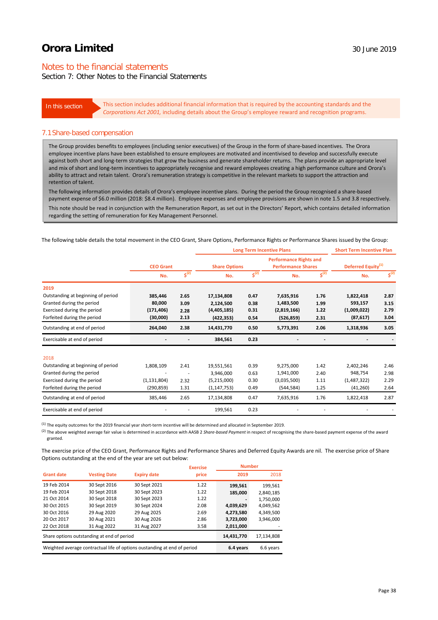# Notes to the financial statements

# Section 7: Other Notes to the Financial Statements

In this section This section includes additional financial information that is required by the accounting standards and the *Corporations Act 2001,* including details about the Group's employee reward and recognition programs.

### 7.1Share-based compensation

The Group provides benefits to employees (including senior executives) of the Group in the form of share-based incentives. The Orora employee incentive plans have been established to ensure employees are motivated and incentivised to develop and successfully execute against both short and long-term strategies that grow the business and generate shareholder returns. The plans provide an appropriate level and mix of short and long-term incentives to appropriately recognise and reward employees creating a high performance culture and Orora's ability to attract and retain talent. Orora's remuneration strategy is competitive in the relevant markets to support the attraction and retention of talent.

The following information provides details of Orora's employee incentive plans. During the period the Group recognised a share-based payment expense of \$6.0 million (2018: \$8.4 million). Employee expenses and employee provisions are shown in note 1.5 and 3.8 respectively. This note should be read in conjunction with the Remuneration Report, as set out in the Directors' Report, which contains detailed information regarding the setting of remuneration for Key Management Personnel.

The following table details the total movement in the CEO Grant, Share Options, Performance Rights or Performance Shares issued by the Group:

|                                    |                  |                                       |                      |                                  | <b>Long Term Incentive Plans</b>                           |                           | <b>Short Term Incentive Plan</b> |                                  |
|------------------------------------|------------------|---------------------------------------|----------------------|----------------------------------|------------------------------------------------------------|---------------------------|----------------------------------|----------------------------------|
|                                    | <b>CEO Grant</b> |                                       | <b>Share Options</b> |                                  | <b>Performance Rights and</b><br><b>Performance Shares</b> |                           | Deferred Equity <sup>(1)</sup>   |                                  |
|                                    | No.              | $\overline{\boldsymbol{\zeta}^{(2)}}$ | No.                  | $\mathsf{s}^{\text{\tiny{(2)}}}$ | No.                                                        | $\mathsf{s}^{\text{(2)}}$ | No.                              | $\mathsf{s}^{\text{\tiny{(2)}}}$ |
| 2019                               |                  |                                       |                      |                                  |                                                            |                           |                                  |                                  |
| Outstanding at beginning of period | 385,446          | 2.65                                  | 17,134,808           | 0.47                             | 7,635,916                                                  | 1.76                      | 1,822,418                        | 2.87                             |
| Granted during the period          | 80,000           | 3.09                                  | 2,124,500            | 0.38                             | 1,483,500                                                  | 1.99                      | 593,157                          | 3.15                             |
| Exercised during the period        | (171, 406)       | 2.28                                  | (4,405,185)          | 0.31                             | (2,819,166)                                                | 1.22                      | (1,009,022)                      | 2.79                             |
| Forfeited during the period        | (30,000)         | 2.13                                  | (422, 353)           | 0.54                             | (526, 859)                                                 | 2.31                      | (87, 617)                        | 3.04                             |
| Outstanding at end of period       | 264,040          | 2.38                                  | 14,431,770           | 0.50                             | 5,773,391                                                  | 2.06                      | 1,318,936                        | 3.05                             |
| Exercisable at end of period       |                  |                                       | 384,561              | 0.23                             |                                                            |                           |                                  |                                  |
| 2018                               |                  |                                       |                      |                                  |                                                            |                           |                                  |                                  |
| Outstanding at beginning of period | 1,808,109        | 2.41                                  | 19,551,561           | 0.39                             | 9,275,000                                                  | 1.42                      | 2,402,246                        | 2.46                             |
| Granted during the period          |                  | ä,                                    | 3,946,000            | 0.63                             | 1,941,000                                                  | 2.40                      | 948,754                          | 2.98                             |
| Exercised during the period        | (1, 131, 804)    | 2.32                                  | (5,215,000)          | 0.30                             | (3,035,500)                                                | 1.11                      | (1,487,322)                      | 2.29                             |
| Forfeited during the period        | (290, 859)       | 1.31                                  | (1, 147, 753)        | 0.49                             | (544, 584)                                                 | 1.25                      | (41, 260)                        | 2.64                             |
| Outstanding at end of period       | 385,446          | 2.65                                  | 17,134,808           | 0.47                             | 7,635,916                                                  | 1.76                      | 1,822,418                        | 2.87                             |
| Exercisable at end of period       |                  |                                       | 199,561              | 0.23                             |                                                            |                           |                                  |                                  |

 $^{(1)}$  The equity outcomes for the 2019 financial year short-term incentive will be determined and allocated in September 2019.

<sup>(2)</sup> The above weighted average fair value is determined in accordance with AASB 2 *Share-based Payment* in respect of recognising the share-based payment expense of the award granted.

The exercise price of the CEO Grant, Performance Rights and Performance Shares and Deferred Equity Awards are nil. The exercise price of Share Options outstanding at the end of the year are set out below:

|                                            |                     |                                                                          | <b>Exercise</b> | <b>Number</b> |           |
|--------------------------------------------|---------------------|--------------------------------------------------------------------------|-----------------|---------------|-----------|
| <b>Grant date</b>                          | <b>Vesting Date</b> | <b>Expiry date</b>                                                       | price           | 2019          | 2018      |
| 19 Feb 2014                                | 30 Sept 2016        | 30 Sept 2021                                                             | 1.22            | 199,561       | 199,561   |
| 19 Feb 2014                                | 30 Sept 2018        | 30 Sept 2023                                                             | 1.22            | 185,000       | 2,840,185 |
| 21 Oct 2014                                | 30 Sept 2018        | 30 Sept 2023                                                             | 1.22            |               | 1,750,000 |
| 30 Oct 2015                                | 30 Sept 2019        | 30 Sept 2024                                                             | 2.08            | 4,039,629     | 4,049,562 |
| 30 Oct 2016                                | 29 Aug 2020         | 29 Aug 2025                                                              | 2.69            | 4,273,580     | 4,349,500 |
| 20 Oct 2017                                | 30 Aug 2021         | 30 Aug 2026                                                              | 2.86            | 3,723,000     | 3,946,000 |
| 22 Oct 2018                                | 31 Aug 2022         | 31 Aug 2027                                                              | 3.58            | 2,011,000     |           |
| Share options outstanding at end of period |                     |                                                                          | 14,431,770      | 17,134,808    |           |
|                                            |                     | Weighted average contractual life of options oustanding at end of period |                 | 6.4 years     | 6.6 years |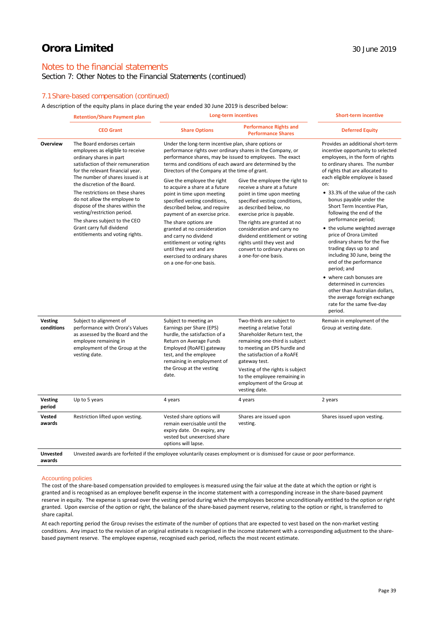# Notes to the financial statements

### Section 7: Other Notes to the Financial Statements (continued)

### 7.1Share-based compensation (continued)

A description of the equity plans in place during the year ended 30 June 2019 is described below:

|                              | <b>Retention/Share Payment plan</b>                                                                                                                                                                                                                                                                                                                                                                                                                                              | <b>Long-term incentives</b>                                                                                                                                                                                                                                                                                                                                                                                                                                                                                                                                                                                                                                                                           |                                                                                                                                                                                                                                                                                                                                                                             | <b>Short-term incentive</b>                                                                                                                                                                                                                                                                                                                                                                                                                                                                                                                                                                                                                                                                                                                |  |
|------------------------------|----------------------------------------------------------------------------------------------------------------------------------------------------------------------------------------------------------------------------------------------------------------------------------------------------------------------------------------------------------------------------------------------------------------------------------------------------------------------------------|-------------------------------------------------------------------------------------------------------------------------------------------------------------------------------------------------------------------------------------------------------------------------------------------------------------------------------------------------------------------------------------------------------------------------------------------------------------------------------------------------------------------------------------------------------------------------------------------------------------------------------------------------------------------------------------------------------|-----------------------------------------------------------------------------------------------------------------------------------------------------------------------------------------------------------------------------------------------------------------------------------------------------------------------------------------------------------------------------|--------------------------------------------------------------------------------------------------------------------------------------------------------------------------------------------------------------------------------------------------------------------------------------------------------------------------------------------------------------------------------------------------------------------------------------------------------------------------------------------------------------------------------------------------------------------------------------------------------------------------------------------------------------------------------------------------------------------------------------------|--|
|                              | <b>CEO Grant</b>                                                                                                                                                                                                                                                                                                                                                                                                                                                                 | <b>Share Options</b>                                                                                                                                                                                                                                                                                                                                                                                                                                                                                                                                                                                                                                                                                  | <b>Performance Rights and</b><br><b>Performance Shares</b>                                                                                                                                                                                                                                                                                                                  | <b>Deferred Equity</b>                                                                                                                                                                                                                                                                                                                                                                                                                                                                                                                                                                                                                                                                                                                     |  |
| Overview                     | The Board endorses certain<br>employees as eligible to receive<br>ordinary shares in part<br>satisfaction of their remuneration<br>for the relevant financial year.<br>The number of shares issued is at<br>the discretion of the Board.<br>The restrictions on these shares<br>do not allow the employee to<br>dispose of the shares within the<br>vesting/restriction period.<br>The shares subject to the CEO<br>Grant carry full dividend<br>entitlements and voting rights. | Under the long-term incentive plan, share options or<br>performance rights over ordinary shares in the Company, or<br>performance shares, may be issued to employees. The exact<br>terms and conditions of each award are determined by the<br>Directors of the Company at the time of grant.<br>Give the employee the right<br>to acquire a share at a future<br>point in time upon meeting<br>specified vesting conditions,<br>described below, and require<br>payment of an exercise price.<br>The share options are<br>granted at no consideration<br>and carry no dividend<br>entitlement or voting rights<br>until they vest and are<br>exercised to ordinary shares<br>on a one-for-one basis. | Give the employee the right to<br>receive a share at a future<br>point in time upon meeting<br>specified vesting conditions,<br>as described below, no<br>exercise price is payable.<br>The rights are granted at no<br>consideration and carry no<br>dividend entitlement or voting<br>rights until they vest and<br>convert to ordinary shares on<br>a one-for-one basis. | Provides an additional short-term<br>incentive opportunity to selected<br>employees, in the form of rights<br>to ordinary shares. The number<br>of rights that are allocated to<br>each eligible employee is based<br>on:<br>• 33.3% of the value of the cash<br>bonus payable under the<br>Short Term Incentive Plan,<br>following the end of the<br>performance period;<br>• the volume weighted average<br>price of Orora Limited<br>ordinary shares for the five<br>trading days up to and<br>including 30 June, being the<br>end of the performance<br>period; and<br>• where cash bonuses are<br>determined in currencies<br>other than Australian dollars,<br>the average foreign exchange<br>rate for the same five-day<br>period. |  |
| <b>Vesting</b><br>conditions | Subject to alignment of<br>performance with Orora's Values<br>as assessed by the Board and the<br>employee remaining in<br>employment of the Group at the<br>vesting date.                                                                                                                                                                                                                                                                                                       | Subject to meeting an<br>Earnings per Share (EPS)<br>hurdle, the satisfaction of a<br>Return on Average Funds<br>Employed (RoAFE) gateway<br>test, and the employee<br>remaining in employment of<br>the Group at the vesting<br>date.                                                                                                                                                                                                                                                                                                                                                                                                                                                                | Two-thirds are subject to<br>meeting a relative Total<br>Shareholder Return test, the<br>remaining one-third is subject<br>to meeting an EPS hurdle and<br>the satisfaction of a RoAFE<br>gateway test.<br>Vesting of the rights is subject<br>to the employee remaining in<br>employment of the Group at<br>vesting date.                                                  | Remain in employment of the<br>Group at vesting date.                                                                                                                                                                                                                                                                                                                                                                                                                                                                                                                                                                                                                                                                                      |  |
| <b>Vesting</b><br>period     | Up to 5 years                                                                                                                                                                                                                                                                                                                                                                                                                                                                    | 4 years                                                                                                                                                                                                                                                                                                                                                                                                                                                                                                                                                                                                                                                                                               | 4 years                                                                                                                                                                                                                                                                                                                                                                     | 2 years                                                                                                                                                                                                                                                                                                                                                                                                                                                                                                                                                                                                                                                                                                                                    |  |
| Vested<br>awards             | Restriction lifted upon vesting.                                                                                                                                                                                                                                                                                                                                                                                                                                                 | Vested share options will<br>remain exercisable until the<br>expiry date. On expiry, any<br>vested but unexercised share<br>options will lapse.                                                                                                                                                                                                                                                                                                                                                                                                                                                                                                                                                       | Shares are issued upon<br>vesting.                                                                                                                                                                                                                                                                                                                                          | Shares issued upon vesting.                                                                                                                                                                                                                                                                                                                                                                                                                                                                                                                                                                                                                                                                                                                |  |
| <b>Unvested</b><br>awards    | Unvested awards are forfeited if the employee voluntarily ceases employment or is dismissed for cause or poor performance.                                                                                                                                                                                                                                                                                                                                                       |                                                                                                                                                                                                                                                                                                                                                                                                                                                                                                                                                                                                                                                                                                       |                                                                                                                                                                                                                                                                                                                                                                             |                                                                                                                                                                                                                                                                                                                                                                                                                                                                                                                                                                                                                                                                                                                                            |  |

### Accounting policies

The cost of the share-based compensation provided to employees is measured using the fair value at the date at which the option or right is granted and is recognised as an employee benefit expense in the income statement with a corresponding increase in the share-based payment reserve in equity. The expense is spread over the vesting period during which the employees become unconditionally entitled to the option or right granted. Upon exercise of the option or right, the balance of the share-based payment reserve, relating to the option or right, is transferred to share capital.

At each reporting period the Group revises the estimate of the number of options that are expected to vest based on the non-market vesting conditions. Any impact to the revision of an original estimate is recognised in the income statement with a corresponding adjustment to the sharebased payment reserve. The employee expense, recognised each period, reflects the most recent estimate.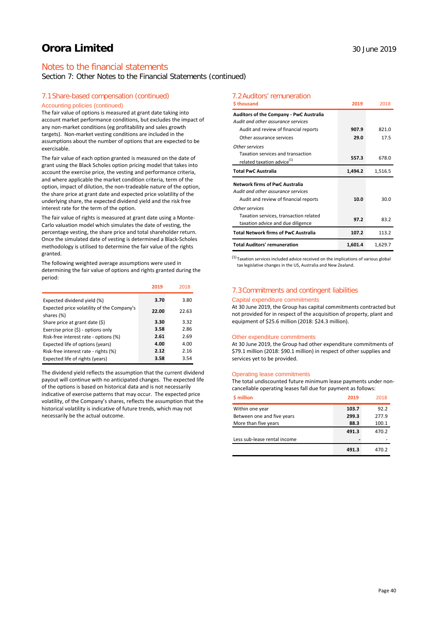# Notes to the financial statements

Section 7: Other Notes to the Financial Statements (continued)

### 7.1Share-based compensation (continued)

### Accounting policies (continued)

The fair value of options is measured at grant date taking into account market performance conditions, but excludes the impact of any non-market conditions (eg profitability and sales growth targets). Non-market vesting conditions are included in the assumptions about the number of options that are expected to be exercisable.

The fair value of each option granted is measured on the date of grant using the Black Scholes option pricing model that takes into account the exercise price, the vesting and performance criteria, and where applicable the market condition criteria, term of the option, impact of dilution, the non-tradeable nature of the option, the share price at grant date and expected price volatility of the underlying share, the expected dividend yield and the risk free interest rate for the term of the option.

The fair value of rights is measured at grant date using a Monte-Carlo valuation model which simulates the date of vesting, the percentage vesting, the share price and total shareholder return. Once the simulated date of vesting is determined a Black-Scholes methodology is utilised to determine the fair value of the rights granted.

The following weighted average assumptions were used in determining the fair value of options and rights granted during the period:

|                                                          | 2019  | 2018  |
|----------------------------------------------------------|-------|-------|
| Expected dividend yield (%)                              | 3.70  | 3.80  |
| Expected price volatility of the Company's<br>shares (%) | 22.00 | 22.63 |
| Share price at grant date (\$)                           | 3.30  | 3.32  |
| Exercise price (\$) - options only                       | 3.58  | 2.86  |
| Risk-free interest rate - options (%)                    | 2.61  | 2.69  |
| Expected life of options (years)                         | 4.00  | 4.00  |
| Risk-free interest rate - rights (%)                     | 2.12  | 2.16  |
| Expected life of rights (years)                          | 3.58  | 3.54  |

The dividend yield reflects the assumption that the current dividend payout will continue with no anticipated changes. The expected life of the options is based on historical data and is not necessarily indicative of exercise patterns that may occur. The expected price volatility, of the Company's shares, reflects the assumption that the historical volatility is indicative of future trends, which may not necessarily be the actual outcome.

### 7.2Auditors' remuneration

| \$thousand                                                                           | 2019    | 2018    |
|--------------------------------------------------------------------------------------|---------|---------|
| <b>Auditors of the Company - PwC Australia</b><br>Audit and other assurance services |         |         |
| Audit and review of financial reports                                                | 907.9   | 821.0   |
| Other assurance services                                                             | 29.0    | 17.5    |
| Other services                                                                       |         |         |
| Taxation services and transaction<br>related taxation advice <sup>(1)</sup>          | 557.3   | 678.0   |
| <b>Total PwC Australia</b>                                                           | 1,494.2 | 1,516.5 |
|                                                                                      |         |         |
| <b>Network firms of PwC Australia</b>                                                |         |         |
| Audit and other assurance services                                                   |         |         |
| Audit and review of financial reports                                                | 10.0    | 30.0    |
| Other services                                                                       |         |         |
| Taxation services, transaction related<br>taxation advice and due diligence          | 97.2    | 83.2    |
| <b>Total Network firms of PwC Australia</b>                                          | 107.2   | 113.2   |

 $(1)$  Taxation services included advice received on the implications of various global tax legislative changes in the US, Australia and New Zealand.

### 7.3Commitments and contingent liabilities

### Capital expenditure commitments

At 30 June 2019, the Group has capital commitments contracted but not provided for in respect of the acquisition of property, plant and equipment of \$25.6 million (2018: \$24.3 million).

### Other expenditure commitments

At 30 June 2019, the Group had other expenditure commitments of \$79.1 million (2018: \$90.1 million) in respect of other supplies and services yet to be provided.

### Operating lease commitments

The total undiscounted future minimum lease payments under noncancellable operating leases fall due for payment as follows:

| \$ million                   | 2019  | 2018  |
|------------------------------|-------|-------|
| Within one year              | 103.7 | 92.2  |
| Between one and five years   | 299.3 | 277.9 |
| More than five years         | 88.3  | 100.1 |
|                              | 491.3 | 470.2 |
| Less sub-lease rental income |       |       |
|                              | 491.3 | 470.2 |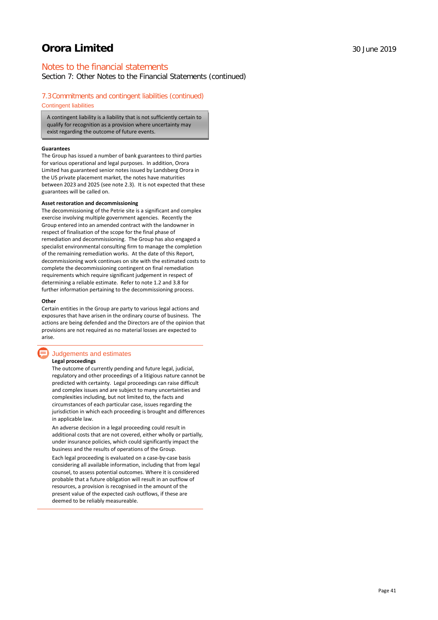# Notes to the financial statements

Section 7: Other Notes to the Financial Statements (continued)

### 7.3Commitments and contingent liabilities (continued)

Contingent liabilities

A contingent liability is a liability that is not sufficiently certain to qualify for recognition as a provision where uncertainty may exist regarding the outcome of future events.

### **Guarantees**

The Group has issued a number of bank guarantees to third parties for various operational and legal purposes. In addition, Orora Limited has guaranteed senior notes issued by Landsberg Orora in the US private placement market, the notes have maturities between 2023 and 2025 (see note 2.3). It is not expected that these guarantees will be called on.

#### **Asset restoration and decommissioning**

The decommissioning of the Petrie site is a significant and complex exercise involving multiple government agencies. Recently the Group entered into an amended contract with the landowner in respect of finalisation of the scope for the final phase of remediation and decommissioning. The Group has also engaged a specialist environmental consulting firm to manage the completion of the remaining remediation works. At the date of this Report, decommissioning work continues on site with the estimated costs to complete the decommissioning contingent on final remediation requirements which require significant judgement in respect of determining a reliable estimate. Refer to note 1.2 and 3.8 for further information pertaining to the decommissioning process.

#### **Other**

Certain entities in the Group are party to various legal actions and exposures that have arisen in the ordinary course of business. The actions are being defended and the Directors are of the opinion that provisions are not required as no material losses are expected to arise.

# Judgements and estimates

### **Legal proceedings**

The outcome of currently pending and future legal, judicial, regulatory and other proceedings of a litigious nature cannot be predicted with certainty. Legal proceedings can raise difficult and complex issues and are subject to many uncertainties and complexities including, but not limited to, the facts and circumstances of each particular case, issues regarding the jurisdiction in which each proceeding is brought and differences in applicable law.

An adverse decision in a legal proceeding could result in additional costs that are not covered, either wholly or partially, under insurance policies, which could significantly impact the business and the results of operations of the Group.

Each legal proceeding is evaluated on a case-by-case basis considering all available information, including that from legal counsel, to assess potential outcomes. Where it is considered probable that a future obligation will result in an outflow of resources, a provision is recognised in the amount of the present value of the expected cash outflows, if these are deemed to be reliably measureable.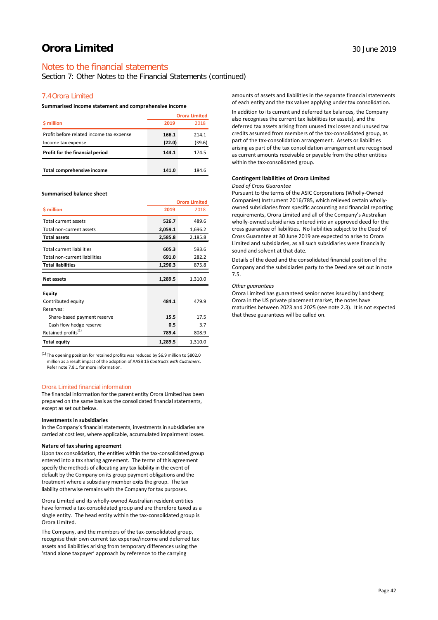Section 7: Other Notes to the Financial Statements (continued)

### 7.4Orora Limited

### **Summarised income statement and comprehensive income**

|                                          | <b>Orora Limited</b> |        |
|------------------------------------------|----------------------|--------|
| \$ million                               | 2019                 | 2018   |
| Profit before related income tax expense | 166.1                | 214.1  |
| Income tax expense                       | (22.0)               | (39.6) |
| Profit for the financial period          | 144.1                | 174.5  |
| <b>Total comprehensive income</b>        | 141.0                | 184.6  |

#### **Summarised balance sheet**

|                                  |         | <b>Orora Limited</b> |
|----------------------------------|---------|----------------------|
| \$ million                       | 2019    | 2018                 |
| Total current assets             | 526.7   | 489.6                |
| Total non-current assets         | 2,059.1 | 1,696.2              |
| <b>Total assets</b>              | 2,585.8 | 2,185.8              |
| <b>Total current liabilities</b> | 605.3   | 593.6                |
| Total non-current liabilities    | 691.0   | 282.2                |
| <b>Total liabilities</b>         | 1,296.3 | 875.8                |
|                                  |         |                      |
| <b>Net assets</b>                | 1,289.5 | 1,310.0              |
| Equity                           |         |                      |
| Contributed equity               | 484.1   | 479.9                |
| Reserves:                        |         |                      |
| Share-based payment reserve      | 15.5    | 17.5                 |
| Cash flow hedge reserve          | 0.5     | 3.7                  |
| Retained profits <sup>(1)</sup>  | 789.4   | 808.9                |

(1) The opening position for retained profits was reduced by \$6.9 million to \$802.0 million as a result impact of the adoption of AASB 15 *Contracts with Customers*. Refer note 7.8.1 for more information.

### Orora Limited financial information

The financial information for the parent entity Orora Limited has been prepared on the same basis as the consolidated financial statements, except as set out below.

### **Investments in subsidiaries**

In the Company's financial statements, investments in subsidiaries are carried at cost less, where applicable, accumulated impairment losses.

#### **Nature of tax sharing agreement**

Upon tax consolidation, the entities within the tax-consolidated group entered into a tax sharing agreement. The terms of this agreement specify the methods of allocating any tax liability in the event of default by the Company on its group payment obligations and the treatment where a subsidiary member exits the group. The tax liability otherwise remains with the Company for tax purposes.

Orora Limited and its wholly-owned Australian resident entities have formed a tax-consolidated group and are therefore taxed as a single entity. The head entity within the tax-consolidated group is Orora Limited.

The Company, and the members of the tax-consolidated group, recognise their own current tax expense/income and deferred tax assets and liabilities arising from temporary differences using the 'stand alone taxpayer' approach by reference to the carrying

amounts of assets and liabilities in the separate financial statements of each entity and the tax values applying under tax consolidation.

In addition to its current and deferred tax balances, the Company also recognises the current tax liabilities (or assets), and the deferred tax assets arising from unused tax losses and unused tax credits assumed from members of the tax-consolidated group, as part of the tax-consolidation arrangement. Assets or liabilities arising as part of the tax consolidation arrangement are recognised as current amounts receivable or payable from the other entities within the tax-consolidated group.

# **Contingent liabilities of Orora Limited**

### *Deed of Cross Guarantee*

Pursuant to the terms of the ASIC Corporations (Wholly-Owned Companies) Instrument 2016/785, which relieved certain whollyowned subsidiaries from specific accounting and financial reporting requirements, Orora Limited and all of the Company's Australian wholly-owned subsidiaries entered into an approved deed for the cross guarantee of liabilities. No liabilities subject to the Deed of Cross Guarantee at 30 June 2019 are expected to arise to Orora Limited and subsidiaries, as all such subsidiaries were financially sound and solvent at that date.

Details of the deed and the consolidated financial position of the Company and the subsidiaries party to the Deed are set out in note 7.5.

#### *Other guarantees*

Orora Limited has guaranteed senior notes issued by Landsberg Orora in the US private placement market, the notes have maturities between 2023 and 2025 (see note 2.3). It is not expected that these guarantees will be called on.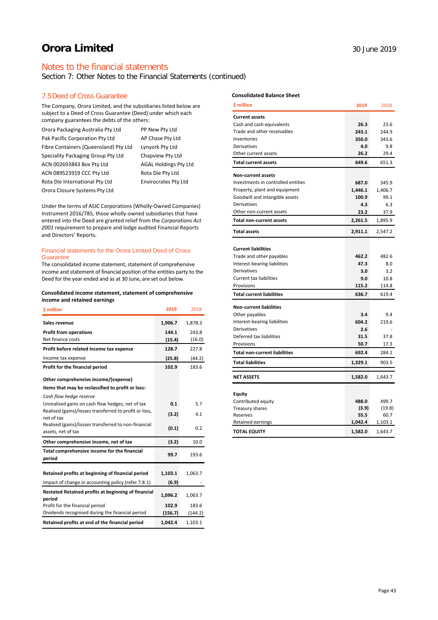# Notes to the financial statements

Section 7: Other Notes to the Financial Statements (continued)

### 7.5Deed of Cross Guarantee

The Company, Orora Limited, and the subsidiaries listed below are subject to a Deed of Cross Guarantee (Deed) under which each company guarantees the debts of the others:

| Orora Packaging Australia Pty Ltd     | PP New Pty Ltd               |
|---------------------------------------|------------------------------|
| Pak Pacific Corporation Pty Ltd       | AP Chase Pty Ltd             |
| Fibre Containers (Queensland) Ptv Ltd | Lynyork Pty Ltd              |
| Speciality Packaging Group Pty Ltd    | Chapview Pty Ltd             |
| ACN 002693843 Box Pty Ltd             | <b>AGAL Holdings Pty Ltd</b> |
| ACN 089523919 CCC Pty Ltd             | Rota Die Pty Ltd             |
| Rota Die International Pty Ltd        | <b>Envirocrates Pty Ltd</b>  |
| Orora Closure Systems Pty Ltd         |                              |

Under the terms of ASIC Corporations (Wholly-Owned Companies) Instrument 2016/785, those wholly-owned subsidiaries that have entered into the Deed are granted relief from the *Corporations Act 2001* requirement to prepare and lodge audited Financial Reports and Directors' Reports.

### Financial statements for the Orora Limited Deed of Cross **Guarantee**

The consolidated income statement, statement of comprehensive income and statement of financial position of the entities party to the Deed for the year ended and as at 30 June, are set out below.

### **Consolidated income statement, statement of comprehensive income and retained earnings**

| \$ million                                                         | 2019    | 2018    |
|--------------------------------------------------------------------|---------|---------|
| Sales revenue                                                      | 1,906.7 | 1,878.3 |
| <b>Profit from operations</b>                                      | 144.1   | 243.8   |
| Net finance costs                                                  | (15.4)  | (16.0)  |
| Profit before related income tax expense                           | 128.7   | 227.8   |
| Income tax expense                                                 | (25.8)  | (44.2)  |
| Profit for the financial period                                    | 102.9   | 183.6   |
| Other comprehensive income/(expense)                               |         |         |
| Items that may be reclassified to profit or loss:                  |         |         |
| Cash flow hedge reserve                                            |         |         |
| Unrealised gains on cash flow hedges, net of tax                   | 0.1     | 5.7     |
| Realised (gains)/losses transferred to profit or loss,             | (3.2)   | 4.1     |
| net of tax<br>Realised (gains)/losses transferred to non-financial |         |         |
| assets, net of tax                                                 | (0.1)   | 0.2     |
| Other comprehensive income, net of tax                             | (3.2)   | 10.0    |
| Total comprehensive income for the financial<br>period             | 99.7    | 193.6   |
| Retained profits at beginning of financial period                  | 1,103.1 | 1,063.7 |
|                                                                    |         |         |
| Impact of change in accounting policy (refer 7.8.1)                | (6.9)   |         |
| Restated Retained profits at beginning of financial<br>period      | 1,096.2 | 1,063.7 |
| Profit for the financial period                                    | 102.9   | 183.6   |
| Dividends recognised during the financial period                   | (156.7) | (144.2) |
| Retained profits at end of the financial period                    | 1,042.4 | 1,103.1 |

# **Consolidated Balance Sheet**

| <b>S</b> million                     | 2019    | 2018    |
|--------------------------------------|---------|---------|
| <b>Current assets</b>                |         |         |
| Cash and cash equivalents            | 26.3    | 23.6    |
| Trade and other receivables          | 243.1   | 244.9   |
| Inventories                          | 350.0   | 343.6   |
| Derivatives                          | 4.0     | 9.8     |
| Other current assets                 | 26.2    | 29.4    |
| <b>Total current assets</b>          | 649.6   | 651.3   |
| <b>Non-current assets</b>            |         |         |
| Investments in controlled entities   | 687.0   | 345.9   |
| Property, plant and equipment        | 1,446.1 | 1,406.7 |
| Goodwill and intangible assets       | 100.9   | 99.1    |
| Derivatives                          | 4.3     | 6.3     |
| Other non-current assets             | 23.2    | 37.9    |
| Total non-current assets             | 2,261.5 | 1,895.9 |
| <b>Total assets</b>                  | 2,911.1 | 2,547.2 |
|                                      |         |         |
| <b>Current liabilities</b>           |         |         |
| Trade and other payables             | 462.2   | 482.6   |
| Interest-bearing liabilities         | 47.3    | 8.0     |
| Derivatives                          | 3.0     | 3.2     |
| <b>Current tax liabilities</b>       | 9.0     | 10.8    |
| Provisions                           | 115.2   | 114.8   |
| <b>Total current liabilities</b>     | 636.7   | 619.4   |
| <b>Non-current liabilities</b>       |         |         |
| Other payables                       | 3.4     | 9.4     |
| Interest-bearing liabilities         | 604.2   | 219.6   |
| Derivatives                          | 2.6     |         |
| Deferred tax liabilities             | 31.5    | 37.8    |
| Provisions                           | 50.7    | 17.3    |
| <b>Total non-current liabilities</b> | 692.4   | 284.1   |
| <b>Total liabilities</b>             | 1,329.1 | 903.5   |
| <b>NET ASSETS</b>                    | 1,582.0 | 1,643.7 |
|                                      |         |         |
| <b>Equity</b>                        |         |         |
| Contributed equity                   | 488.0   | 499.7   |
| Treasury shares                      | (3.9)   | (19.8)  |
| Reserves                             | 55.5    | 60.7    |
| Retained earnings                    | 1,042.4 | 1,103.1 |
| <b>TOTAL EQUITY</b>                  | 1,582.0 | 1,643.7 |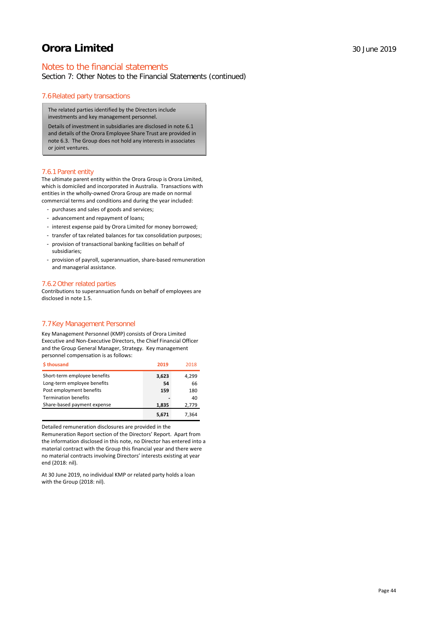# Notes to the financial statements

Section 7: Other Notes to the Financial Statements (continued)

### 7.6Related party transactions

The related parties identified by the Directors include investments and key management personnel.

Details of investment in subsidiaries are disclosed in note 6.1 and details of the Orora Employee Share Trust are provided in note 6.3. The Group does not hold any interests in associates or joint ventures.

### 7.6.1 Parent entity

The ultimate parent entity within the Orora Group is Orora Limited, which is domiciled and incorporated in Australia. Transactions with entities in the wholly-owned Orora Group are made on normal commercial terms and conditions and during the year included:

- purchases and sales of goods and services;
- advancement and repayment of loans;
- interest expense paid by Orora Limited for money borrowed;
- transfer of tax related balances for tax consolidation purposes;
- provision of transactional banking facilities on behalf of subsidiaries;
- provision of payroll, superannuation, share-based remuneration and managerial assistance.

### 7.6.2 Other related parties

Contributions to superannuation funds on behalf of employees are disclosed in note 1.5.

### 7.7Key Management Personnel

Key Management Personnel (KMP) consists of Orora Limited Executive and Non-Executive Directors, the Chief Financial Officer and the Group General Manager, Strategy. Key management personnel compensation is as follows:

| \$thousand                   | 2019  | 2018  |
|------------------------------|-------|-------|
| Short-term employee benefits | 3,623 | 4,299 |
| Long-term employee benefits  | 54    | 66    |
| Post employment benefits     | 159   | 180   |
| <b>Termination benefits</b>  |       | 40    |
| Share-based payment expense  | 1,835 | 2,779 |
|                              | 5.671 | 7.364 |

Detailed remuneration disclosures are provided in the

Remuneration Report section of the Directors' Report. Apart from the information disclosed in this note, no Director has entered into a material contract with the Group this financial year and there were no material contracts involving Directors' interests existing at year end (2018: nil).

At 30 June 2019, no individual KMP or related party holds a loan with the Group (2018: nil).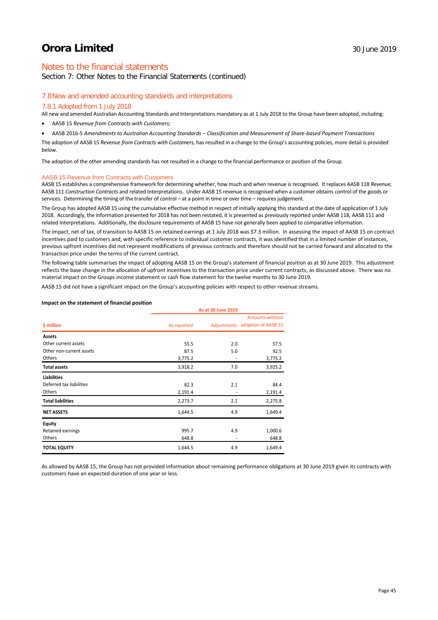# Notes to the financial statements

Section 7: Other Notes to the Financial Statements (continued)

### 7.8New and amended accounting standards and interpretations

### 7.8.1 Adopted from 1 July 2018

All new and amended Australian Accounting Standards and Interpretations mandatory as at 1 July 2018 to the Group have been adopted, including:

- AASB 15 *Revenue from Contracts with Customers;*
- AASB 2016-5 *Amendments to Australian Accounting Standards – Classification and Measurement of Share-based Payment Transactions*

The adoption of AASB 15 *Revenue from Contracts with Customers,* has resulted in a change to the Group's accounting policies, more detail is provided below.

The adoption of the other amending standards has not resulted in a change to the financial performance or position of the Group.

### AASB 15 Revenue from Contracts with Customers

AASB 15 establishes a comprehensive framework for determining whether, how much and when revenue is recognised. It replaces AASB 118 *Revenue,*  AASB 111 *Construction Contracts* and related Interpretations. Under AASB 15 revenue is recognised when a customer obtains control of the goods or services. Determining the timing of the transfer of control – at a point in time or over time – requires judgement.

The Group has adopted AASB 15 using the cumulative effective method in respect of initially applying this standard at the date of application of 1 July 2018. Accordingly, the information presented for 2018 has not been restated, it is presented as previously reported under AASB 118, AASB 111 and related Interpretations. Additionally, the disclosure requirements of AASB 15 have not generally been applied to comparative information.

The impact, net of tax, of transition to AASB 15 on retained earnings at 1 July 2018 was \$7.3 million. In assessing the impact of AASB 15 on contract incentives paid to customers and, with specific reference to individual customer contracts, it was identified that in a limited number of instances, previous upfront incentives did not represent modifications of previous contracts and therefore should not be carried forward and allocated to the transaction price under the terms of the current contract.

The following table summarises the impact of adopting AASB 15 on the Group's statement of financial position as at 30 June 2019. This adjustment reflects the base change in the allocation of upfront incentives to the transaction price under current contracts, as discussed above. There was no material impact on the Groups income statement or cash flow statement for the twelve months to 30 June 2019.

AASB 15 did not have a significant impact on the Group's accounting policies with respect to other revenue streams.

### **Impact on the statement of financial position**

|                          | As at 30 June 2019 |     |                                                           |  |
|--------------------------|--------------------|-----|-----------------------------------------------------------|--|
| \$ million               | As reported        |     | <b>Amounts without</b><br>Adjustments adoption of AASB 15 |  |
|                          |                    |     |                                                           |  |
| Assets                   |                    |     |                                                           |  |
| Other current assets     | 55.5               | 2.0 | 57.5                                                      |  |
| Other non-current assets | 87.5               | 5.0 | 92.5                                                      |  |
| Others                   | 3,775.2            | ٠   | 3,775.2                                                   |  |
| <b>Total assets</b>      | 3,918.2            | 7.0 | 3,925.2                                                   |  |
| <b>Liabilities</b>       |                    |     |                                                           |  |
| Deferred tax liabilities | 82.3               | 2.1 | 84.4                                                      |  |
| Others                   | 2,191.4            |     | 2,191.4                                                   |  |
| <b>Total liabilities</b> | 2,273.7            | 2.1 | 2,275.8                                                   |  |
| <b>NET ASSETS</b>        | 1,644.5            | 4.9 | 1,649.4                                                   |  |
| <b>Equity</b>            |                    |     |                                                           |  |
| Retained earnings        | 995.7              | 4.9 | 1,000.6                                                   |  |
| Others                   | 648.8              | ۰   | 648.8                                                     |  |
| <b>TOTAL EQUITY</b>      | 1,644.5            | 4.9 | 1,649.4                                                   |  |

As allowed by AASB 15, the Group has not provided information about remaining performance obligations at 30 June 2019 given its contracts with customers have an expected duration of one year or less.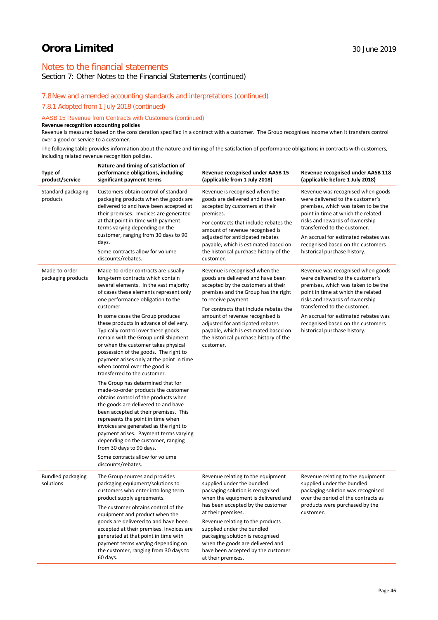# Notes to the financial statements

Section 7: Other Notes to the Financial Statements (continued)

### 7.8New and amended accounting standards and interpretations (continued)

7.8.1 Adopted from 1 July 2018 (continued)

### AASB 15 Revenue from Contracts with Customers (continued)

**Revenue recognition accounting policies**

Revenue is measured based on the consideration specified in a contract with a customer. The Group recognises income when it transfers control over a good or service to a customer.

The following table provides information about the nature and timing of the satisfaction of performance obligations in contracts with customers, including related revenue recognition policies.

| Type of<br>product/service            | Nature and timing of satisfaction of<br>performance obligations, including<br>significant payment terms                                                                                                                                                                                                                                                                                                                                                                                                                                                                                                                                                                                                                                                                                                                                                                                                                                                                                                                        | Revenue recognised under AASB 15<br>(applicable from 1 July 2018)                                                                                                                                                                                                                                                                                                                                           | <b>Revenue recognised under AASB 118</b><br>(applicable before 1 July 2018)                                                                                                                                                                                                                                                       |
|---------------------------------------|--------------------------------------------------------------------------------------------------------------------------------------------------------------------------------------------------------------------------------------------------------------------------------------------------------------------------------------------------------------------------------------------------------------------------------------------------------------------------------------------------------------------------------------------------------------------------------------------------------------------------------------------------------------------------------------------------------------------------------------------------------------------------------------------------------------------------------------------------------------------------------------------------------------------------------------------------------------------------------------------------------------------------------|-------------------------------------------------------------------------------------------------------------------------------------------------------------------------------------------------------------------------------------------------------------------------------------------------------------------------------------------------------------------------------------------------------------|-----------------------------------------------------------------------------------------------------------------------------------------------------------------------------------------------------------------------------------------------------------------------------------------------------------------------------------|
| Standard packaging<br>products        | Customers obtain control of standard<br>packaging products when the goods are<br>delivered to and have been accepted at<br>their premises. Invoices are generated<br>at that point in time with payment<br>terms varying depending on the<br>customer, ranging from 30 days to 90<br>days.<br>Some contracts allow for volume<br>discounts/rebates.                                                                                                                                                                                                                                                                                                                                                                                                                                                                                                                                                                                                                                                                            | Revenue is recognised when the<br>goods are delivered and have been<br>accepted by customers at their<br>premises.<br>For contracts that include rebates the<br>amount of revenue recognised is<br>adjusted for anticipated rebates<br>payable, which is estimated based on<br>the historical purchase history of the<br>customer.                                                                          | Revenue was recognised when goods<br>were delivered to the customer's<br>premises, which was taken to be the<br>point in time at which the related<br>risks and rewards of ownership<br>transferred to the customer.<br>An accrual for estimated rebates was<br>recognised based on the customers<br>historical purchase history. |
| Made-to-order<br>packaging products   | Made-to-order contracts are usually<br>long-term contracts which contain<br>several elements. In the vast majority<br>of cases these elements represent only<br>one performance obligation to the<br>customer.<br>In some cases the Group produces<br>these products in advance of delivery.<br>Typically control over these goods<br>remain with the Group until shipment<br>or when the customer takes physical<br>possession of the goods. The right to<br>payment arises only at the point in time<br>when control over the good is<br>transferred to the customer.<br>The Group has determined that for<br>made-to-order products the customer<br>obtains control of the products when<br>the goods are delivered to and have<br>been accepted at their premises. This<br>represents the point in time when<br>invoices are generated as the right to<br>payment arises. Payment terms varying<br>depending on the customer, ranging<br>from 30 days to 90 days.<br>Some contracts allow for volume<br>discounts/rebates. | Revenue is recognised when the<br>goods are delivered and have been<br>accepted by the customers at their<br>premises and the Group has the right<br>to receive payment.<br>For contracts that include rebates the<br>amount of revenue recognised is<br>adjusted for anticipated rebates<br>payable, which is estimated based on<br>the historical purchase history of the<br>customer.                    | Revenue was recognised when goods<br>were delivered to the customer's<br>premises, which was taken to be the<br>point in time at which the related<br>risks and rewards of ownership<br>transferred to the customer.<br>An accrual for estimated rebates was<br>recognised based on the customers<br>historical purchase history. |
| <b>Bundled packaging</b><br>solutions | The Group sources and provides<br>packaging equipment/solutions to<br>customers who enter into long term<br>product supply agreements.<br>The customer obtains control of the<br>equipment and product when the<br>goods are delivered to and have been<br>accepted at their premises. Invoices are<br>generated at that point in time with<br>payment terms varying depending on<br>the customer, ranging from 30 days to<br>60 days.                                                                                                                                                                                                                                                                                                                                                                                                                                                                                                                                                                                         | Revenue relating to the equipment<br>supplied under the bundled<br>packaging solution is recognised<br>when the equipment is delivered and<br>has been accepted by the customer<br>at their premises.<br>Revenue relating to the products<br>supplied under the bundled<br>packaging solution is recognised<br>when the goods are delivered and<br>have been accepted by the customer<br>at their premises. | Revenue relating to the equipment<br>supplied under the bundled<br>packaging solution was recognised<br>over the period of the contracts as<br>products were purchased by the<br>customer.                                                                                                                                        |